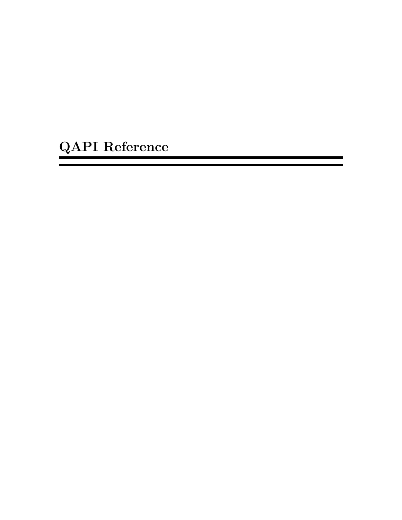QAPI Reference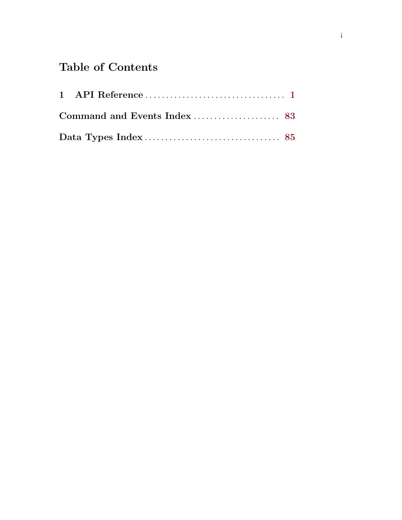# Table of Contents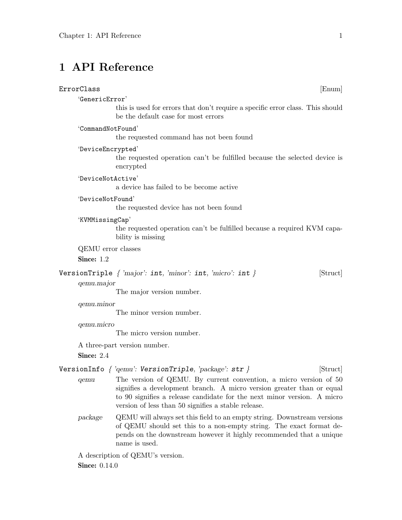# <span id="page-2-0"></span>1 API Reference

# $\texttt{ErrorClass} \tag{Enum}$

# 'GenericError'

this is used for errors that don't require a specific error class. This should be the default case for most errors

'CommandNotFound'

the requested command has not been found

'DeviceEncrypted'

the requested operation can't be fulfilled because the selected device is encrypted

'DeviceNotActive'

a device has failed to be become active

# 'DeviceNotFound'

the requested device has not been found

#### 'KVMMissingCap'

the requested operation can't be fulfilled because a required KVM capability is missing

QEMU error classes

Since: 1.2

VersionTriple  $\{ 'major': int, 'minor': int, 'micro': int } \}$  [Struct]

#### qemu.major

The major version number.

# qemu.minor

The minor version number.

qemu.micro

The micro version number.

A three-part version number.

Since: 2.4

# VersionInfo  $\{ 'qemu':$  VersionTriple, 'package': str  $\}$  [Struct]

- qemu The version of QEMU. By current convention, a micro version of 50 signifies a development branch. A micro version greater than or equal to 90 signifies a release candidate for the next minor version. A micro version of less than 50 signifies a stable release.
- package QEMU will always set this field to an empty string. Downstream versions of QEMU should set this to a non-empty string. The exact format depends on the downstream however it highly recommended that a unique name is used.

A description of QEMU's version. **Since:** 0.14.0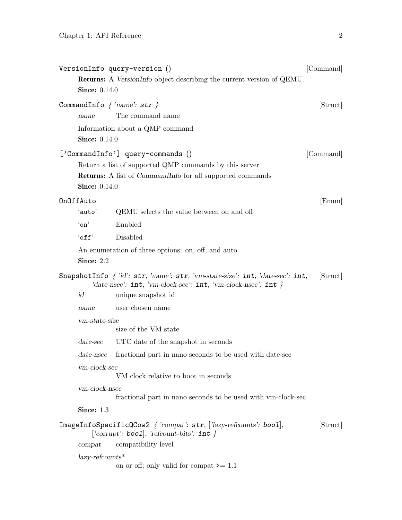|                                 | VersionInfo query-version ()                                                                                                                                | [Command] |
|---------------------------------|-------------------------------------------------------------------------------------------------------------------------------------------------------------|-----------|
|                                 | <b>Returns:</b> A VersionInfo object describing the current version of QEMU.                                                                                |           |
| <b>Since:</b> 0.14.0            |                                                                                                                                                             |           |
| CommandInfo $\{ 'name': str \}$ |                                                                                                                                                             | [Struct]  |
| name                            | The command name                                                                                                                                            |           |
|                                 | Information about a QMP command                                                                                                                             |           |
| <b>Since:</b> 0.14.0            |                                                                                                                                                             |           |
|                                 | ['CommandInfo'] query-commands ()                                                                                                                           | [Command] |
|                                 | Return a list of supported QMP commands by this server                                                                                                      |           |
|                                 | <b>Returns:</b> A list of <i>CommandInfo</i> for all supported commands                                                                                     |           |
| <b>Since:</b> 0.14.0            |                                                                                                                                                             |           |
| OnOffAuto                       |                                                                                                                                                             | [Enum]    |
| 'auto'                          | QEMU selects the value between on and off                                                                                                                   |           |
| $\infty$                        | Enabled                                                                                                                                                     |           |
| $'$ off $'$                     | Disabled                                                                                                                                                    |           |
|                                 | An enumeration of three options: on, off, and auto                                                                                                          |           |
| Since: 2.2                      |                                                                                                                                                             |           |
|                                 | SnapshotInfo $\int$ 'id': str, 'name': str, 'vm-state-size': int, 'date-sec': int,<br>'date-nsec': $int$ , 'vm-clock-sec': $int$ , 'vm-clock-nsec': $int$ } | [Struct]  |
| id                              | unique snapshot id                                                                                                                                          |           |
| name                            | user chosen name                                                                                                                                            |           |
| vm-state-size                   | size of the VM state                                                                                                                                        |           |
| $date\text{-}sec$               | UTC date of the snapshot in seconds                                                                                                                         |           |
| $date$ -nsec                    | fractional part in nano seconds to be used with date-sec                                                                                                    |           |
| vm-clock-sec                    | VM clock relative to boot in seconds                                                                                                                        |           |
| $vm\text{-}clock\text{-}nsec$   | fractional part in nano seconds to be used with vm-clock-sec                                                                                                |           |
| Since: 1.3                      |                                                                                                                                                             |           |
|                                 | $ImageInfoSpecificQCow2$ { 'compat': str, ['lazy-refcounts': bool],<br>['corrupt': bool], 'refcount-bits': $int \}$                                         | [Struct]  |
| compact                         | compatibility level                                                                                                                                         |           |
| $lazy-refcounts*$               | on or off; only valid for compat $\geq 1.1$                                                                                                                 |           |
|                                 |                                                                                                                                                             |           |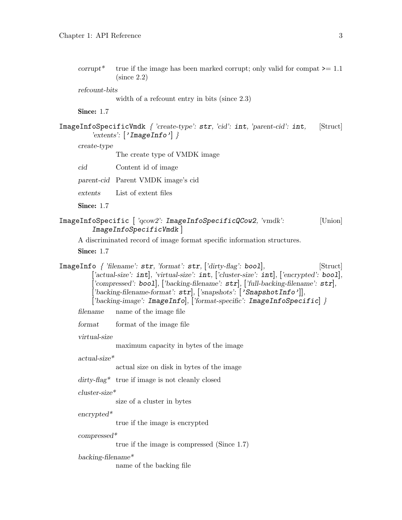corrupt<sup>\*</sup> true if the image has been marked corrupt; only valid for compat  $\geq 1.1$ (since 2.2)

refcount-bits

width of a refcount entry in bits (since 2.3)

Since: 1.7

```
ImageInfoSpecificVmdk { 'create-type': str, 'cid': int, 'parent-cid': int, [Struct]
  'extents': \lceil'ImageInfo'] }
```
create-type

The create type of VMDK image

| cid | Content id of image |  |  |
|-----|---------------------|--|--|
|     |                     |  |  |

parent-cid Parent VMDK image's cid

extents List of extent files

Since: 1.7

```
ImageInfoSpecific | 'qcow2': ImageInfoSpecificQCow2, 'vmdk': [Union]
ImageInfoSpecificVmdk ]
```
A discriminated record of image format specific information structures.

Since: 1.7

ImageInfo  $\int$ 'filename': str, 'format': str,  $\int$ 'dirty-flag': boo1, [Struct] 'actual-size':  $int.$  'virtual-size':  $int.$  ['cluster-size':  $int.$  ['encrypted': bool],  $[$ 'compressed': bool],  $[$ 'backing-filename':  $str]$ ,  $[$ 'full-backing-filename':  $str]$ ,  $[\text{'background'}: str], [\text{'snapshots'}: \text{'SnapshotInfo'}]],$ ['backing-image': ImageInfo], ['format-specific': ImageInfoSpecific] }

filename name of the image file

format format of the image file

virtual-size

maximum capacity in bytes of the image

actual-size\*

actual size on disk in bytes of the image

dirty-flag\* true if image is not cleanly closed

cluster-size\*

size of a cluster in bytes

encrypted\*

true if the image is encrypted

compressed\*

true if the image is compressed (Since 1.7)

backing-filename\*

name of the backing file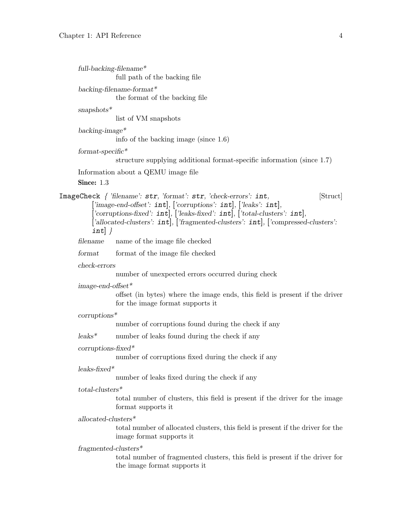| $full-backing$ -filename* | full path of the backing file                                                                                                                                                                                                                                                                                                                 |
|---------------------------|-----------------------------------------------------------------------------------------------------------------------------------------------------------------------------------------------------------------------------------------------------------------------------------------------------------------------------------------------|
|                           | $backing$ -filename-format*<br>the format of the backing file                                                                                                                                                                                                                                                                                 |
| $snapshots^*$             | list of VM snapshots                                                                                                                                                                                                                                                                                                                          |
| $background*$             | info of the backing image (since $1.6$ )                                                                                                                                                                                                                                                                                                      |
| $format-specific*$        |                                                                                                                                                                                                                                                                                                                                               |
|                           | structure supplying additional format-specific information (since 1.7)<br>Information about a QEMU image file                                                                                                                                                                                                                                 |
| Since: $1.3$              |                                                                                                                                                                                                                                                                                                                                               |
| $int$ }                   | ImageCheck { 'filename': str, 'format': str, 'check-errors': int,<br>[Struct]<br>['image-end-offset': $int$ ], ['corruptions': $int$ ], ['leaks': $int$ ],<br>['corruptions-fixed': $int$ ], ['leaks-fixed': $int$ ], ['total-clusters': $int$ ],<br>['allocated-clusters': $int$ ], ['fragmented-clusters': $int$ ], ['compressed-clusters': |
| filename                  | name of the image file checked                                                                                                                                                                                                                                                                                                                |
| format                    | format of the image file checked                                                                                                                                                                                                                                                                                                              |
| check-errors              | number of unexpected errors occurred during check                                                                                                                                                                                                                                                                                             |
| $image-end-offset*$       | offset (in bytes) where the image ends, this field is present if the driver<br>for the image format supports it                                                                                                                                                                                                                               |
| $corryptions*$            |                                                                                                                                                                                                                                                                                                                                               |
|                           | number of corruptions found during the check if any                                                                                                                                                                                                                                                                                           |
| $leaks^*$                 | number of leaks found during the check if any                                                                                                                                                                                                                                                                                                 |
| $corryptions$ -fixed*     | number of corruptions fixed during the check if any                                                                                                                                                                                                                                                                                           |
| $leaks\text{-fixed*}$     | number of leaks fixed during the check if any                                                                                                                                                                                                                                                                                                 |
| $total-clusters*$         | total number of clusters, this field is present if the driver for the image<br>format supports it                                                                                                                                                                                                                                             |
| $allocated-clusters*$     | total number of allocated clusters, this field is present if the driver for the<br>image format supports it                                                                                                                                                                                                                                   |
| $fragmented-clusters*$    | total number of fragmented clusters, this field is present if the driver for<br>the image format supports it                                                                                                                                                                                                                                  |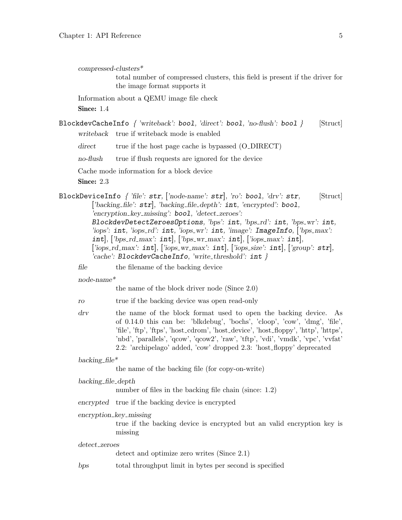compressed-clusters\*

total number of compressed clusters, this field is present if the driver for the image format supports it

Information about a QEMU image file check

Since: 1.4

BlockdevCacheInfo  $\{$  'writeback': bool, 'direct': bool, 'no-flush': bool  $\}$  [Struct] writeback true if writeback mode is enabled

direct true if the host page cache is bypassed (O\_DIRECT)

no-flush true if flush requests are ignored for the device

Cache mode information for a block device

Since: 2.3

BlockDeviceInfo  $\int$  'file': str, ['node-name': str, 'ro': bool, 'drv': str, [Struct] ['backing\_file': str], 'backing\_file\_depth': int, 'encrypted': bool, 'encryption\_key\_missing': bool, 'detect\_zeroes': BlockdevDetectZeroesOptions, 'bps': int, 'bps\_rd': int, 'bps\_wr': int, 'iops':  $int$ , 'iops\_rd':  $int$ , 'iops\_wr':  $int$ , 'image':  $ImageInfo$ , [' $bps$ \_max': int], ['bps\_rd\_max': int], ['bps\_wr\_max': int], ['iops\_max': int], ['iops\_rd\_max':  $int$ ], ['iops\_wr\_max':  $int$ ], ['iops\_size':  $int$ ], ['group':  $str$ ], 'cache': BlockdevCacheInfo, 'write\_threshold':  $int \}$ 

file the filename of the backing device

node-name\*

the name of the block driver node (Since 2.0)

ro true if the backing device was open read-only

drv the name of the block format used to open the backing device. As of 0.14.0 this can be: 'blkdebug', 'bochs', 'cloop', 'cow', 'dmg', 'file', 'file', 'ftp', 'ftps', 'host cdrom', 'host device', 'host floppy', 'http', 'https', 'nbd', 'parallels', 'qcow', 'qcow2', 'raw', 'tftp', 'vdi', 'vmdk', 'vpc', 'vvfat' 2.2: 'archipelago' added, 'cow' dropped 2.3: 'host floppy' deprecated

backing  $file^*$ 

the name of the backing file (for copy-on-write)

```
backing file depth
```
number of files in the backing file chain (since: 1.2)

encrypted true if the backing device is encrypted

encryption key missing

true if the backing device is encrypted but an valid encryption key is missing

detect zeroes

detect and optimize zero writes (Since 2.1)

bps total throughput limit in bytes per second is specified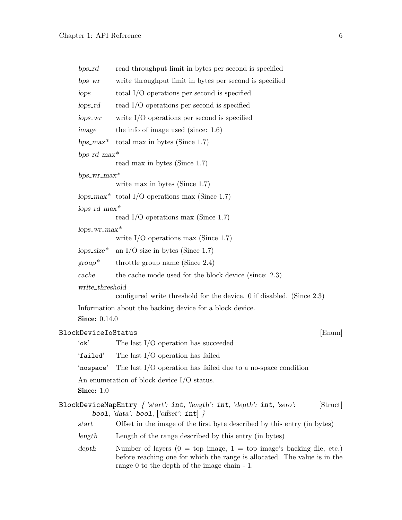| $bps\_rd$                  | read throughput limit in bytes per second is specified                                                                                                                                                                  |  |
|----------------------------|-------------------------------------------------------------------------------------------------------------------------------------------------------------------------------------------------------------------------|--|
| $bps_WT$                   | write throughput limit in bytes per second is specified                                                                                                                                                                 |  |
| iops                       | total $I/O$ operations per second is specified                                                                                                                                                                          |  |
| iops_rd                    | read $I/O$ operations per second is specified                                                                                                                                                                           |  |
| iops_wr                    | write $I/O$ operations per second is specified                                                                                                                                                                          |  |
| image                      | the info of image used (since: $1.6$ )                                                                                                                                                                                  |  |
|                            | bps_max* total max in bytes (Since 1.7)                                                                                                                                                                                 |  |
| $bps\_rd\_max*$            |                                                                                                                                                                                                                         |  |
|                            | read max in bytes (Since 1.7)                                                                                                                                                                                           |  |
| $bps\_wr\_max*$            |                                                                                                                                                                                                                         |  |
|                            | write max in bytes (Since $1.7$ )                                                                                                                                                                                       |  |
|                            | iops_max* total I/O operations max (Since 1.7)                                                                                                                                                                          |  |
| $iops\_rd\_max*$           | read I/O operations max (Since 1.7)                                                                                                                                                                                     |  |
| $i$ ops_wr_max*            |                                                                                                                                                                                                                         |  |
|                            | write $I/O$ operations max (Since 1.7)                                                                                                                                                                                  |  |
| $iops\_size*$              | an I/O size in bytes (Since 1.7)                                                                                                                                                                                        |  |
| $group^*$                  | throttle group name (Since $2.4$ )                                                                                                                                                                                      |  |
| cache                      | the cache mode used for the block device (since: 2.3)                                                                                                                                                                   |  |
| write_threshold            |                                                                                                                                                                                                                         |  |
|                            | configured write threshold for the device. $0$ if disabled. (Since 2.3)                                                                                                                                                 |  |
|                            | Information about the backing device for a block device.                                                                                                                                                                |  |
| <b>Since: 0.14.0</b>       |                                                                                                                                                                                                                         |  |
| <b>BlockDeviceIoStatus</b> | [Enum]                                                                                                                                                                                                                  |  |
| $'$ ok'                    | The last $I/O$ operation has succeeded                                                                                                                                                                                  |  |
| 'failed'                   | The last $I/O$ operation has failed                                                                                                                                                                                     |  |
|                            | 'nospace' The last I/O operation has failed due to a no-space condition                                                                                                                                                 |  |
|                            | An enumeration of block device $I/O$ status.                                                                                                                                                                            |  |
| Since: $1.0$               |                                                                                                                                                                                                                         |  |
|                            | BlockDeviceMapEntry { 'start': int, 'length': int, 'depth': int, 'zero':<br>[Struct]<br>bool, 'data': bool, $[\text{offset}']$ int                                                                                      |  |
| start                      | Offset in the image of the first byte described by this entry (in bytes)                                                                                                                                                |  |
| length                     | Length of the range described by this entry (in bytes)                                                                                                                                                                  |  |
| depth                      | Number of layers $(0 = top \text{ image}, 1 = top \text{ image's backing file}, etc.)$<br>before reaching one for which the range is allocated. The value is in the<br>range $0$ to the depth of the image chain $-1$ . |  |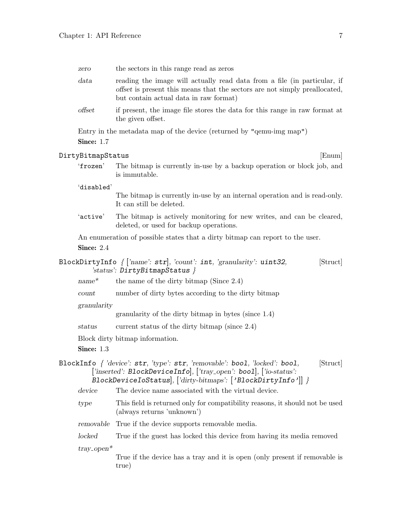| zero                    | the sectors in this range read as zeros                                                                                                                                                                                      |  |
|-------------------------|------------------------------------------------------------------------------------------------------------------------------------------------------------------------------------------------------------------------------|--|
| data                    | reading the image will actually read data from a file (in particular, if<br>offset is present this means that the sectors are not simply preallocated,<br>but contain actual data in raw format)                             |  |
| offset                  | if present, the image file stores the data for this range in raw format at<br>the given offset.                                                                                                                              |  |
|                         | Entry in the metadata map of the device (returned by "qemu-img map")                                                                                                                                                         |  |
| Since: $1.7$            |                                                                                                                                                                                                                              |  |
| DirtyBitmapStatus       | [Enum]                                                                                                                                                                                                                       |  |
| 'frozen'                | The bitmap is currently in-use by a backup operation or block job, and<br>is immutable.                                                                                                                                      |  |
| 'disabled'              | The bitmap is currently in-use by an internal operation and is read-only.<br>It can still be deleted.                                                                                                                        |  |
| 'active'                | The bitmap is actively monitoring for new writes, and can be cleared,<br>deleted, or used for backup operations.                                                                                                             |  |
| Since: 2.4              | An enumeration of possible states that a dirty bitmap can report to the user.                                                                                                                                                |  |
|                         | BlockDirtyInfo $\{$ ['name': str], 'count': int, 'granularity': uint32,<br>[Struct]<br>'status': $DirtyBitmapStatus$ }                                                                                                       |  |
| $name^*$                | the name of the dirty bitmap (Since $2.4$ )                                                                                                                                                                                  |  |
| count                   | number of dirty bytes according to the dirty bitmap                                                                                                                                                                          |  |
| granularity             |                                                                                                                                                                                                                              |  |
|                         | granularity of the dirty bitmap in bytes (since 1.4)                                                                                                                                                                         |  |
| status                  | current status of the dirty bitmap (since 2.4)                                                                                                                                                                               |  |
| Since: 1.3              | Block dirty bitmap information.                                                                                                                                                                                              |  |
|                         | BlockInfo { 'device': str, 'type': str, 'removable': bool, 'locked': bool,<br>[Struct]<br>['inserted': BlockDeviceInfo], ['tray_open': bool], ['io-status':<br>BlockDeviceIoStatus , ['dirty-bitmaps': ['BlockDirtyInfo']] } |  |
| device                  | The device name associated with the virtual device.                                                                                                                                                                          |  |
| type                    | This field is returned only for compatibility reasons, it should not be used<br>(always returns 'unknown')                                                                                                                   |  |
| removable               | True if the device supports removable media.                                                                                                                                                                                 |  |
| locked                  | True if the guest has locked this device from having its media removed                                                                                                                                                       |  |
| $tray\_\mathrm{open}^*$ |                                                                                                                                                                                                                              |  |

True if the device has a tray and it is open (only present if removable is true)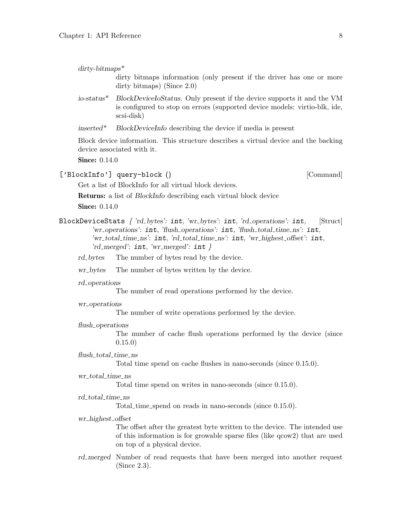| $\mathrm{d}$ ity-bitmaps <sup>*</sup> |                                                                       |  |  |  |  |  |
|---------------------------------------|-----------------------------------------------------------------------|--|--|--|--|--|
|                                       | dirty bitmaps information (only present if the driver has one or more |  |  |  |  |  |
|                                       | dirty bitmaps) (Since $2.0$ )                                         |  |  |  |  |  |

- io-status\* BlockDeviceIoStatus. Only present if the device supports it and the VM is configured to stop on errors (supported device models: virtio-blk, ide, scsi-disk)
- inserted\* BlockDeviceInfo describing the device if media is present

Block device information. This structure describes a virtual device and the backing device associated with it.

**Since: 0.14.0** 

# ['BlockInfo'] query-block () [Command]

Get a list of BlockInfo for all virtual block devices.

- Returns: a list of BlockInfo describing each virtual block device **Since:** 0.14.0
- BlockDeviceStats { 'rd bytes': int, 'wr bytes': int, 'rd operations': int, [Struct] 'wr\_operations': int, 'flush\_operations': int, 'flush\_total\_time\_ns': int, 'wr\_total\_time\_ns': int, 'rd\_total\_time\_ns': int, 'wr\_highest\_offset': int, 'rd\_merged':  $int, 'wr_m erged$ ':  $int \}$

rd bytes The number of bytes read by the device.

wr\_bytes The number of bytes written by the device.

#### rd\_operations

The number of read operations performed by the device.

wr<sub>-</sub>operations

The number of write operations performed by the device.

flush<sub>-</sub>operations

The number of cache flush operations performed by the device (since 0.15.0)

#### flush\_total\_time\_ns

Total time spend on cache flushes in nano-seconds (since 0.15.0).

# wr\_total\_time\_ns

Total time spend on writes in nano-seconds (since 0.15.0).

### rd\_total\_time\_ns

Total time spend on reads in nano-seconds (since 0.15.0).

# wr highest offset

The offset after the greatest byte written to the device. The intended use of this information is for growable sparse files (like qcow2) that are used on top of a physical device.

rd merged Number of read requests that have been merged into another request (Since 2.3).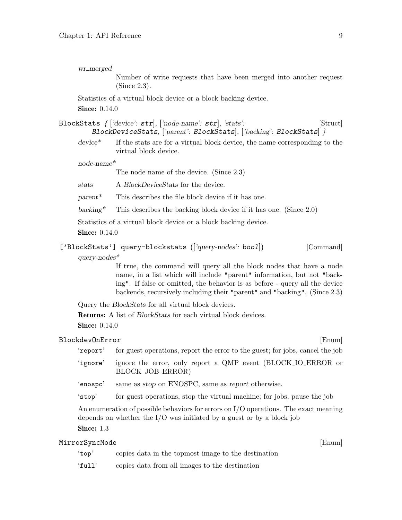wr\_merged

Number of write requests that have been merged into another request (Since 2.3).

Statistics of a virtual block device or a block backing device.

**Since: 0.14.0** 

| BlockStats $\int [\text{'device': str}]$ , $[\text{'node-name': str}]$ , 'stats': |                                                                     | [Struct] |
|-----------------------------------------------------------------------------------|---------------------------------------------------------------------|----------|
|                                                                                   | BlockDeviceStats, ['parent': BlockStats], ['backing': BlockStats] } |          |

device\* If the stats are for a virtual block device, the name corresponding to the virtual block device.

node-name\*

The node name of the device. (Since 2.3)

stats A BlockDeviceStats for the device.

 $parent^*$  This describes the file block device if it has one.

backing\* This describes the backing block device if it has one. (Since  $2.0$ )

Statistics of a virtual block device or a block backing device.

**Since:** 0.14.0

| ['BlockStats'] query-blockstats (['query-nodes': bool]) |  | [Command] |
|---------------------------------------------------------|--|-----------|
| $query-nodes^*$                                         |  |           |

If true, the command will query all the block nodes that have a node name, in a list which will include "parent" information, but not "backing". If false or omitted, the behavior is as before - query all the device backends, recursively including their "parent" and "backing". (Since 2.3)

Query the BlockStats for all virtual block devices.

Returns: A list of BlockStats for each virtual block devices.

**Since:** 0.14.0

# BlockdevOnError [Enum]

'report' for guest operations, report the error to the guest; for jobs, cancel the job 'ignore' ignore the error, only report a QMP event (BLOCK IO ERROR or BLOCK JOB ERROR)

'enospc' same as stop on ENOSPC, same as report otherwise.

'stop' for guest operations, stop the virtual machine; for jobs, pause the job

An enumeration of possible behaviors for errors on I/O operations. The exact meaning depends on whether the I/O was initiated by a guest or by a block job Since: 1.3

# MirrorSyncMode [Enum]

- 'top' copies data in the topmost image to the destination
- 'full' copies data from all images to the destination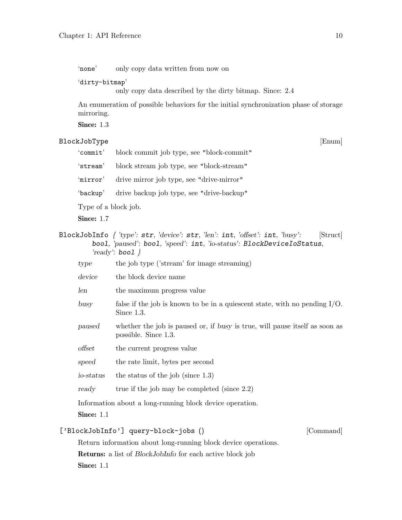'none' only copy data written from now on

'dirty-bitmap'

only copy data described by the dirty bitmap. Since: 2.4

An enumeration of possible behaviors for the initial synchronization phase of storage mirroring.

Since: 1.3

# BlockJobType [Enum]

'commit' block commit job type, see "block-commit"

'stream' block stream job type, see "block-stream"

'mirror' drive mirror job type, see "drive-mirror"

'backup' drive backup job type, see "drive-backup"

Type of a block job.

Since: 1.7

- BlockJobInfo { 'type': str, 'device': str, 'len': int, 'offset': int, 'busy': [Struct] bool, 'paused': bool, 'speed': int, 'io-status': BlockDeviceIoStatus, 'ready': **bool**  $\}$ 
	- type the job type ('stream' for image streaming)
	- device the block device name
	- len the maximum progress value
	- busy false if the job is known to be in a quiescent state, with no pending I/O. Since 1.3.
	- paused whether the job is paused or, if busy is true, will pause itself as soon as possible. Since 1.3.
	- offset the current progress value
	- speed the rate limit, bytes per second
	- io-status the status of the job (since 1.3)
	- ready true if the job may be completed (since 2.2)

Information about a long-running block device operation.

Since: 1.1

# ['BlockJobInfo'] query-block-jobs () [Command]

Return information about long-running block device operations. Returns: a list of BlockJobInfo for each active block job Since: 1.1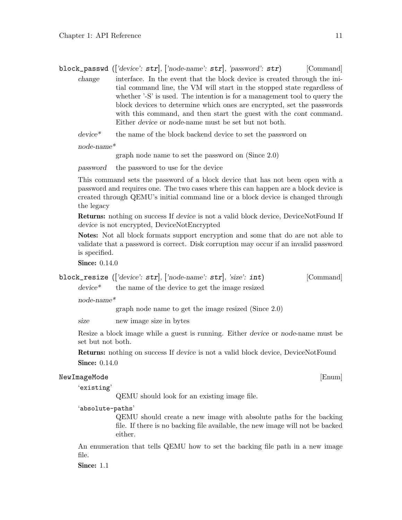block\_passwd (['device':  $str$ ], ['node-name':  $str$ ], 'password':  $str$ ] [Command] change interface. In the event that the block device is created through the initial command line, the VM will start in the stopped state regardless of whether '-S' is used. The intention is for a management tool to query the block devices to determine which ones are encrypted, set the passwords with this command, and then start the guest with the *cont* command. Either device or node-name must be set but not both.

device\* the name of the block backend device to set the password on

node-name\*

graph node name to set the password on (Since 2.0)

password the password to use for the device

This command sets the password of a block device that has not been open with a password and requires one. The two cases where this can happen are a block device is created through QEMU's initial command line or a block device is changed through the legacy

Returns: nothing on success If device is not a valid block device, DeviceNotFound If device is not encrypted, DeviceNotEncrypted

Notes: Not all block formats support encryption and some that do are not able to validate that a password is correct. Disk corruption may occur if an invalid password is specified.

Since: 0.14.0

block\_resize  $(|'device': str|, |'node-name': str|, 'size': int)$  [Command]

device\* the name of the device to get the image resized

node-name\*

graph node name to get the image resized (Since 2.0)

size new image size in bytes

Resize a block image while a guest is running. Either device or node-name must be set but not both.

Returns: nothing on success If device is not a valid block device, DeviceNotFound

**Since:** 0.14.0

# NewImageMode [Enum]

'existing'

QEMU should look for an existing image file.

'absolute-paths'

QEMU should create a new image with absolute paths for the backing file. If there is no backing file available, the new image will not be backed either.

An enumeration that tells QEMU how to set the backing file path in a new image file.

Since: 1.1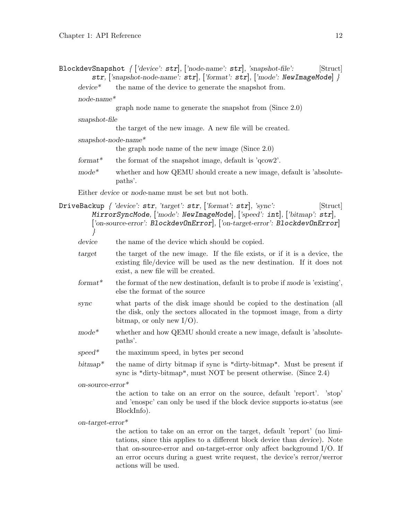BlockdevSnapshot  $\int$  ['device': str], ['node-name': str], 'snapshot-file': [Struct] str, ['snapshot-node-name':  $str$ ], ['format':  $str$ ], ['mode': NewImageMode] }

device<sup>\*</sup> the name of the device to generate the snapshot from.

node-name\*

graph node name to generate the snapshot from (Since 2.0)

snapshot-file

the target of the new image. A new file will be created.

snapshot-node-name\*

the graph node name of the new image (Since 2.0)

- format<sup>\*</sup> the format of the snapshot image, default is  $'q\text{cov}2'$ .
- $mode^*$  whether and how QEMU should create a new image, default is 'absolutepaths'.

Either device or node-name must be set but not both.

DriveBackup  $\int$  'device': str, 'target': str, ['format': str], 'sync': [Struct] MirrorSyncMode, ['mode': NewImageMode], ['speed': int], ['bitmap': str], ['on-source-error': BlockdevOnError], ['on-target-error': BlockdevOnError] }

device the name of the device which should be copied.

- target the target of the new image. If the file exists, or if it is a device, the existing file/device will be used as the new destination. If it does not exist, a new file will be created.
- format<sup>\*</sup> the format of the new destination, default is to probe if mode is 'existing', else the format of the source
- sync what parts of the disk image should be copied to the destination (all the disk, only the sectors allocated in the topmost image, from a dirty bitmap, or only new  $I/O$ ).
- mode<sup>\*</sup> whether and how QEMU should create a new image, default is 'absolutepaths'.
- $speed^*$  the maximum speed, in bytes per second
- $bitmap$ <sup>\*</sup> the name of dirty bitmap if sync is "dirty-bitmap". Must be present if sync is "dirty-bitmap", must NOT be present otherwise. (Since 2.4)

on-source-error\*

the action to take on an error on the source, default 'report'. 'stop' and 'enospc' can only be used if the block device supports io-status (see BlockInfo).

on-target-error\*

the action to take on an error on the target, default 'report' (no limitations, since this applies to a different block device than device). Note that on-source-error and on-target-error only affect background I/O. If an error occurs during a guest write request, the device's rerror/werror actions will be used.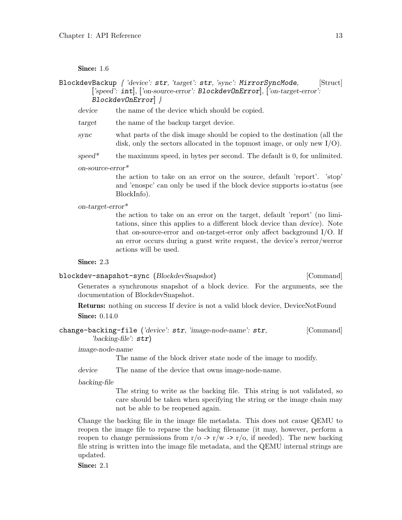# Since: 1.6

- BlockdevBackup { 'device': str, 'target': str, 'sync': MirrorSyncMode, [Struct] ['speed': int], ['on-source-error': BlockdevOnError], ['on-target-error': BlockdevOnError] }
	- device the name of the device which should be copied.
	- target the name of the backup target device.
	- sync what parts of the disk image should be copied to the destination (all the disk, only the sectors allocated in the topmost image, or only new I/O).
	- speed\* the maximum speed, in bytes per second. The default is  $0$ , for unlimited.

#### on-source-error\*

the action to take on an error on the source, default 'report'. 'stop' and 'enospc' can only be used if the block device supports io-status (see BlockInfo).

#### on-target-error\*

the action to take on an error on the target, default 'report' (no limitations, since this applies to a different block device than device). Note that on-source-error and on-target-error only affect background I/O. If an error occurs during a guest write request, the device's rerror/werror actions will be used.

#### Since: 2.3

# blockdev-snapshot-sync (BlockdevSnapshot) [Command]

Generates a synchronous snapshot of a block device. For the arguments, see the documentation of BlockdevSnapshot.

Returns: nothing on success If device is not a valid block device, DeviceNotFound **Since:** 0.14.0

```
change-backing-file ('device': str, 'image-node-name': str, [Command]
'backing-file': str)
```
### image-node-name

The name of the block driver state node of the image to modify.

device The name of the device that owns image-node-name.

#### backing-file

The string to write as the backing file. This string is not validated, so care should be taken when specifying the string or the image chain may not be able to be reopened again.

Change the backing file in the image file metadata. This does not cause QEMU to reopen the image file to reparse the backing filename (it may, however, perform a reopen to change permissions from  $r/\sigma \rightarrow r/w \rightarrow r/\sigma$ , if needed). The new backing file string is written into the image file metadata, and the QEMU internal strings are updated.

Since: 2.1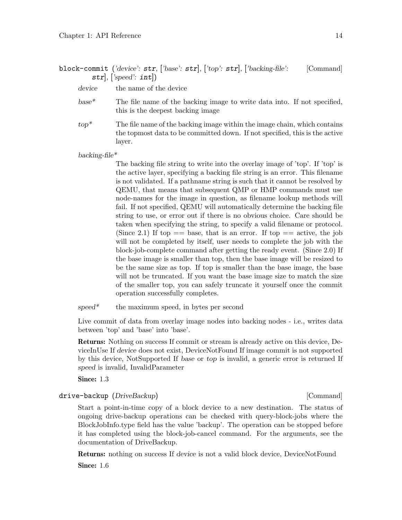block-commit ('device':  $str$ , ['base':  $str$ ], ['top':  $str$ ], ['backing-file': [Command]  $str], ['speed': int]$ 

device the name of the device

base\* The file name of the backing image to write data into. If not specified, this is the deepest backing image

 $top^*$  The file name of the backing image within the image chain, which contains the topmost data to be committed down. If not specified, this is the active layer.

backing-file\*

The backing file string to write into the overlay image of 'top'. If 'top' is the active layer, specifying a backing file string is an error. This filename is not validated. If a pathname string is such that it cannot be resolved by QEMU, that means that subsequent QMP or HMP commands must use node-names for the image in question, as filename lookup methods will fail. If not specified, QEMU will automatically determine the backing file string to use, or error out if there is no obvious choice. Care should be taken when specifying the string, to specify a valid filename or protocol. (Since 2.1) If top  $==$  base, that is an error. If top  $==$  active, the job will not be completed by itself, user needs to complete the job with the block-job-complete command after getting the ready event. (Since 2.0) If the base image is smaller than top, then the base image will be resized to be the same size as top. If top is smaller than the base image, the base will not be truncated. If you want the base image size to match the size of the smaller top, you can safely truncate it yourself once the commit operation successfully completes.

 $speed^*$  the maximum speed, in bytes per second

Live commit of data from overlay image nodes into backing nodes - i.e., writes data between 'top' and 'base' into 'base'.

Returns: Nothing on success If commit or stream is already active on this device, DeviceInUse If device does not exist, DeviceNotFound If image commit is not supported by this device, NotSupported If base or top is invalid, a generic error is returned If speed is invalid, InvalidParameter

Since: 1.3

drive-backup (DriveBackup) and the settlement of the settlement of  $[{\rm Command}]$ 

Start a point-in-time copy of a block device to a new destination. The status of ongoing drive-backup operations can be checked with query-block-jobs where the BlockJobInfo.type field has the value 'backup'. The operation can be stopped before it has completed using the block-job-cancel command. For the arguments, see the documentation of DriveBackup.

Returns: nothing on success If device is not a valid block device, DeviceNotFound Since: 1.6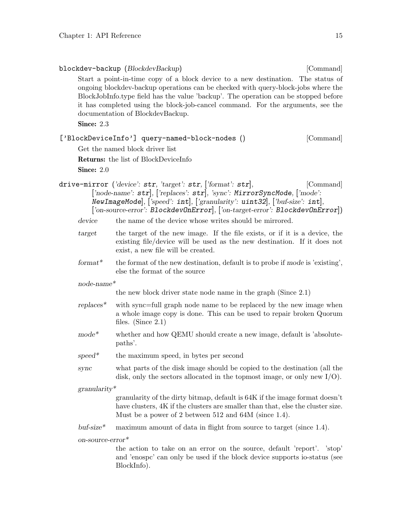|                 | it has completed using the block-job-cancel command. For the arguments, see the<br>documentation of BlockdevBackup.                                                                                                                                                                                                                              |
|-----------------|--------------------------------------------------------------------------------------------------------------------------------------------------------------------------------------------------------------------------------------------------------------------------------------------------------------------------------------------------|
| Since: 2.3      |                                                                                                                                                                                                                                                                                                                                                  |
|                 | ['BlockDeviceInfo'] query-named-block-nodes ()<br>[Command]                                                                                                                                                                                                                                                                                      |
|                 | Get the named block driver list                                                                                                                                                                                                                                                                                                                  |
|                 | <b>Returns:</b> the list of BlockDeviceInfo                                                                                                                                                                                                                                                                                                      |
| Since: 2.0      |                                                                                                                                                                                                                                                                                                                                                  |
|                 | drive-mirror ('device': $str, 'target': str, 'format': str],$<br>[Command]<br>['node-name': str], ['replaces': str], 'sync': MirrorSyncMode, ['mode':<br>New ImageMode, $[\text{'speed': int}]$ , $[\text{'granularity': unit32}]$ , $[\text{'buf-size': int}]$ ,<br>['on-source-error': BlockdevOnError], ['on-target-error': BlockdevOnError]) |
| device          | the name of the device whose writes should be mirrored.                                                                                                                                                                                                                                                                                          |
| target          | the target of the new image. If the file exists, or if it is a device, the<br>existing file/device will be used as the new destination. If it does not<br>exist, a new file will be created.                                                                                                                                                     |
| $format*$       | the format of the new destination, default is to probe if mode is 'existing',<br>else the format of the source                                                                                                                                                                                                                                   |
| $node$ -name*   |                                                                                                                                                                                                                                                                                                                                                  |
|                 | the new block driver state node name in the graph $(Since 2.1)$                                                                                                                                                                                                                                                                                  |
| $replaces^*$    | with sync=full graph node name to be replaced by the new image when<br>a whole image copy is done. This can be used to repair broken Quorum<br>files. (Since $2.1$ )                                                                                                                                                                             |
| $mode*$         | whether and how QEMU should create a new image, default is 'absolute-<br>paths'.                                                                                                                                                                                                                                                                 |
| $speed*$        | the maximum speed, in bytes per second                                                                                                                                                                                                                                                                                                           |
| sync            | what parts of the disk image should be copied to the destination (all the<br>disk, only the sectors allocated in the topmost image, or only new $I/O$ .                                                                                                                                                                                          |
| $granularity^*$ |                                                                                                                                                                                                                                                                                                                                                  |
|                 | granularity of the dirty bitmap, default is 64K if the image format doesn't<br>have clusters, 4K if the clusters are smaller than that, else the cluster size.<br>Must be a power of 2 between 512 and 64M (since 1.4).                                                                                                                          |
| $but-size*$     | maximum amount of data in flight from source to target (since 1.4).                                                                                                                                                                                                                                                                              |
|                 | on-source- $error^*$                                                                                                                                                                                                                                                                                                                             |
|                 | the action to take on an error on the source, default 'report'. 'stop'<br>and 'enospc' can only be used if the block device supports io-status (see<br>BlockInfo).                                                                                                                                                                               |

Start a point-in-time copy of a block device to a new destination. The status of ongoing blockdev-backup operations can be checked with query-block-jobs where the BlockJobInfo.type field has the value 'backup'. The operation can be stopped before

blockdev-backup (BlockdevBackup) [Command]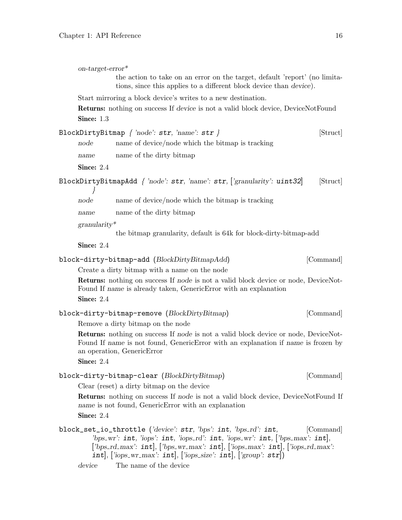| $on-target-error*$ |                                                                                                                                                                                                        |           |
|--------------------|--------------------------------------------------------------------------------------------------------------------------------------------------------------------------------------------------------|-----------|
|                    | the action to take on an error on the target, default 'report' (no limita-<br>tions, since this applies to a different block device than device).                                                      |           |
|                    | Start mirroring a block device's writes to a new destination.                                                                                                                                          |           |
|                    | <b>Returns:</b> nothing on success If device is not a valid block device, DeviceNotFound                                                                                                               |           |
| Since: 1.3         |                                                                                                                                                                                                        |           |
|                    | BlockDirtyBitmap $\{ 'node': str, 'name': str \}$                                                                                                                                                      | [Struct]  |
| node               | name of device/node which the bitmap is tracking                                                                                                                                                       |           |
| name               | name of the dirty bitmap                                                                                                                                                                               |           |
| Since: 2.4         |                                                                                                                                                                                                        |           |
|                    | BlockDirtyBitmapAdd $\{ 'node': str, 'name': str, [ 'granularity': unit32 ] \}$                                                                                                                        | [Struct]  |
| node               | name of device/node which the bitmap is tracking                                                                                                                                                       |           |
| name               | name of the dirty bitmap                                                                                                                                                                               |           |
| $granularity^*$    |                                                                                                                                                                                                        |           |
|                    | the bitmap granularity, default is 64k for block-dirty-bitmap-add                                                                                                                                      |           |
| Since: 2.4         |                                                                                                                                                                                                        |           |
|                    | block-dirty-bitmap-add (BlockDirtyBitmapAdd)                                                                                                                                                           | [Command] |
|                    | Create a dirty bitmap with a name on the node                                                                                                                                                          |           |
| Since: 2.4         | <b>Returns:</b> nothing on success If node is not a valid block device or node, DeviceNot-<br>Found If name is already taken, GenericError with an explanation                                         |           |
|                    | block-dirty-bitmap-remove (BlockDirtyBitmap)                                                                                                                                                           | [Command] |
|                    | Remove a dirty bitmap on the node                                                                                                                                                                      |           |
| Since: $2.4$       | Returns: nothing on success If node is not a valid block device or node, DeviceNot-<br>Found If name is not found, GenericError with an explanation if name is frozen by<br>an operation, GenericError |           |
|                    | block-dirty-bitmap-clear (BlockDirtyBitmap)                                                                                                                                                            | [Command] |
|                    | Clear (reset) a dirty bitmap on the device                                                                                                                                                             |           |
| Since: 2.4         | <b>Returns:</b> nothing on success If node is not a valid block device, DeviceNotFound If<br>name is not found, Generic Error with an explanation                                                      |           |
|                    | block_set_io_throttle ('device': str, 'bps': int, 'bps_rd': int,<br>'bps_wr': $int$ , 'iops': $int$ , 'iops_rd': $int$ , 'iops_wr': $int$ , ['bps_max': $int$ ],                                       | [Command] |
|                    | ['bps_rd_max': $int$ ], ['bps_wr_max': $int$ ], ['iops_max': $int$ ], ['iops_rd_max':<br>int], ['iops_wr_max': int], ['iops_size': int], ['group': $str$ ])                                            |           |

device The name of the device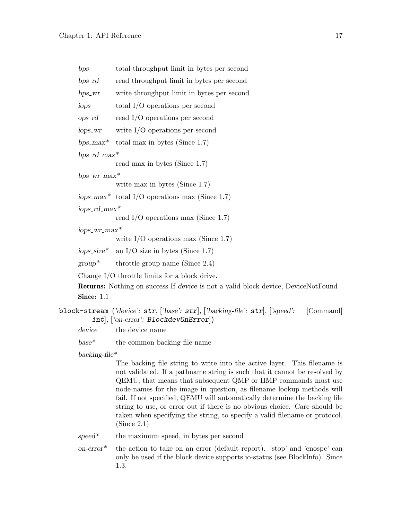| bps              | total throughput limit in bytes per second                                                      |
|------------------|-------------------------------------------------------------------------------------------------|
| $bps_r$          | read throughput limit in bytes per second                                                       |
| $bps_wr$         | write throughput limit in bytes per second                                                      |
| iops             | total $I/O$ operations per second                                                               |
| $ops\_rd$        | read $I/O$ operations per second                                                                |
| iops_wr          | write $I/O$ operations per second                                                               |
|                  | bps_max* total max in bytes (Since 1.7)                                                         |
| $bps\_rd\_max*$  |                                                                                                 |
|                  | read max in bytes (Since 1.7)                                                                   |
| $bps\_wr\_max*$  |                                                                                                 |
|                  | write max in bytes (Since $1.7$ )                                                               |
|                  | iops_max* total I/O operations max (Since 1.7)                                                  |
| $iops\_rd\_max*$ |                                                                                                 |
|                  | read I/O operations max (Since 1.7)                                                             |
| $i$ ops_wr_max*  |                                                                                                 |
|                  | write $I/O$ operations max (Since 1.7)                                                          |
| $iops\_size*$    | an I/O size in bytes (Since 1.7)                                                                |
|                  | $group^*$ throttle group name (Since 2.4)                                                       |
|                  | Change $I/O$ throttle limits for a block drive.                                                 |
|                  | <b>Returns:</b> Nothing on success If <i>device</i> is not a valid block device, DeviceNotFound |
| Since: $1.1$     |                                                                                                 |
|                  |                                                                                                 |

```
block-stream ('device': str, ['base': str], ['backing-file': str], ['speed': [Command]
  int], ['on-error': BlockdevOnError])
```
device the device name

base\* the common backing file name

backing-file\*

The backing file string to write into the active layer. This filename is not validated. If a pathname string is such that it cannot be resolved by QEMU, that means that subsequent QMP or HMP commands must use node-names for the image in question, as filename lookup methods will fail. If not specified, QEMU will automatically determine the backing file string to use, or error out if there is no obvious choice. Care should be taken when specifying the string, to specify a valid filename or protocol. (Since 2.1)

- $speed^*$  the maximum speed, in bytes per second
- on-error\* the action to take on an error (default report). 'stop' and 'enospc' can only be used if the block device supports io-status (see BlockInfo). Since 1.3.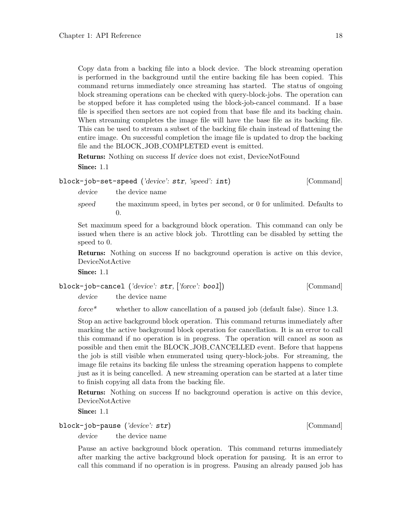Copy data from a backing file into a block device. The block streaming operation is performed in the background until the entire backing file has been copied. This command returns immediately once streaming has started. The status of ongoing block streaming operations can be checked with query-block-jobs. The operation can be stopped before it has completed using the block-job-cancel command. If a base file is specified then sectors are not copied from that base file and its backing chain. When streaming completes the image file will have the base file as its backing file. This can be used to stream a subset of the backing file chain instead of flattening the entire image. On successful completion the image file is updated to drop the backing file and the BLOCK JOB COMPLETED event is emitted.

Returns: Nothing on success If device does not exist, DeviceNotFound Since: 1.1

```
block-job-set-speed ('device': str, 'speed': int) [Command]
```
device the device name

speed the maximum speed, in bytes per second, or 0 for unlimited. Defaults to 0.

Set maximum speed for a background block operation. This command can only be issued when there is an active block job. Throttling can be disabled by setting the speed to 0.

Returns: Nothing on success If no background operation is active on this device, DeviceNotActive

Since: 1.1

block-job-cancel ('device': str, ['force': bool]) [Command] device the device name

force\* whether to allow cancellation of a paused job (default false). Since 1.3.

Stop an active background block operation. This command returns immediately after marking the active background block operation for cancellation. It is an error to call this command if no operation is in progress. The operation will cancel as soon as possible and then emit the BLOCK JOB CANCELLED event. Before that happens the job is still visible when enumerated using query-block-jobs. For streaming, the image file retains its backing file unless the streaming operation happens to complete just as it is being cancelled. A new streaming operation can be started at a later time to finish copying all data from the backing file.

Returns: Nothing on success If no background operation is active on this device, DeviceNotActive

Since: 1.1

# block-job-pause ('device': str) [Command]

device the device name

Pause an active background block operation. This command returns immediately after marking the active background block operation for pausing. It is an error to call this command if no operation is in progress. Pausing an already paused job has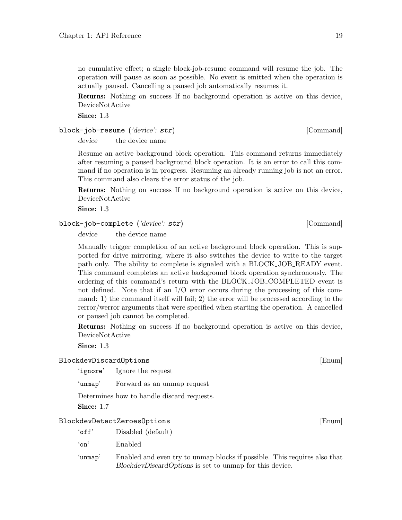no cumulative effect; a single block-job-resume command will resume the job. The operation will pause as soon as possible. No event is emitted when the operation is actually paused. Cancelling a paused job automatically resumes it.

Returns: Nothing on success If no background operation is active on this device, DeviceNotActive

Since: 1.3

block-job-resume ('device': str) [Command]

device the device name

Resume an active background block operation. This command returns immediately after resuming a paused background block operation. It is an error to call this command if no operation is in progress. Resuming an already running job is not an error. This command also clears the error status of the job.

Returns: Nothing on success If no background operation is active on this device, DeviceNotActive

Since: 1.3

block-job-complete ('device': str) [Command]

device the device name

Manually trigger completion of an active background block operation. This is supported for drive mirroring, where it also switches the device to write to the target path only. The ability to complete is signaled with a BLOCK JOB READY event. This command completes an active background block operation synchronously. The ordering of this command's return with the BLOCK JOB COMPLETED event is not defined. Note that if an  $I/O$  error occurs during the processing of this command: 1) the command itself will fail; 2) the error will be processed according to the rerror/werror arguments that were specified when starting the operation. A cancelled or paused job cannot be completed.

Returns: Nothing on success If no background operation is active on this device, DeviceNotActive

Since: 1.3

# BlockdevDiscardOptions [Enum]

'ignore' Ignore the request

'unmap' Forward as an unmap request

Determines how to handle discard requests.

Since: 1.7

#### BlockdevDetectZeroesOptions [Enum]

- 'off' Disabled (default)
- 'on' Enabled
- 'unmap' Enabled and even try to unmap blocks if possible. This requires also that BlockdevDiscardOptions is set to unmap for this device.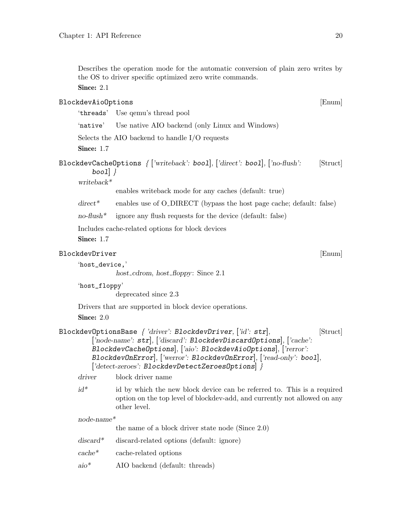Describes the operation mode for the automatic conversion of plain zero writes by the OS to driver specific optimized zero write commands.

Since: 2.1

# BlockdevAioOptions [Enum]

'threads' Use qemu's thread pool

'native' Use native AIO backend (only Linux and Windows)

Selects the AIO backend to handle I/O requests

Since: 1.7

BlockdevCacheOptions  $\{$  ['writeback': bool], ['direct': bool], ['no-flush': [Struct] bool $\}$  }

writeback\*

enables writeback mode for any caches (default: true)

 $direct^*$  enables use of O\_DIRECT (bypass the host page cache; default: false)

 $no-flush*$  ignore any flush requests for the device (default: false)

Includes cache-related options for block devices

Since: 1.7

# BlockdevDriver [Enum]

```
'host_device,'
```
host\_cdrom, host\_floppy: Since 2.1

'host\_floppy'

deprecated since 2.3

Drivers that are supported in block device operations.

Since: 2.0

```
BlockdevOptionsBase \{ 'diver': BlockdevDriver, ['id': str], [Struct]
 ['node-name': str], ['discard': BlockdevDiscardOptions], ['cache':
 BlockdevCacheOptions], ['aio': BlockdevAioOptions], ['rerror':
 BlockdevOnError], ['werror': BlockdevOnError], ['read-only': bool],
 ['detect-zeroes': BlockdevDetectZeroesOptions] }
```
driver block driver name

 $id^*$  id by which the new block device can be referred to. This is a required option on the top level of blockdev-add, and currently not allowed on any other level.

node-name\*

the name of a block driver state node (Since 2.0)

- discard\* discard-related options (default: ignore)
- cache\* cache-related options
- aio\* AIO backend (default: threads)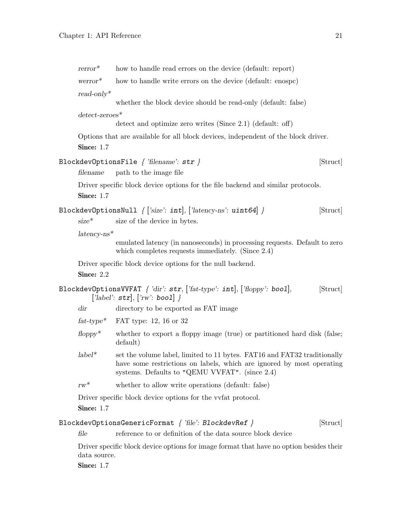| $rerror*$         | how to handle read errors on the device (default: report)                                                                                                                                              |
|-------------------|--------------------------------------------------------------------------------------------------------------------------------------------------------------------------------------------------------|
| $\text{werror}^*$ | how to handle write errors on the device (default: enospc)                                                                                                                                             |
| $read-only*$      |                                                                                                                                                                                                        |
|                   | whether the block device should be read-only (default: false)                                                                                                                                          |
| $detect$ -zeroes* |                                                                                                                                                                                                        |
|                   | detect and optimize zero writes (Since $2.1$ ) (default: off)                                                                                                                                          |
| Since: $1.7$      | Options that are available for all block devices, independent of the block driver.                                                                                                                     |
|                   | BlockdevOptionsFile $\{$ 'filename': $\texttt{str} \ \}$<br>[Struct]                                                                                                                                   |
| filename          | path to the image file                                                                                                                                                                                 |
| <b>Since: 1.7</b> | Driver specific block device options for the file backend and similar protocols.                                                                                                                       |
| $size^*$          | BlockdevOptionsNull $\{$ ['size': int], ['latency-ns': uint64] $\}$<br>[Struct]<br>size of the device in bytes.                                                                                        |
| $latency-ns*$     |                                                                                                                                                                                                        |
|                   | emulated latency (in nanoseconds) in processing requests. Default to zero<br>which completes requests immediately. (Since $2.4$ )                                                                      |
| Since: 2.2        | Driver specific block device options for the null backend.                                                                                                                                             |
|                   | BlockdevOptionsVVFAT $\{ 'dir'\colon \texttt{str}, [\text{'fat-type'}: \texttt{int}], [\text{'floppy'}: \texttt{bool}],$<br>[Struct]<br>['label': $str$ ], ['rw': bool] }                              |
| dir               | directory to be exported as FAT image                                                                                                                                                                  |
| $fat-type^*$      | FAT type: 12, 16 or 32                                                                                                                                                                                 |
| $f\$ {doppy*}     | whether to export a floppy image (true) or partitioned hard disk (false;<br>default)                                                                                                                   |
| $label**$         | set the volume label, limited to 11 bytes. FAT16 and FAT32 traditionally<br>have some restrictions on labels, which are ignored by most operating<br>systems. Defaults to "QEMU VVFAT". (since $2.4$ ) |
| $rw^*$            | whether to allow write operations (default: false)                                                                                                                                                     |
| Since: 1.7        | Driver specific block device options for the vertal protocol.                                                                                                                                          |
|                   | $\texttt{BlockdevOptionsGenerator}$ ormat $\texttt{\{ 'file': BlockdevRef \ }}$<br>[Struct]                                                                                                            |
| file              | reference to or definition of the data source block device                                                                                                                                             |
| data source.      | Driver specific block device options for image format that have no option besides their                                                                                                                |

**Since: 1.7**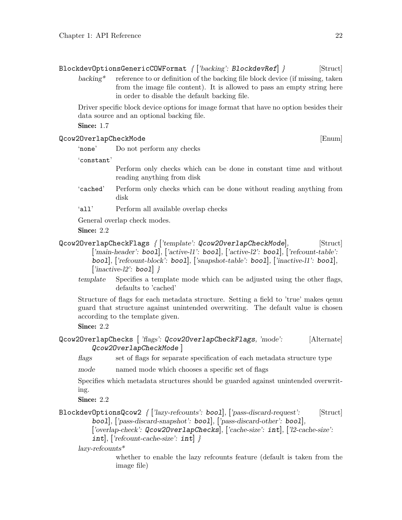Driver specific block device options for image format that have no option besides their data source and an optional backing file.

Since: 1.7

# Qcow2OverlapCheckMode [Enum]

'none' Do not perform any checks

'constant'

Perform only checks which can be done in constant time and without reading anything from disk

- 'cached' Perform only checks which can be done without reading anything from disk
- 'all' Perform all available overlap checks

General overlap check modes.

Since: 2.2

```
Qcow2OverlapCheckFlags { ['template': Qcow2OverlapCheckMode], [Struct]
  ['main-header': bool], ['active-l1': bool], ['active-l2': bool], ['refcount-table':
  bool], ['refcount-block': bool], ['snapshot-table': bool], ['inactive-l1': bool],
  \lceil \text{`inactive-}12 \rceil bool \rceil
```
template Specifies a template mode which can be adjusted using the other flags, defaults to 'cached'

Structure of flags for each metadata structure. Setting a field to 'true' makes qemu guard that structure against unintended overwriting. The default value is chosen according to the template given.

Since: 2.2

```
Qcow2OverlapChecks [ 'flags': Qcow2OverlapCheckFlags, 'mode': [Alternate]
Qcow2OverlapCheckMode ]
```
flags set of flags for separate specification of each metadata structure type

mode named mode which chooses a specific set of flags

Specifies which metadata structures should be guarded against unintended overwriting.

Since: 2.2

# BlockdevOptionsQcow2 { ['lazy-refcounts': bool], ['pass-discard-request': [Struct] bool], ['pass-discard-snapshot': bool], ['pass-discard-other': bool],

['overlap-check': Qcow2OverlapChecks], ['cache-size': int], ['l2-cache-size':

 $int$ ], ['refcount-cache-size':  $int$ ] }

lazy-refcounts\*

whether to enable the lazy refcounts feature (default is taken from the image file)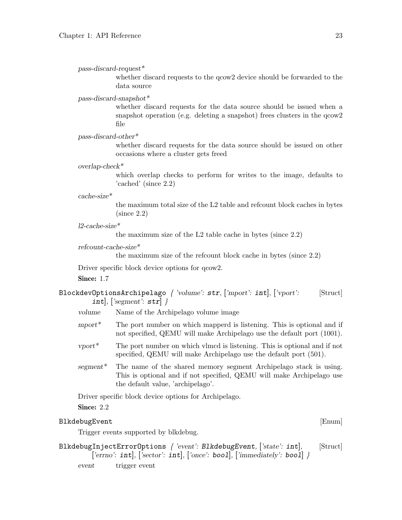pass-discard-request\*

whether discard requests to the gcow2 device should be forwarded to the data source

# pass-discard-snapshot\*

whether discard requests for the data source should be issued when a snapshot operation (e.g. deleting a snapshot) frees clusters in the  $q_{\text{c}}$ file

pass-discard-other\*

whether discard requests for the data source should be issued on other occasions where a cluster gets freed

# overlap-check\*

which overlap checks to perform for writes to the image, defaults to 'cached' (since 2.2)

#### cache-size\*

the maximum total size of the L2 table and refcount block caches in bytes (since 2.2)

#### l2-cache-size\*

the maximum size of the L2 table cache in bytes (since 2.2)

# refcount-cache-size\*

the maximum size of the refcount block cache in bytes (since 2.2)

Driver specific block device options for  $q_{\text{c}}$  gcow.

## Since: 1.7

| BlockdevOptionsArchipelago { 'volume': $str$ , ['mport': $int$ ], ['vport': |  |  | [Struct] |
|-----------------------------------------------------------------------------|--|--|----------|
| int, $[$ 'segment': $str$ }                                                 |  |  |          |

- volume Name of the Archipelago volume image
- mport\* The port number on which mapperd is listening. This is optional and if not specified, QEMU will make Archipelago use the default port (1001).
- vport\* The port number on which vlmcd is listening. This is optional and if not specified, QEMU will make Archipelago use the default port (501).
- segment\* The name of the shared memory segment Archipelago stack is using. This is optional and if not specified, QEMU will make Archipelago use the default value, 'archipelago'.

Driver specific block device options for Archipelago.

Since: 2.2

#### BlkdebugEvent [Enum]

Trigger events supported by blkdebug.

BlkdebugInjectErrorOptions  $\{$  'event': BlkdebugEvent,  $[$ 'state': int,  $[$ Struct] ['errno':  $int$ ], ['sector':  $int$ ], ['once': boo1], ['immediately': boo1] }

event trigger event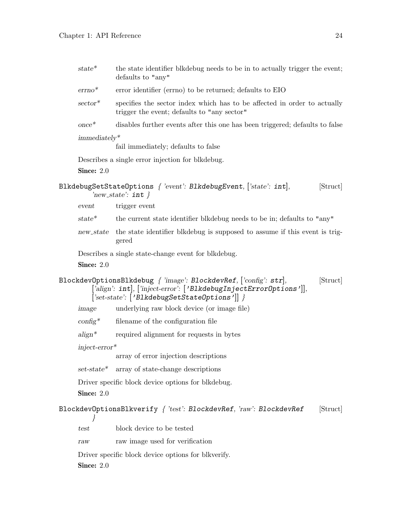| $state*$          | the state identifier blkdebug needs to be in to actually trigger the event;<br>defaults to "any"                                                                                                                         |  |
|-------------------|--------------------------------------------------------------------------------------------------------------------------------------------------------------------------------------------------------------------------|--|
| $\text{errno}^*$  | error identifier (errno) to be returned; defaults to EIO                                                                                                                                                                 |  |
| $sector^*$        | specifies the sector index which has to be affected in order to actually<br>trigger the event; defaults to "any sector"                                                                                                  |  |
| $once*$           | disables further events after this one has been triggered; defaults to false                                                                                                                                             |  |
| $immediately*$    |                                                                                                                                                                                                                          |  |
|                   | fail immediately; defaults to false                                                                                                                                                                                      |  |
|                   | Describes a single error injection for blkdebug.                                                                                                                                                                         |  |
| Since: $2.0$      |                                                                                                                                                                                                                          |  |
|                   | BlkdebugSetStateOptions $\{$ 'event': BlkdebugEvent, $[\text{'state'}: \text{int}],$<br>[Struct]<br>'new_state': $\texttt{int}$ }                                                                                        |  |
| event             | trigger event                                                                                                                                                                                                            |  |
| $state*$          | the current state identifier blkdebug needs to be in; defaults to "any"                                                                                                                                                  |  |
| new_state         | the state identifier blkdebug is supposed to assume if this event is trig-<br>gered                                                                                                                                      |  |
| <b>Since: 2.0</b> | Describes a single state-change event for blkdebug.                                                                                                                                                                      |  |
|                   | BlockdevOptionsBlkdebug $\{ \text{ 'image' : BlockdevRef, } [\text{'config' : str}],$<br>[Struct]<br>['align': int], ['inject-error': ['BlkdebugInjectError0ptions']],<br>$[Set-state$ : $['B1kdebugSetStateOptions']$ } |  |
| image             | underlying raw block device (or image file)                                                                                                                                                                              |  |
| $\text{config}^*$ | filename of the configuration file                                                                                                                                                                                       |  |
| $align^*$         | required alignment for requests in bytes                                                                                                                                                                                 |  |
| $inject-error*$   |                                                                                                                                                                                                                          |  |
|                   | array of error injection descriptions                                                                                                                                                                                    |  |
| $set-state*$      | array of state-change descriptions                                                                                                                                                                                       |  |
|                   | Driver specific block device options for blkdebug.                                                                                                                                                                       |  |
| Since: 2.0        |                                                                                                                                                                                                                          |  |
|                   | BlockdevOptionsBlkverify { 'test': BlockdevRef, 'raw': BlockdevRef<br>[Struct]                                                                                                                                           |  |
| test              | block device to be tested                                                                                                                                                                                                |  |
| raw               | raw image used for verification                                                                                                                                                                                          |  |
| Since: $2.0$      | Driver specific block device options for blkverify.                                                                                                                                                                      |  |
|                   |                                                                                                                                                                                                                          |  |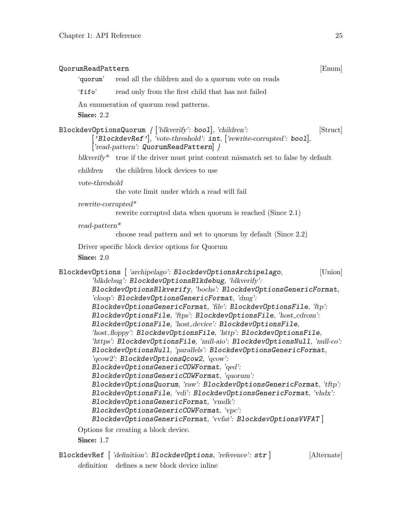| QuorumReadPattern<br>[Enum]                                                                                                                                                                                                                                                                                                                                                                                                                                                                                                                                                                                                                                                                                                                                                                                                                                                                                                                                                                                                                                                                                                                                                                     |  |  |  |
|-------------------------------------------------------------------------------------------------------------------------------------------------------------------------------------------------------------------------------------------------------------------------------------------------------------------------------------------------------------------------------------------------------------------------------------------------------------------------------------------------------------------------------------------------------------------------------------------------------------------------------------------------------------------------------------------------------------------------------------------------------------------------------------------------------------------------------------------------------------------------------------------------------------------------------------------------------------------------------------------------------------------------------------------------------------------------------------------------------------------------------------------------------------------------------------------------|--|--|--|
| 'quorum'<br>read all the children and do a quorum vote on reads                                                                                                                                                                                                                                                                                                                                                                                                                                                                                                                                                                                                                                                                                                                                                                                                                                                                                                                                                                                                                                                                                                                                 |  |  |  |
| $'$ fifo $'$<br>read only from the first child that has not failed                                                                                                                                                                                                                                                                                                                                                                                                                                                                                                                                                                                                                                                                                                                                                                                                                                                                                                                                                                                                                                                                                                                              |  |  |  |
| An enumeration of quorum read patterns.                                                                                                                                                                                                                                                                                                                                                                                                                                                                                                                                                                                                                                                                                                                                                                                                                                                                                                                                                                                                                                                                                                                                                         |  |  |  |
| Since: 2.2                                                                                                                                                                                                                                                                                                                                                                                                                                                                                                                                                                                                                                                                                                                                                                                                                                                                                                                                                                                                                                                                                                                                                                                      |  |  |  |
| BlockdevOptionsQuorum $\{$ ['blkverify': bool], 'children':<br>[Struct]<br>['BlockdevRef'], 'vote-threshold': int, ['rewrite-corrupted': bool],<br>$\lceil \text{read-pattern} \rceil$ : QuorumReadPattern $\rceil$ }                                                                                                                                                                                                                                                                                                                                                                                                                                                                                                                                                                                                                                                                                                                                                                                                                                                                                                                                                                           |  |  |  |
| blkverify <sup>*</sup> true if the driver must print content mismatch set to false by default                                                                                                                                                                                                                                                                                                                                                                                                                                                                                                                                                                                                                                                                                                                                                                                                                                                                                                                                                                                                                                                                                                   |  |  |  |
| the children block devices to use<br>children                                                                                                                                                                                                                                                                                                                                                                                                                                                                                                                                                                                                                                                                                                                                                                                                                                                                                                                                                                                                                                                                                                                                                   |  |  |  |
| vote-threshold                                                                                                                                                                                                                                                                                                                                                                                                                                                                                                                                                                                                                                                                                                                                                                                                                                                                                                                                                                                                                                                                                                                                                                                  |  |  |  |
| the vote limit under which a read will fail                                                                                                                                                                                                                                                                                                                                                                                                                                                                                                                                                                                                                                                                                                                                                                                                                                                                                                                                                                                                                                                                                                                                                     |  |  |  |
| $rewrite-corrupted*$<br>rewrite corrupted data when quorum is reached (Since 2.1)                                                                                                                                                                                                                                                                                                                                                                                                                                                                                                                                                                                                                                                                                                                                                                                                                                                                                                                                                                                                                                                                                                               |  |  |  |
| $read-partern*$                                                                                                                                                                                                                                                                                                                                                                                                                                                                                                                                                                                                                                                                                                                                                                                                                                                                                                                                                                                                                                                                                                                                                                                 |  |  |  |
| choose read pattern and set to quorum by default (Since 2.2)                                                                                                                                                                                                                                                                                                                                                                                                                                                                                                                                                                                                                                                                                                                                                                                                                                                                                                                                                                                                                                                                                                                                    |  |  |  |
| Driver specific block device options for Quorum                                                                                                                                                                                                                                                                                                                                                                                                                                                                                                                                                                                                                                                                                                                                                                                                                                                                                                                                                                                                                                                                                                                                                 |  |  |  |
| Since: 2.0                                                                                                                                                                                                                                                                                                                                                                                                                                                                                                                                                                                                                                                                                                                                                                                                                                                                                                                                                                                                                                                                                                                                                                                      |  |  |  |
| BlockdevOptions [ 'archipelago': BlockdevOptionsArchipelago,<br>[Union]<br>'blkdebug': BlockdevOptionsBlkdebug, 'blkverify':<br>BlockdevOptionsBlkverify, 'bochs': BlockdevOptionsGenericFormat,<br>'cloop': BlockdevOptionsGenericFormat, 'dmg':<br>BlockdevOptionsGenericFormat, 'file': BlockdevOptionsFile, 'ftp':<br>BlockdevOptionsFile, 'ftps': BlockdevOptionsFile, 'host_cdrom':<br>BlockdevOptionsFile, 'host_device': BlockdevOptionsFile,<br>'host_floppy': BlockdevOptionsFile, 'http': BlockdevOptionsFile,<br>'https': BlockdevOptionsFile, 'null-aio': BlockdevOptionsNull, 'null-co':<br>BlockdevOptionsNull, 'parallels': BlockdevOptionsGenericFormat,<br>$\lq \text{row2':}$ $\texttt{BlockdevOptionsQcov2, 'qcow':}$<br>BlockdevOptionsGenericCOWFormat, 'qed':<br>BlockdevOptionsGenericCOWFormat, 'quorum':<br>BlockdevOptionsQuorum, 'raw': BlockdevOptionsGenericFormat, 'tftp':<br>BlockdevOptionsFile, 'vdi': BlockdevOptionsGenericFormat, 'vhdx':<br>BlockdevOptionsGenericFormat, 'vmdk':<br>BlockdevOptionsGenericCOWFormat, 'vpc':<br>BlockdevOptionsGenericFormat, 'vvfat': BlockdevOptionsVVFAT]<br>Options for creating a block device.<br><b>Since: 1.7</b> |  |  |  |

BlockdevRef [ 'definition': BlockdevOptions, 'reference': str ] [Alternate] definition defines a new block device inline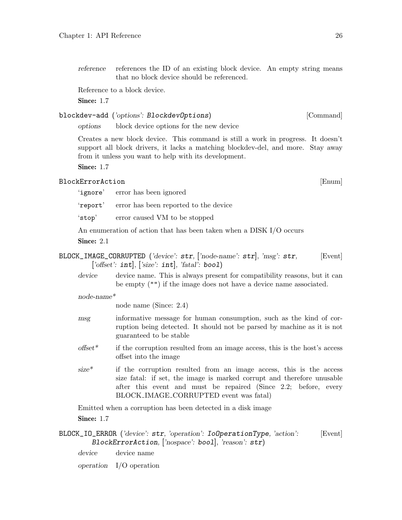reference references the ID of an existing block device. An empty string means that no block device should be referenced.

Reference to a block device.

Since: 1.7

# blockdev-add ('options': BlockdevOptions) [Command]

options block device options for the new device

Creates a new block device. This command is still a work in progress. It doesn't support all block drivers, it lacks a matching blockdev-del, and more. Stay away from it unless you want to help with its development.

Since: 1.7

# BlockErrorAction [Enum]

'ignore' error has been ignored

'report' error has been reported to the device

'stop' error caused VM to be stopped

An enumeration of action that has been taken when a DISK I/O occurs

Since: 2.1

 $BLOCK_IMAGE_CORRUPTED$  ('device':  $str$ , ['node-name':  $str$ ], 'msg':  $str$ , [Event] ['offset':  $int$ ], ['size':  $int$ ], 'fatal': bool)

device device name. This is always present for compatibility reasons, but it can be empty ("") if the image does not have a device name associated.

# node-name\*

node name (Since: 2.4)

- msg informative message for human consumption, such as the kind of corruption being detected. It should not be parsed by machine as it is not guaranteed to be stable
- $offset^*$  if the corruption resulted from an image access, this is the host's access offset into the image
- size\* if the corruption resulted from an image access, this is the access size fatal: if set, the image is marked corrupt and therefore unusable after this event and must be repaired (Since 2.2; before, every BLOCK IMAGE CORRUPTED event was fatal)

Emitted when a corruption has been detected in a disk image

Since: 1.7

BLOCK\_IO\_ERROR ('device': str, 'operation': IoOperationType, 'action': [Event] BlockErrorAction, ['nospace': bool], 'reason': str)

device device name

operation I/O operation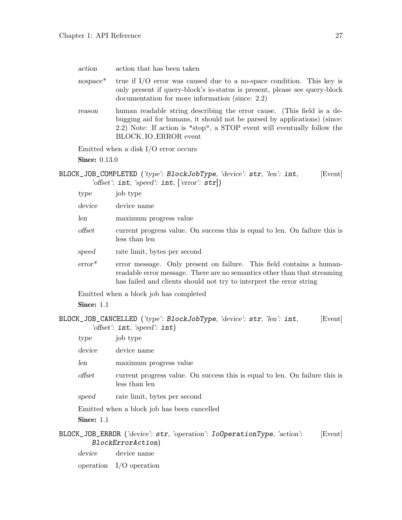| action     | action that has been taken                                                                                                                                                                                                                            |
|------------|-------------------------------------------------------------------------------------------------------------------------------------------------------------------------------------------------------------------------------------------------------|
| $nospace*$ | true if $I/O$ error was caused due to a no-space condition. This key is<br>only present if query-block's io-status is present, please see query-block<br>documentation for more information (since: 2.2)                                              |
| reason     | human readable string describing the error cause. (This field is a de-<br>bugging aid for humans, it should not be parsed by applications) (since:<br>2.2) Note: If action is "stop", a STOP event will eventually follow the<br>BLOCK_IO_ERROR event |
|            | Emitted when a disk $I/O$ error occurs                                                                                                                                                                                                                |

**Since: 0.13.0** 

BLOCK\_JOB\_COMPLETED ('type': BlockJobType, 'device': str, 'len': int, [Event] 'offset': int, 'speed': int, ['error': str])

| type           | job type                                                                                                                                                                                                                |
|----------------|-------------------------------------------------------------------------------------------------------------------------------------------------------------------------------------------------------------------------|
| device         | device name                                                                                                                                                                                                             |
| len            | maximum progress value                                                                                                                                                                                                  |
| $\,$ offse $t$ | current progress value. On success this is equal to len. On failure this is<br>less than len                                                                                                                            |
| speed          | rate limit, bytes per second                                                                                                                                                                                            |
| $error^*$      | error message. Only present on failure. This field contains a human-<br>readable error message. There are no semantics other than that streaming<br>has failed and clients should not try to interpret the error string |

Emitted when a block job has completed

Since: 1.1

BLOCK\_JOB\_CANCELLED ('type': BlockJobType, 'device': str, 'len': int, [Event] 'offset': int, 'speed': int)

| type              | job type                                                                                                |
|-------------------|---------------------------------------------------------------------------------------------------------|
| device            | device name                                                                                             |
| len               | maximum progress value                                                                                  |
| offset            | current progress value. On success this is equal to len. On failure this is<br>less than len            |
| speed             | rate limit, bytes per second                                                                            |
|                   | Emitted when a block job has been cancelled                                                             |
| <b>Since: 1.1</b> |                                                                                                         |
|                   | BLOCK_JOB_ERROR ('device': str, 'operation': IoOperationType, 'action':<br>[Event]<br>BlockErrorAction) |

device device name

operation I/O operation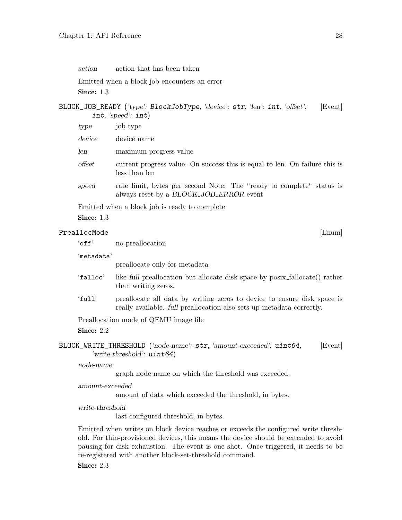action action that has been taken

Emitted when a block job encounters an error

Since: 1.3

# BLOCK\_JOB\_READY ('type': BlockJobType, 'device': str, 'len': int, 'offset': [Event] int, 'speed': int)

| type           | job type                                                                                                        |
|----------------|-----------------------------------------------------------------------------------------------------------------|
| device         | device name                                                                                                     |
| len            | maximum progress value                                                                                          |
| $\,$ offse $t$ | current progress value. On success this is equal to len. On failure this is<br>less than len                    |
| speed          | rate limit, bytes per second Note: The "ready to complete" status is<br>always reset by a BLOCK_JOB_ERROR event |

Emitted when a block job is ready to complete

Since: 1.3

# PreallocMode [Enum]

'metadata'

preallocate only for metadata

- 'falloc' like full preallocation but allocate disk space by posix fallocate() rather than writing zeros.
- 'full' preallocate all data by writing zeros to device to ensure disk space is really available. full preallocation also sets up metadata correctly.

Preallocation mode of QEMU image file

Since: 2.2

BLOCK\_WRITE\_THRESHOLD ('node-name': str, 'amount-exceeded': uint64, [Event] 'write-threshold': uint64)

node-name

graph node name on which the threshold was exceeded.

amount-exceeded

amount of data which exceeded the threshold, in bytes.

write-threshold

last configured threshold, in bytes.

Emitted when writes on block device reaches or exceeds the configured write threshold. For thin-provisioned devices, this means the device should be extended to avoid pausing for disk exhaustion. The event is one shot. Once triggered, it needs to be re-registered with another block-set-threshold command.

Since: 2.3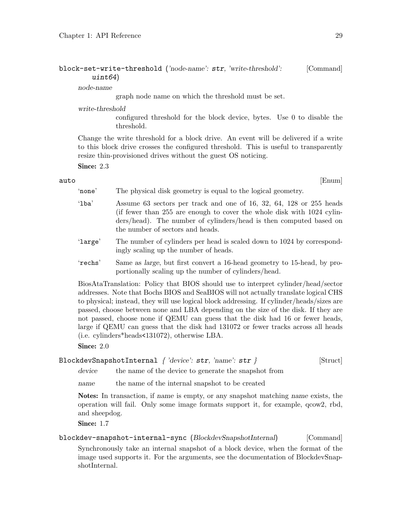# block-set-write-threshold ('node-name': str, 'write-threshold': [Command] uint64)

node-name

graph node name on which the threshold must be set.

write-threshold

configured threshold for the block device, bytes. Use 0 to disable the threshold.

Change the write threshold for a block drive. An event will be delivered if a write to this block drive crosses the configured threshold. This is useful to transparently resize thin-provisioned drives without the guest OS noticing.

Since: 2.3

 $\qquad \qquad \text{auto} \qquad \qquad \text{[Enum]}$ 

- 'none' The physical disk geometry is equal to the logical geometry.
- 'lba' Assume 63 sectors per track and one of 16, 32, 64, 128 or 255 heads (if fewer than 255 are enough to cover the whole disk with 1024 cylinders/head). The number of cylinders/head is then computed based on the number of sectors and heads.
- 'large' The number of cylinders per head is scaled down to 1024 by correspondingly scaling up the number of heads.
- 'rechs' Same as large, but first convert a 16-head geometry to 15-head, by proportionally scaling up the number of cylinders/head.

BiosAtaTranslation: Policy that BIOS should use to interpret cylinder/head/sector addresses. Note that Bochs BIOS and SeaBIOS will not actually translate logical CHS to physical; instead, they will use logical block addressing. If cylinder/heads/sizes are passed, choose between none and LBA depending on the size of the disk. If they are not passed, choose none if QEMU can guess that the disk had 16 or fewer heads, large if QEMU can guess that the disk had 131072 or fewer tracks across all heads (i.e. cylinders\*heads<131072), otherwise LBA.

Since: 2.0

# BlockdevSnapshotInternal { 'device': str, 'name': str } [Struct]

device the name of the device to generate the snapshot from

name the name of the internal snapshot to be created

Notes: In transaction, if name is empty, or any snapshot matching name exists, the operation will fail. Only some image formats support it, for example, qcow2, rbd, and sheepdog.

Since: 1.7

# blockdev-snapshot-internal-sync (BlockdevSnapshotInternal) [Command] Synchronously take an internal snapshot of a block device, when the format of the image used supports it. For the arguments, see the documentation of BlockdevSnapshotInternal.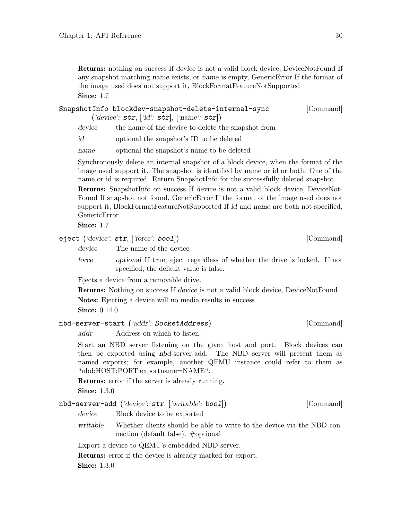Returns: nothing on success If device is not a valid block device, DeviceNotFound If any snapshot matching name exists, or name is empty, GenericError If the format of the image used does not support it, BlockFormatFeatureNotSupported Since: 1.7

| SnapshotInfo blockdev-snapshot-delete-internal-sync                | [Command] |
|--------------------------------------------------------------------|-----------|
| $(\text{'device': str}, [\text{'id': str}], [\text{'name': str}])$ |           |

device the name of the device to delete the snapshot from

id optional the snapshot's ID to be deleted

name optional the snapshot's name to be deleted

Synchronously delete an internal snapshot of a block device, when the format of the image used support it. The snapshot is identified by name or id or both. One of the name or id is required. Return SnapshotInfo for the successfully deleted snapshot.

Returns: SnapshotInfo on success If device is not a valid block device, DeviceNot-Found If snapshot not found, GenericError If the format of the image used does not support it, BlockFormatFeatureNotSupported If id and name are both not specified, GenericError

Since: 1.7

eject ('device': str, ['force': bool]) [Command]

device The name of the device

force optional If true, eject regardless of whether the drive is locked. If not specified, the default value is false.

Ejects a device from a removable drive.

Returns: Nothing on success If device is not a valid block device, DeviceNotFound Notes: Ejecting a device will no media results in success

**Since: 0.14.0** 

```
nbd-server-start ('addr': SocketAddress) [Command]
```
addr Address on which to listen.

Start an NBD server listening on the given host and port. Block devices can then be exported using nbd-server-add. The NBD server will present them as named exports; for example, another QEMU instance could refer to them as "nbd:HOST:PORT:exportname=NAME".

Returns: error if the server is already running.

**Since:** 1.3.0

nbd-server-add ('device': str, ['writable': bool]) [Command] device Block device to be exported

writable Whether clients should be able to write to the device via the NBD connection (default false). #optional

Export a device to QEMU's embedded NBD server.

Returns: error if the device is already marked for export.

**Since:** 1.3.0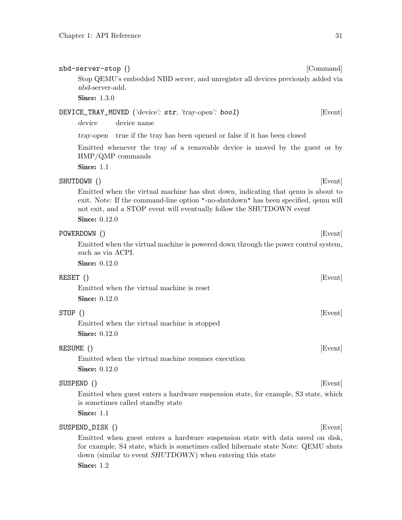nbd-server-add. **Since: 1.3.0** 

device device name

|          | tray-open true if the tray has been opened or false if it has been closed                                                                                                                                                                                               |
|----------|-------------------------------------------------------------------------------------------------------------------------------------------------------------------------------------------------------------------------------------------------------------------------|
|          | Emitted whenever the tray of a removable device is moved by the guest or by<br>$HMP/QMP$ commands                                                                                                                                                                       |
|          | <b>Since: 1.1</b>                                                                                                                                                                                                                                                       |
|          | SHUTDOWN ()<br>[Event]                                                                                                                                                                                                                                                  |
|          | Emitted when the virtual machine has shut down, indicating that gemu is about to<br>exit. Note: If the command-line option "-no-shutdown" has been specified, gemu will<br>not exit, and a STOP event will eventually follow the SHUTDOWN event<br><b>Since:</b> 0.12.0 |
|          | POWERDOWN ()<br>[Event]                                                                                                                                                                                                                                                 |
|          | Emitted when the virtual machine is powered down through the power control system,<br>such as via ACPI.                                                                                                                                                                 |
|          | <b>Since:</b> 0.12.0                                                                                                                                                                                                                                                    |
| RESET () | [Event]                                                                                                                                                                                                                                                                 |
|          | Emitted when the virtual machine is reset                                                                                                                                                                                                                               |
|          | <b>Since:</b> 0.12.0                                                                                                                                                                                                                                                    |
| STOP ()  | [Event]                                                                                                                                                                                                                                                                 |
|          | Emitted when the virtual machine is stopped                                                                                                                                                                                                                             |
|          | <b>Since:</b> 0.12.0                                                                                                                                                                                                                                                    |
|          | RESUME ()<br>[Event]                                                                                                                                                                                                                                                    |
|          | Emitted when the virtual machine resumes execution                                                                                                                                                                                                                      |
|          | <b>Since:</b> 0.12.0                                                                                                                                                                                                                                                    |
|          | SUSPEND ()<br>[Event]                                                                                                                                                                                                                                                   |
|          | Emitted when guest enters a hardware suspension state, for example, S3 state, which<br>is sometimes called standby state                                                                                                                                                |
|          | Since: 1.1                                                                                                                                                                                                                                                              |
|          | SUSPEND_DISK ()<br>[Event]                                                                                                                                                                                                                                              |
|          | Emitted when guest enters a hardware suspension state with data saved on disk,<br>for example, S4 state, which is sometimes called hibernate state Note: QEMU shuts<br>down (similar to event SHUTDOWN) when entering this state                                        |

nbd-server-stop () [Command]

DEVICE\_TRAY\_MOVED ('device': str, 'tray-open': bool) [Event]

Stop QEMU's embedded NBD server, and unregister all devices previously added via

Since: 1.2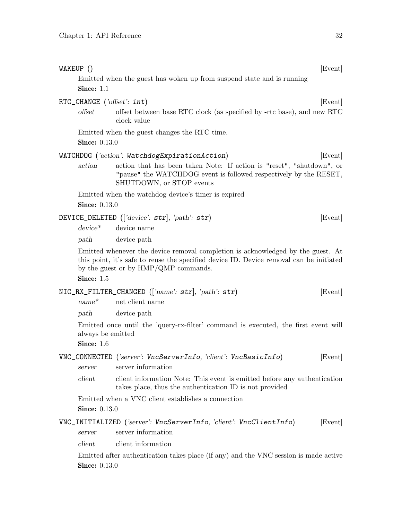| WAKEUP ()                           |                                                                                                                                                                                                                    | [Event] |
|-------------------------------------|--------------------------------------------------------------------------------------------------------------------------------------------------------------------------------------------------------------------|---------|
| Since: 1.1                          | Emitted when the guest has woken up from suspend state and is running                                                                                                                                              |         |
| RTC_CHANGE $(\text{`offset': int})$ |                                                                                                                                                                                                                    | [Event] |
| offset                              | offset between base RTC clock (as specified by -rtc base), and new RTC<br>clock value                                                                                                                              |         |
|                                     | Emitted when the guest changes the RTC time.                                                                                                                                                                       |         |
| <b>Since:</b> 0.13.0                |                                                                                                                                                                                                                    |         |
|                                     | WATCHDOG ('action': WatchdogExpirationAction)                                                                                                                                                                      | [Event] |
| action                              | action that has been taken Note: If action is "reset", "shutdown", or<br>"pause" the WATCHDOG event is followed respectively by the RESET,<br>SHUTDOWN, or STOP events                                             |         |
| <b>Since:</b> 0.13.0                | Emitted when the watchdog device's timer is expired                                                                                                                                                                |         |
|                                     | DEVICE_DELETED (['device': str], 'path': str)                                                                                                                                                                      | [Event] |
| $device^*$                          | device name                                                                                                                                                                                                        |         |
| path                                | device path                                                                                                                                                                                                        |         |
|                                     | Emitted whenever the device removal completion is acknowledged by the guest. At<br>this point, it's safe to reuse the specified device ID. Device removal can be initiated<br>by the guest or by HMP/QMP commands. |         |
| Since: 1.5                          |                                                                                                                                                                                                                    |         |
|                                     | $NIC_RX_FILTER_CHANGED$ (['name': str], 'path': str)                                                                                                                                                               | [Event] |
| $name^*$                            | net client name                                                                                                                                                                                                    |         |
| path                                | device path                                                                                                                                                                                                        |         |
| always be emitted<br>Since: 1.6     | Emitted once until the 'query-rx-filter' command is executed, the first event will                                                                                                                                 |         |
| server                              | VNC_CONNECTED ('server': VncServerInfo, 'client': VncBasicInfo)<br>server information                                                                                                                              | [Event] |
| client                              | client information Note: This event is emitted before any authentication<br>takes place, thus the authentication ID is not provided                                                                                |         |
| <b>Since:</b> 0.13.0                | Emitted when a VNC client establishes a connection                                                                                                                                                                 |         |
|                                     | VNC_INITIALIZED ('server': VncServerInfo, 'client': VncClientInfo)                                                                                                                                                 | [Event] |
| server                              | server information                                                                                                                                                                                                 |         |
| client                              | client information                                                                                                                                                                                                 |         |
|                                     | Emitted after authentication takes place (if any) and the VNC session is made active                                                                                                                               |         |
| <b>Since:</b> 0.13.0                |                                                                                                                                                                                                                    |         |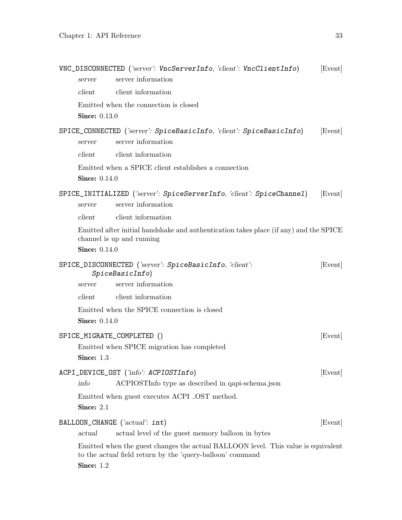|                      | VNC_DISCONNECTED ('server': VncServerInfo, 'client': VncClientInfo)                                                                            | [Event] |
|----------------------|------------------------------------------------------------------------------------------------------------------------------------------------|---------|
| server               | server information                                                                                                                             |         |
| client               | client information                                                                                                                             |         |
|                      | Emitted when the connection is closed                                                                                                          |         |
| <b>Since:</b> 0.13.0 |                                                                                                                                                |         |
| server               | SPICE_CONNECTED ('server': SpiceBasicInfo, 'client': SpiceBasicInfo)<br>server information                                                     | [Event] |
| client               | client information                                                                                                                             |         |
| <b>Since:</b> 0.14.0 | Emitted when a SPICE client establishes a connection                                                                                           |         |
| server               | SPICE_INITIALIZED ('server': SpiceServerInfo, 'client': SpiceChannel)<br>server information                                                    | [Event] |
| client               | client information                                                                                                                             |         |
|                      | Emitted after initial handshake and authentication takes place (if any) and the SPICE<br>channel is up and running                             |         |
| <b>Since:</b> 0.14.0 |                                                                                                                                                |         |
|                      | SPICE_DISCONNECTED ('server': SpiceBasicInfo, 'client':<br>SpiceBasicInfo)                                                                     | [Event] |
| server               | server information                                                                                                                             |         |
| client               | client information                                                                                                                             |         |
|                      | Emitted when the SPICE connection is closed                                                                                                    |         |
| <b>Since:</b> 0.14.0 |                                                                                                                                                |         |
|                      | SPICE_MIGRATE_COMPLETED ()<br>Emitted when SPICE migration has completed                                                                       | [Event] |
| Since: $1.3$         |                                                                                                                                                |         |
|                      | ACPI_DEVICE_OST ('info': ACPIOSTInfo)                                                                                                          | [Event] |
| info                 | ACPIOSTInfo type as described in qapi-schema.json                                                                                              |         |
|                      | Emitted when guest executes ACPI _OST method.                                                                                                  |         |
| Since: 2.1           |                                                                                                                                                |         |
| actual               | BALLOON_CHANGE $(\text{'actual': int})$<br>actual level of the guest memory balloon in bytes                                                   | [Event] |
| Since: 1.2           | Emitted when the guest changes the actual BALLOON level. This value is equivalent<br>to the actual field return by the 'query-balloon' command |         |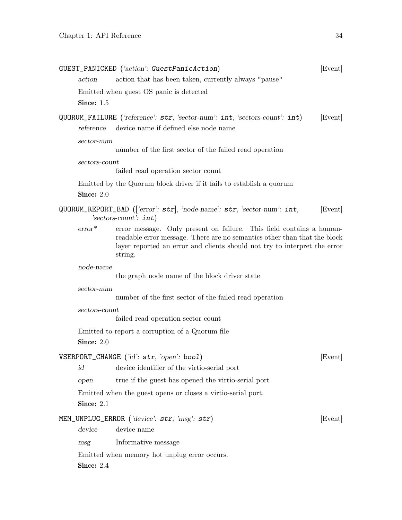|               | GUEST_PANICKED ('action': GuestPanicAction)                                                                                                                                                                                              | [Event] |
|---------------|------------------------------------------------------------------------------------------------------------------------------------------------------------------------------------------------------------------------------------------|---------|
| action        | action that has been taken, currently always "pause"                                                                                                                                                                                     |         |
|               | Emitted when guest OS panic is detected                                                                                                                                                                                                  |         |
| Since: 1.5    |                                                                                                                                                                                                                                          |         |
|               | QUORUM_FAILURE ('reference': str, 'sector-num': int, 'sectors-count': int)                                                                                                                                                               | [Event] |
| reference     | device name if defined else node name                                                                                                                                                                                                    |         |
| sector-num    |                                                                                                                                                                                                                                          |         |
|               | number of the first sector of the failed read operation                                                                                                                                                                                  |         |
| sectors-count | failed read operation sector count                                                                                                                                                                                                       |         |
|               | Emitted by the Quorum block driver if it fails to establish a quorum                                                                                                                                                                     |         |
| Since: 2.0    |                                                                                                                                                                                                                                          |         |
|               | QUORUM_REPORT_BAD (['error': $str$ ], 'node-name': $str$ , 'sector-num': int,<br>'sectors-count': $int$ )                                                                                                                                | [Event] |
| $error^*$     | error message. Only present on failure. This field contains a human-<br>readable error message. There are no semantics other than that the block<br>layer reported an error and clients should not try to interpret the error<br>string. |         |
| node-name     |                                                                                                                                                                                                                                          |         |
|               | the graph node name of the block driver state                                                                                                                                                                                            |         |
| sector-num    |                                                                                                                                                                                                                                          |         |
|               | number of the first sector of the failed read operation                                                                                                                                                                                  |         |
| sectors-count |                                                                                                                                                                                                                                          |         |
|               | failed read operation sector count                                                                                                                                                                                                       |         |
|               | Emitted to report a corruption of a Quorum file                                                                                                                                                                                          |         |
| Since: 2.0    |                                                                                                                                                                                                                                          |         |
|               | VSERPORT_CHANGE ('id': str, 'open': bool)                                                                                                                                                                                                | [Event] |
| id            | device identifier of the virtio-serial port                                                                                                                                                                                              |         |
| open          | true if the guest has opened the virtio-serial port                                                                                                                                                                                      |         |
|               | Emitted when the guest opens or closes a virtio-serial port.                                                                                                                                                                             |         |
| Since: 2.1    |                                                                                                                                                                                                                                          |         |
|               | MEM_UNPLUG_ERROR $(\text{'device': str, 'msg': str})$                                                                                                                                                                                    | [Event] |
| device        | device name                                                                                                                                                                                                                              |         |
| msg           | Informative message                                                                                                                                                                                                                      |         |
|               | Emitted when memory hot unplug error occurs.                                                                                                                                                                                             |         |
| Since: 2.4    |                                                                                                                                                                                                                                          |         |
|               |                                                                                                                                                                                                                                          |         |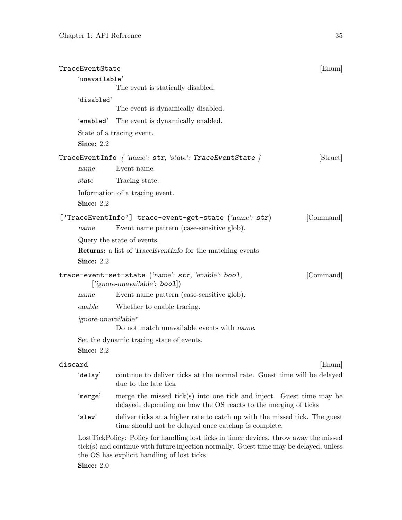| TraceEventState |                     |                                                                                                                                         | [Enum]    |
|-----------------|---------------------|-----------------------------------------------------------------------------------------------------------------------------------------|-----------|
|                 | 'unavailable'       |                                                                                                                                         |           |
|                 |                     | The event is statically disabled.                                                                                                       |           |
|                 | 'disabled'          |                                                                                                                                         |           |
|                 |                     | The event is dynamically disabled.                                                                                                      |           |
|                 | 'enabled'           | The event is dynamically enabled.                                                                                                       |           |
|                 |                     | State of a tracing event.                                                                                                               |           |
|                 | Since: 2.2          |                                                                                                                                         |           |
|                 |                     | TraceEventInfo $\{ 'name': str, 'state': TraceEventState \}$                                                                            | [Struct]  |
| name            |                     | Event name.                                                                                                                             |           |
| state           |                     | Tracing state.                                                                                                                          |           |
|                 |                     | Information of a tracing event.                                                                                                         |           |
|                 | Since: 2.2          |                                                                                                                                         |           |
|                 |                     | ['TraceEventInfo'] trace-event-get-state ('name': str)                                                                                  | [Command] |
| name            |                     | Event name pattern (case-sensitive glob).                                                                                               |           |
|                 |                     | Query the state of events.                                                                                                              |           |
|                 |                     | <b>Returns:</b> a list of <i>TraceEventInfo</i> for the matching events                                                                 |           |
|                 | Since: 2.2          |                                                                                                                                         |           |
|                 |                     | trace-event-set-state ('name': str, 'enable': bool,<br>['ignore-unavailable': boo1])                                                    | [Command] |
| name            |                     | Event name pattern (case-sensitive glob).                                                                                               |           |
| enable          |                     | Whether to enable tracing.                                                                                                              |           |
|                 | ignore-unavailable* |                                                                                                                                         |           |
|                 |                     | Do not match unavailable events with name.                                                                                              |           |
|                 |                     | Set the dynamic tracing state of events.                                                                                                |           |
|                 | Since: 2.2          |                                                                                                                                         |           |
| discard         |                     |                                                                                                                                         | [Enum]    |
| 'delay'         |                     | continue to deliver ticks at the normal rate. Guest time will be delayed<br>due to the late tick                                        |           |
| 'merge'         |                     | merge the missed tick(s) into one tick and inject. Guest time may be<br>delayed, depending on how the OS reacts to the merging of ticks |           |
| 'slew'          |                     | deliver ticks at a higher rate to catch up with the missed tick. The guest<br>time should not be delayed once catchup is complete.      |           |

LostTickPolicy: Policy for handling lost ticks in timer devices. throw away the missed tick(s) and continue with future injection normally. Guest time may be delayed, unless the OS has explicit handling of lost ticks **Since: 2.0**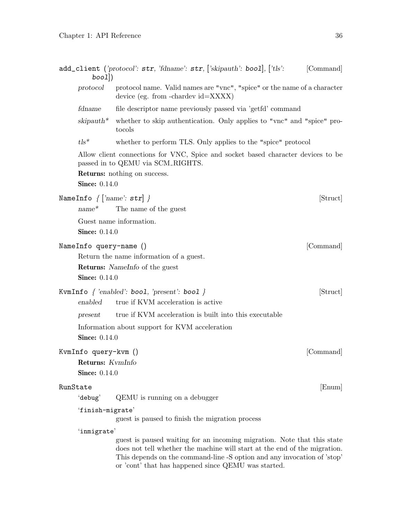| bool()                                                           | add_client ('protocol': str, 'fdname': str, ['skipauth': bool], ['tls':                                                                                                                                                                                                                | [Command] |
|------------------------------------------------------------------|----------------------------------------------------------------------------------------------------------------------------------------------------------------------------------------------------------------------------------------------------------------------------------------|-----------|
| protocol                                                         | protocol name. Valid names are "vnc", "spice" or the name of a character<br>device (eg. from -chardev $id = XXXX$ )                                                                                                                                                                    |           |
| fdname                                                           | file descriptor name previously passed via 'getfd' command                                                                                                                                                                                                                             |           |
| $skipauth^*$                                                     | whether to skip authentication. Only applies to "vnc" and "spice" pro-<br>tocols                                                                                                                                                                                                       |           |
| $tls^*$                                                          | whether to perform TLS. Only applies to the "spice" protocol                                                                                                                                                                                                                           |           |
|                                                                  | Allow client connections for VNC, Spice and socket based character devices to be<br>passed in to QEMU via SCM_RIGHTS.                                                                                                                                                                  |           |
|                                                                  | <b>Returns:</b> nothing on success.                                                                                                                                                                                                                                                    |           |
| <b>Since:</b> 0.14.0                                             |                                                                                                                                                                                                                                                                                        |           |
|                                                                  | NameInfo $\{ \; \vert \; \text{'name'}: \, \texttt{str} \vert \; \}$<br>$name^*$ The name of the guest                                                                                                                                                                                 | [Struct]  |
| <b>Since:</b> 0.14.0                                             | Guest name information.                                                                                                                                                                                                                                                                |           |
| NameInfo query-name ()<br><b>Since:</b> 0.14.0                   | Return the name information of a guest.<br><b>Returns:</b> Namelnfo of the guest                                                                                                                                                                                                       | [Command] |
| enabled                                                          | KvmInfo $\{$ 'enabled': bool, 'present': bool $\}$<br>true if KVM acceleration is active                                                                                                                                                                                               | [Struct]  |
| present                                                          | true if KVM acceleration is built into this executable                                                                                                                                                                                                                                 |           |
| <b>Since:</b> 0.14.0                                             | Information about support for KVM acceleration                                                                                                                                                                                                                                         |           |
| KvmInfo query-kvm ()<br>Returns: KvmInfo<br><b>Since:</b> 0.14.0 |                                                                                                                                                                                                                                                                                        | [Command] |
| RunState                                                         |                                                                                                                                                                                                                                                                                        | [Enum]    |
| 'debug'                                                          | QEMU is running on a debugger                                                                                                                                                                                                                                                          |           |
| 'finish-migrate'                                                 | guest is paused to finish the migration process                                                                                                                                                                                                                                        |           |
| 'inmigrate'                                                      | guest is paused waiting for an incoming migration. Note that this state<br>does not tell whether the machine will start at the end of the migration.<br>This depends on the command-line -S option and any invocation of 'stop'<br>or 'cont' that has happened since QEMU was started. |           |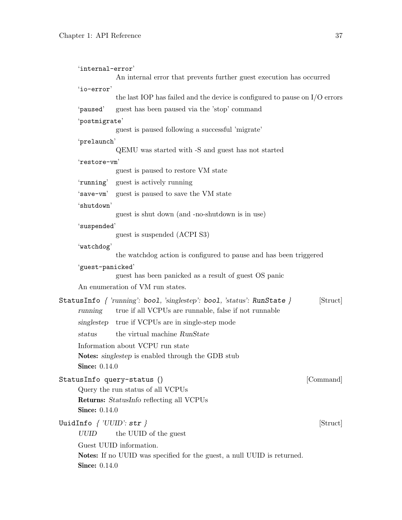| 'internal-error'                          |                                                                                                                                       |           |
|-------------------------------------------|---------------------------------------------------------------------------------------------------------------------------------------|-----------|
|                                           | An internal error that prevents further guest execution has occurred                                                                  |           |
| 'io-error'                                |                                                                                                                                       |           |
|                                           | the last IOP has failed and the device is configured to pause on $I/O$ errors                                                         |           |
| 'paused'                                  | guest has been paused via the 'stop' command                                                                                          |           |
| 'postmigrate'                             |                                                                                                                                       |           |
|                                           | guest is paused following a successful 'migrate'                                                                                      |           |
| 'prelaunch'                               | QEMU was started with -S and guest has not started                                                                                    |           |
| 'restore-vm'                              |                                                                                                                                       |           |
|                                           | guest is paused to restore VM state                                                                                                   |           |
|                                           | 'running' guest is actively running                                                                                                   |           |
|                                           | 'save-vm' guest is paused to save the VM state                                                                                        |           |
| 'shutdown'                                |                                                                                                                                       |           |
|                                           | guest is shut down (and -no-shutdown is in use)                                                                                       |           |
| 'suspended'                               |                                                                                                                                       |           |
|                                           | guest is suspended (ACPI S3)                                                                                                          |           |
| 'watchdog'                                |                                                                                                                                       |           |
|                                           | the watchdog action is configured to pause and has been triggered                                                                     |           |
| 'guest-panicked'                          |                                                                                                                                       |           |
|                                           | guest has been panicked as a result of guest OS panic                                                                                 |           |
|                                           | An enumeration of VM run states.                                                                                                      |           |
| running                                   | StatusInfo $\{$ 'running': bool, 'singlestep': bool, 'status': RunState $\}$<br>true if all VCPUs are runnable, false if not runnable | [Struct]  |
| singlestep                                | true if VCPUs are in single-step mode                                                                                                 |           |
| status                                    | the virtual machine RunState                                                                                                          |           |
|                                           | Information about VCPU run state                                                                                                      |           |
|                                           | Notes: singlestep is enabled through the GDB stub                                                                                     |           |
| <b>Since: 0.14.0</b>                      |                                                                                                                                       |           |
|                                           | StatusInfo query-status ()                                                                                                            | [Command] |
|                                           | Query the run status of all VCPUs                                                                                                     |           |
|                                           | Returns: StatusInfo reflecting all VCPUs                                                                                              |           |
| <b>Since: 0.14.0</b>                      |                                                                                                                                       |           |
| UuidInfo $\{$ 'UUID': $\texttt{str} \ \}$ |                                                                                                                                       | [Struct]  |
| <b>UUID</b>                               | the UUID of the guest                                                                                                                 |           |
|                                           | Guest UUID information.                                                                                                               |           |
|                                           | Notes: If no UUID was specified for the guest, a null UUID is returned.                                                               |           |
| <b>Since: 0.14.0</b>                      |                                                                                                                                       |           |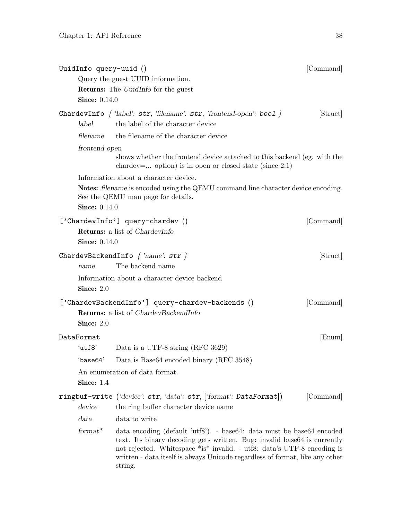| UuidInfo query-uuid ()             | Query the guest UUID information.                                                                                                                                                                                                                                                                                       | [Command] |
|------------------------------------|-------------------------------------------------------------------------------------------------------------------------------------------------------------------------------------------------------------------------------------------------------------------------------------------------------------------------|-----------|
| <b>Since:</b> 0.14.0               | Returns: The UuidInfo for the guest                                                                                                                                                                                                                                                                                     |           |
| label                              | ChardevInfo $\{$ 'label': str, 'filename': str, 'frontend-open': bool $\}$<br>the label of the character device                                                                                                                                                                                                         | [Struct]  |
| filename                           | the filename of the character device                                                                                                                                                                                                                                                                                    |           |
| frontend-open                      | shows whether the frontend device attached to this backend (eg. with the<br>chardev= option) is in open or closed state (since $2.1$ )                                                                                                                                                                                  |           |
| <b>Since: 0.14.0</b>               | Information about a character device.<br><b>Notes:</b> filename is encoded using the QEMU command line character device encoding.<br>See the QEMU man page for details.                                                                                                                                                 |           |
| <b>Since:</b> 0.14.0               | ['ChardevInfo'] query-chardev ()<br><b>Returns:</b> a list of <i>ChardevInfo</i>                                                                                                                                                                                                                                        | [Command] |
| name                               | ChardevBackendInfo $\{ 'name': str \}$<br>The backend name                                                                                                                                                                                                                                                              | [Struct]  |
| Since: $2.0$                       | Information about a character device backend                                                                                                                                                                                                                                                                            |           |
| Since: $2.0$                       | ['ChardevBackendInfo'] query-chardev-backends ()<br><b>Returns:</b> a list of <i>ChardevBackendInfo</i>                                                                                                                                                                                                                 | [Command] |
| DataFormat                         |                                                                                                                                                                                                                                                                                                                         | [Enum]    |
| 'utf8'<br>$^\circ$ base $64^\circ$ | Data is a UTF-8 string (RFC 3629)<br>Data is Base64 encoded binary (RFC 3548)                                                                                                                                                                                                                                           |           |
| Since: $1.4$                       | An enumeration of data format.                                                                                                                                                                                                                                                                                          |           |
|                                    | ringbuf-write ('device': str, 'data': str, ['format': DataFormat])                                                                                                                                                                                                                                                      | [Command] |
| device                             | the ring buffer character device name                                                                                                                                                                                                                                                                                   |           |
| data                               | data to write                                                                                                                                                                                                                                                                                                           |           |
| $format*$                          | data encoding (default 'utf8'). - base64: data must be base64 encoded<br>text. Its binary decoding gets written. Bug: invalid base64 is currently<br>not rejected. Whitespace *is* invalid. - utf8: data's UTF-8 encoding is<br>written - data itself is always Unicode regardless of format, like any other<br>string. |           |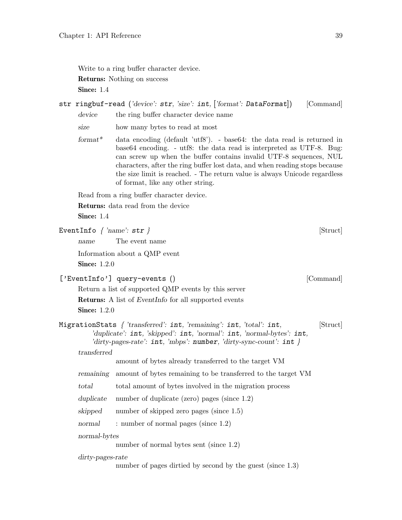Write to a ring buffer character device. Returns: Nothing on success Since: 1.4

# str ringbuf-read ('device': str, 'size': int, ['format': DataFormat]) [Command] device the ring buffer character device name

size how many bytes to read at most

format<sup>\*</sup> data encoding (default 'utf8'). - base64: the data read is returned in base64 encoding. - utf8: the data read is interpreted as UTF-8. Bug: can screw up when the buffer contains invalid UTF-8 sequences, NUL characters, after the ring buffer lost data, and when reading stops because the size limit is reached. - The return value is always Unicode regardless of format, like any other string.

Read from a ring buffer character device.

Returns: data read from the device

| EventInfo $\{ 'name': str \}$ |                                                                                                                                                                                                                                           | $[\mathrm{Struct}]$ |
|-------------------------------|-------------------------------------------------------------------------------------------------------------------------------------------------------------------------------------------------------------------------------------------|---------------------|
| name                          | The event name                                                                                                                                                                                                                            |                     |
|                               | Information about a QMP event                                                                                                                                                                                                             |                     |
| <b>Since: 1.2.0</b>           |                                                                                                                                                                                                                                           |                     |
|                               | ['EventInfo'] query-events ()                                                                                                                                                                                                             | [Command]           |
|                               | Return a list of supported QMP events by this server                                                                                                                                                                                      |                     |
|                               | <b>Returns:</b> A list of <i>EventInfo</i> for all supported events                                                                                                                                                                       |                     |
| Since: $1.2.0$                |                                                                                                                                                                                                                                           |                     |
|                               | MigrationStats $\int 'transferred': int, 'remaining': int, 'total': int,$<br>'duplicate': $int$ , 'skipped': $int$ , 'normal': $int$ , 'normal-bytes': $int$ ,<br>'dirty-pages-rate': $int$ , 'mbps': number, 'dirty-sync-count': $int$ } | [Struct]            |
| transferred                   |                                                                                                                                                                                                                                           |                     |
|                               | amount of bytes already transferred to the target VM                                                                                                                                                                                      |                     |
| remaining                     | amount of bytes remaining to be transferred to the target VM                                                                                                                                                                              |                     |
| total                         | total amount of bytes involved in the migration process                                                                                                                                                                                   |                     |
| duplicate                     | number of duplicate (zero) pages (since $1.2$ )                                                                                                                                                                                           |                     |
| skipped                       | number of skipped zero pages (since 1.5)                                                                                                                                                                                                  |                     |
| normal                        | : number of normal pages (since $1.2$ )                                                                                                                                                                                                   |                     |
| normal-bytes                  | number of normal bytes sent (since 1.2)                                                                                                                                                                                                   |                     |
| dirty-pages-rate              | number of pages dirtied by second by the guest (since 1.3)                                                                                                                                                                                |                     |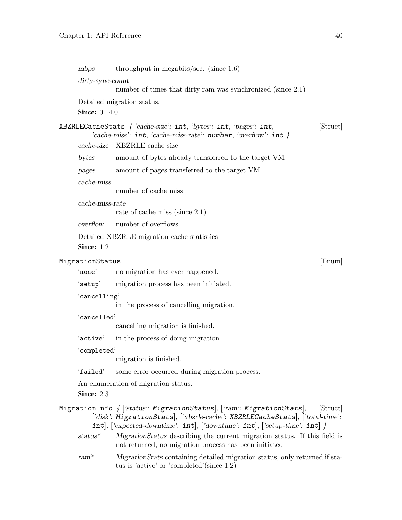| mbps                                                                                                                                                                                                                                                     | throughput in megabits/sec. (since $1.6$ )                                                                                                |          |  |
|----------------------------------------------------------------------------------------------------------------------------------------------------------------------------------------------------------------------------------------------------------|-------------------------------------------------------------------------------------------------------------------------------------------|----------|--|
| dirty-sync-count                                                                                                                                                                                                                                         |                                                                                                                                           |          |  |
|                                                                                                                                                                                                                                                          | number of times that dirty ram was synchronized (since 2.1)                                                                               |          |  |
|                                                                                                                                                                                                                                                          | Detailed migration status.                                                                                                                |          |  |
| <b>Since:</b> 0.14.0                                                                                                                                                                                                                                     |                                                                                                                                           |          |  |
|                                                                                                                                                                                                                                                          | XBZRLECacheStats { 'cache-size': int, 'bytes': int, 'pages': int,<br>'cache-miss': $int$ , 'cache-miss-rate': number, 'overflow': $int$ } | [Struct] |  |
| cache-size                                                                                                                                                                                                                                               | XBZRLE cache size                                                                                                                         |          |  |
| bytes                                                                                                                                                                                                                                                    | amount of bytes already transferred to the target VM                                                                                      |          |  |
| pages                                                                                                                                                                                                                                                    | amount of pages transferred to the target VM                                                                                              |          |  |
| cache-miss                                                                                                                                                                                                                                               |                                                                                                                                           |          |  |
|                                                                                                                                                                                                                                                          | number of cache miss                                                                                                                      |          |  |
| cache-miss-rate                                                                                                                                                                                                                                          |                                                                                                                                           |          |  |
|                                                                                                                                                                                                                                                          | rate of cache miss (since $2.1$ )                                                                                                         |          |  |
| overflow                                                                                                                                                                                                                                                 | number of overflows                                                                                                                       |          |  |
|                                                                                                                                                                                                                                                          | Detailed XBZRLE migration cache statistics                                                                                                |          |  |
| Since: 1.2                                                                                                                                                                                                                                               |                                                                                                                                           |          |  |
| MigrationStatus                                                                                                                                                                                                                                          |                                                                                                                                           | [Enum]   |  |
| 'none'                                                                                                                                                                                                                                                   | no migration has ever happened.                                                                                                           |          |  |
| 'setup'                                                                                                                                                                                                                                                  | migration process has been initiated.                                                                                                     |          |  |
| 'cancelling'                                                                                                                                                                                                                                             |                                                                                                                                           |          |  |
|                                                                                                                                                                                                                                                          | in the process of cancelling migration.                                                                                                   |          |  |
| 'cancelled'                                                                                                                                                                                                                                              |                                                                                                                                           |          |  |
|                                                                                                                                                                                                                                                          | cancelling migration is finished.                                                                                                         |          |  |
| 'active'                                                                                                                                                                                                                                                 | in the process of doing migration.                                                                                                        |          |  |
| 'completed'                                                                                                                                                                                                                                              |                                                                                                                                           |          |  |
|                                                                                                                                                                                                                                                          | migration is finished.                                                                                                                    |          |  |
| 'failed'                                                                                                                                                                                                                                                 | some error occurred during migration process.                                                                                             |          |  |
|                                                                                                                                                                                                                                                          | An enumeration of migration status.                                                                                                       |          |  |
| Since: 2.3                                                                                                                                                                                                                                               |                                                                                                                                           |          |  |
| MigrationInfo $\{$ ['status': MigrationStatus], ['ram': MigrationStats],<br>Struct<br>['disk': MigrationStats], ['xbzrle-cache': XBZRLECacheStats], ['total-time':<br>$int[,$ ['expected-downtime': $int[,$ ['downtime': $int[,$ ['setup-time': $int[$ } |                                                                                                                                           |          |  |
| $status^*$                                                                                                                                                                                                                                               | MigrationStatus describing the current migration status. If this field is<br>not returned, no migration process has been initiated        |          |  |
| $ram^*$                                                                                                                                                                                                                                                  | Migration States containing detailed migration status, only returned if sta-<br>tus is 'active' or 'completed' (since $1.2$ )             |          |  |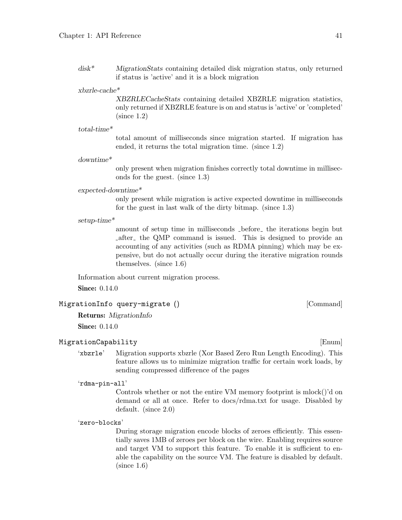disk\* MigrationStats containing detailed disk migration status, only returned if status is 'active' and it is a block migration

## xbzrle-cache\*

XBZRLECacheStats containing detailed XBZRLE migration statistics, only returned if XBZRLE feature is on and status is 'active' or 'completed' (since 1.2)

### total-time\*

total amount of milliseconds since migration started. If migration has ended, it returns the total migration time. (since 1.2)

### downtime\*

only present when migration finishes correctly total downtime in milliseconds for the guest. (since 1.3)

#### expected-downtime\*

only present while migration is active expected downtime in milliseconds for the guest in last walk of the dirty bitmap. (since 1.3)

setup-time\*

amount of setup time in milliseconds  $\Delta$ -before the iterations begin but Lafter the QMP command is issued. This is designed to provide an accounting of any activities (such as RDMA pinning) which may be expensive, but do not actually occur during the iterative migration rounds themselves. (since 1.6)

Information about current migration process.

**Since:** 0.14.0

```
MigrationInfo query-migrate () [Command]
```
Returns: MigrationInfo

**Since:** 0.14.0

# MigrationCapability [Enum]

'xbzrle' Migration supports xbzrle (Xor Based Zero Run Length Encoding). This feature allows us to minimize migration traffic for certain work loads, by sending compressed difference of the pages

# 'rdma-pin-all'

Controls whether or not the entire VM memory footprint is mlock()'d on demand or all at once. Refer to docs/rdma.txt for usage. Disabled by default. (since 2.0)

'zero-blocks'

During storage migration encode blocks of zeroes efficiently. This essentially saves 1MB of zeroes per block on the wire. Enabling requires source and target VM to support this feature. To enable it is sufficient to enable the capability on the source VM. The feature is disabled by default. (since 1.6)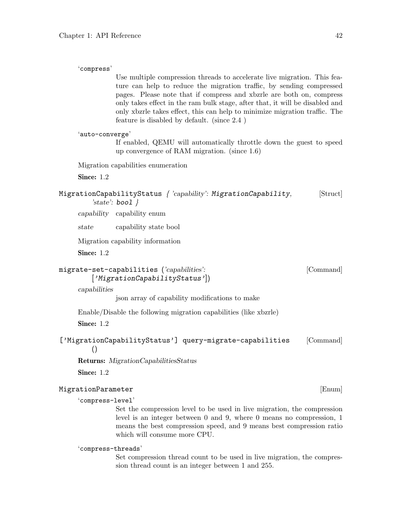'compress'

pages. Please note that if compress and xbzrle are both on, compress only takes effect in the ram bulk stage, after that, it will be disabled and only xbzrle takes effect, this can help to minimize migration traffic. The feature is disabled by default. (since 2.4 ) 'auto-converge' If enabled, QEMU will automatically throttle down the guest to speed up convergence of RAM migration. (since 1.6) Migration capabilities enumeration Since: 1.2 MigrationCapabilityStatus { 'capability': MigrationCapability, [Struct] 'state':  $bool$  } capability capability enum state capability state bool Migration capability information Since: 1.2 migrate-set-capabilities ('capabilities': [Command] ['MigrationCapabilityStatus']) capabilities json array of capability modifications to make Enable/Disable the following migration capabilities (like xbzrle) Since: 1.2

Use multiple compression threads to accelerate live migration. This feature can help to reduce the migration traffic, by sending compressed

['MigrationCapabilityStatus'] query-migrate-capabilities [Command] ()

Returns: MigrationCapabilitiesStatus

Since: 1.2

# MigrationParameter [Enum]

'compress-level'

Set the compression level to be used in live migration, the compression level is an integer between 0 and 9, where 0 means no compression, 1 means the best compression speed, and 9 means best compression ratio which will consume more CPU.

# 'compress-threads'

Set compression thread count to be used in live migration, the compression thread count is an integer between 1 and 255.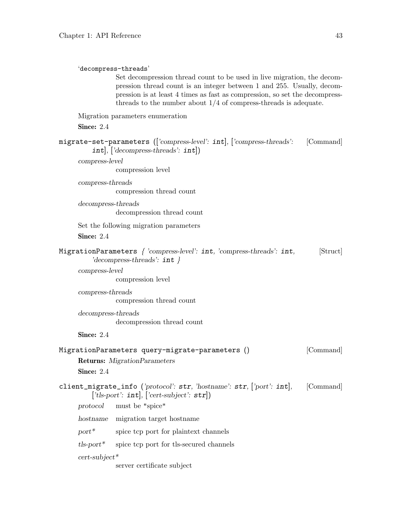'decompress-threads'

| pression thread count is an integer between 1 and 255. Usually, decom-<br>pression is at least 4 times as fast as compression, so set the decompress-<br>threads to the number about $1/4$ of compress-threads is adequate. |           |
|-----------------------------------------------------------------------------------------------------------------------------------------------------------------------------------------------------------------------------|-----------|
| Migration parameters enumeration                                                                                                                                                                                            |           |
| Since: 2.4                                                                                                                                                                                                                  |           |
| migrate-set-parameters (['compress-level': int], ['compress-threads':<br>$int[,$ ['decompress-threads': $int[$ ]                                                                                                            | [Command] |
| compress-level<br>compression level                                                                                                                                                                                         |           |
| $compress\text{-}threads$                                                                                                                                                                                                   |           |
| compression thread count                                                                                                                                                                                                    |           |
| $decompress\text{-}threads$<br>decompression thread count                                                                                                                                                                   |           |
| Set the following migration parameters                                                                                                                                                                                      |           |
| Since: 2.4                                                                                                                                                                                                                  |           |
| MigrationParameters { 'compress-level': int, 'compress-threads': int,<br>'decompress-threads': $int \}$                                                                                                                     | [Struct]  |
| compress-level                                                                                                                                                                                                              |           |
| compression level                                                                                                                                                                                                           |           |
| $compress\text{-}threads$                                                                                                                                                                                                   |           |
| compression thread count                                                                                                                                                                                                    |           |
| decompress-threads                                                                                                                                                                                                          |           |
| decompression thread count                                                                                                                                                                                                  |           |
| Since: 2.4                                                                                                                                                                                                                  |           |
| MigrationParameters query-migrate-parameters ()                                                                                                                                                                             | [Command] |
| <b>Returns:</b> MigrationParameters                                                                                                                                                                                         |           |
| Since: 2.4                                                                                                                                                                                                                  |           |
| client_migrate_info ('protocol': str, 'hostname': str, ['port': int], [Command]<br>['tls-port': $int$ ], ['cert-subject': $str$ ])                                                                                          |           |
| must be "spice" $\,$<br>protocol                                                                                                                                                                                            |           |
| hostname<br>migration target hostname                                                                                                                                                                                       |           |
| $port^*$<br>spice to port for plaintext channels                                                                                                                                                                            |           |
| $tls$ -port $^*$<br>spice tcp port for tls-secured channels                                                                                                                                                                 |           |
| $cert\text{-}subject*$                                                                                                                                                                                                      |           |

Set decompression thread count to be used in live migration, the decom-

server certificate subject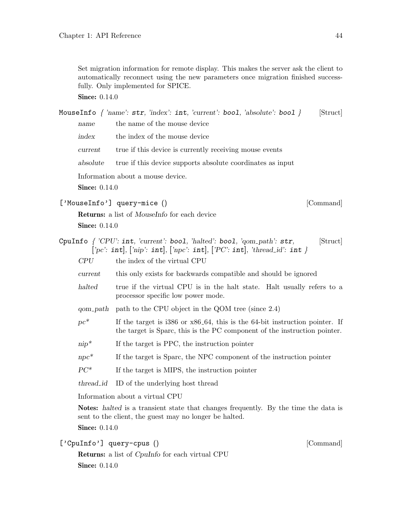Set migration information for remote display. This makes the server ask the client to automatically reconnect using the new parameters once migration finished successfully. Only implemented for SPICE.

**Since: 0.14.0** 

|                      | MouseInfo $\{ 'name': str, 'index': int, 'current': bool, 'absolute': bool } \}$<br>[Struct]                                                                                                   |
|----------------------|------------------------------------------------------------------------------------------------------------------------------------------------------------------------------------------------|
| name                 | the name of the mouse device                                                                                                                                                                   |
| index                | the index of the mouse device                                                                                                                                                                  |
| current              | true if this device is currently receiving mouse events                                                                                                                                        |
| absolute             | true if this device supports absolute coordinates as input                                                                                                                                     |
|                      | Information about a mouse device.                                                                                                                                                              |
| <b>Since:</b> 0.14.0 |                                                                                                                                                                                                |
|                      | ['MouseInfo'] query-mice ()<br>[Command]                                                                                                                                                       |
|                      | <b>Returns:</b> a list of <i>MouseInfo</i> for each device                                                                                                                                     |
| <b>Since:</b> 0.14.0 |                                                                                                                                                                                                |
|                      | CpuInfo $\{CPU': \text{int}, 'current': \text{bool}, 'halted': \text{bool}, 'qom.path': \text{str},\}$<br>[Struct]<br>['pc': int], ['nip': int], ['npc': int], ['PC': int], 'thread_id': int } |
| CPU                  | the index of the virtual CPU                                                                                                                                                                   |
| current              | this only exists for backwards compatible and should be ignored                                                                                                                                |
| halted               | true if the virtual CPU is in the halt state. Halt usually refers to a<br>processor specific low power mode.                                                                                   |
| qom_path             | path to the CPU object in the QOM tree (since 2.4)                                                                                                                                             |
| $pc^*$               | If the target is $i386$ or $x86-64$ , this is the 64-bit instruction pointer. If<br>the target is Sparc, this is the PC component of the instruction pointer.                                  |
| $nip^*$              | If the target is PPC, the instruction pointer                                                                                                                                                  |
| $npc*$               | If the target is Sparc, the NPC component of the instruction pointer                                                                                                                           |
| $PC^*$               | If the target is MIPS, the instruction pointer                                                                                                                                                 |
| thread <sub>id</sub> | ID of the underlying host thread                                                                                                                                                               |
|                      | Information about a virtual CPU                                                                                                                                                                |
|                      | <b>Notes:</b> halted is a transient state that changes frequently. By the time the data is<br>sent to the client, the guest may no longer be halted.                                           |
| <b>Since:</b> 0.14.0 |                                                                                                                                                                                                |
|                      | ['CpuInfo'] query-cpus ()<br>[Command]                                                                                                                                                         |
|                      | <b>Returns:</b> a list of <i>CpuInfo</i> for each virtual CPU                                                                                                                                  |
| <b>Since: 0.14.0</b> |                                                                                                                                                                                                |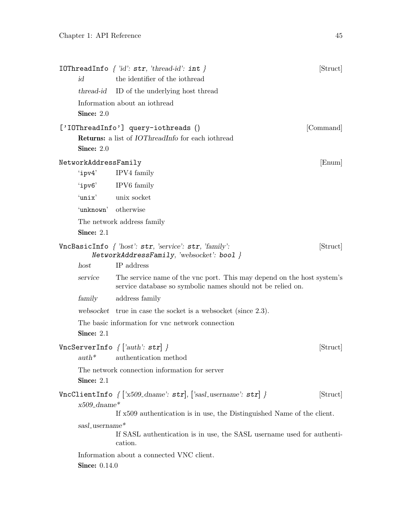| id                   | <b>IOThreadInfo</b> $\{ 'id': str, 'thread-id': int \}$<br>the identifier of the iothread                                                        | [Struct]  |
|----------------------|--------------------------------------------------------------------------------------------------------------------------------------------------|-----------|
| thread-id            | ID of the underlying host thread                                                                                                                 |           |
| Since: 2.0           | Information about an iothread                                                                                                                    |           |
| Since: $2.0$         | ['IOThreadInfo'] query-iothreads ()<br><b>Returns:</b> a list of <i>IOThreadInfo</i> for each iothread                                           | [Command] |
| NetworkAddressFamily |                                                                                                                                                  | [Enum]    |
| $'$ ipv $4'$         | IPV4 family                                                                                                                                      |           |
|                      | 'ipv6' IPV6 family                                                                                                                               |           |
|                      | 'unix' unix socket                                                                                                                               |           |
|                      | 'unknown' otherwise                                                                                                                              |           |
| Since: 2.1           | The network address family                                                                                                                       |           |
|                      | VncBasicInfo $\{$ 'host': str, 'service': str, 'family':<br>NetworkAddressFamily, 'websocket': bool }                                            | [Struct]  |
| host                 | IP address                                                                                                                                       |           |
| service              | The service name of the vnc port. This may depend on the host system's<br>service database so symbolic names should not be relied on.            |           |
| family               | address family                                                                                                                                   |           |
|                      | websocket true in case the socket is a websocket (since 2.3).                                                                                    |           |
| Since: 2.1           | The basic information for vnc network connection                                                                                                 |           |
| $auth^*$             | VncServerInfo $\{$ ['auth': str] $\}$<br>authentication method                                                                                   | [Struct]  |
| Since: 2.1           | The network connection information for server                                                                                                    |           |
| $x509_G$ dname*      | $VncClientInfo\ { [ 'x509_dname': str ], [ 'sasl_ username': str ] }$<br>If x509 authentication is in use, the Distinguished Name of the client. | [Struct]  |
| sasl_username*       | If SASL authentication is in use, the SASL username used for authenti-<br>cation.                                                                |           |
| <b>Since:</b> 0.14.0 | Information about a connected VNC client.                                                                                                        |           |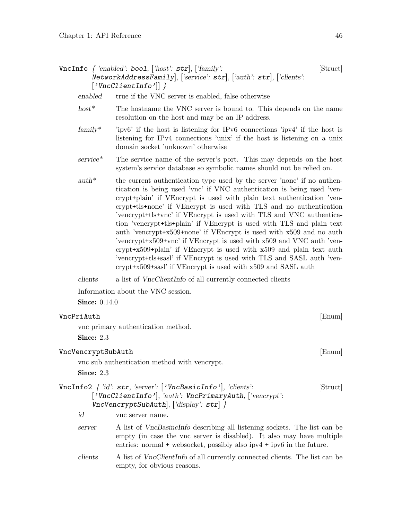$VncInfo \{ 'enabeled': bool, ['host': str], ['family':\]$ NetworkAddressFamily], ['service': str], ['auth': str], ['clients':  $['VncClientInfo']$  }

enabled true if the VNC server is enabled, false otherwise

- host<sup>\*</sup> The hostname the VNC server is bound to. This depends on the name resolution on the host and may be an IP address.
- family\* 'ipv6' if the host is listening for IPv6 connections 'ipv4' if the host is listening for IPv4 connections 'unix' if the host is listening on a unix domain socket 'unknown' otherwise
- $s$ ervice\* The service name of the server's port. This may depends on the host system's service database so symbolic names should not be relied on.
- $auth*$  the current authentication type used by the server 'none' if no authentication is being used 'vnc' if VNC authentication is being used 'vencrypt+plain' if VEncrypt is used with plain text authentication 'vencrypt+tls+none' if VEncrypt is used with TLS and no authentication 'vencrypt+tls+vnc' if VEncrypt is used with TLS and VNC authentication 'vencrypt+tls+plain' if VEncrypt is used with TLS and plain text auth 'vencrypt+x509+none' if VEncrypt is used with x509 and no auth 'vencrypt+x509+vnc' if VEncrypt is used with x509 and VNC auth 'vencrypt+x509+plain' if VEncrypt is used with x509 and plain text auth 'vencrypt+tls+sasl' if VEncrypt is used with TLS and SASL auth 'vencrypt+x509+sasl' if VEncrypt is used with x509 and SASL auth

clients a list of VncClientInfo of all currently connected clients

Information about the VNC session.

empty, for obvious reasons.

**Since:** 0.14.0

| VncPriAuth<br>Enum                                                                                                                                                                |                                                                                                                                                                                                                                      |      |
|-----------------------------------------------------------------------------------------------------------------------------------------------------------------------------------|--------------------------------------------------------------------------------------------------------------------------------------------------------------------------------------------------------------------------------------|------|
| vnc primary authentication method.                                                                                                                                                |                                                                                                                                                                                                                                      |      |
| Since: $2.3$                                                                                                                                                                      |                                                                                                                                                                                                                                      |      |
| VncVencryptSubAuth                                                                                                                                                                |                                                                                                                                                                                                                                      | Enum |
|                                                                                                                                                                                   | vnc sub authentication method with vencrypt.                                                                                                                                                                                         |      |
| Since: $2.3$                                                                                                                                                                      |                                                                                                                                                                                                                                      |      |
| VncInfo2 $\{$ 'id': str, 'server': $\{$ 'VncBasicInfo', 'clients':<br>[Struct]<br>['VncClientInfo'], 'auth': VncPrimaryAuth, ['vencrypt':<br>VncVencyptSubAuth, [ 'display': str] |                                                                                                                                                                                                                                      |      |
| id                                                                                                                                                                                | vnc server name.                                                                                                                                                                                                                     |      |
| server                                                                                                                                                                            | A list of <i>VncBasincInfo</i> describing all listening sockets. The list can be<br>empty (in case the vnc server is disabled). It also may have multiple<br>entries: normal + websocket, possibly also $ipv4 + ipv6$ in the future. |      |
| clients                                                                                                                                                                           | A list of VncClientInfo of all currently connected clients. The list can be                                                                                                                                                          |      |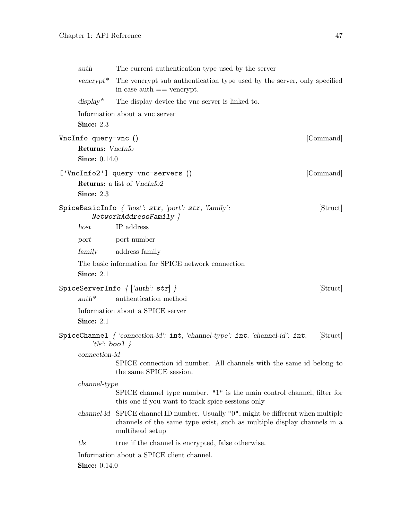| auth                 |                           | The current authentication type used by the server                                                                                                                              |           |
|----------------------|---------------------------|---------------------------------------------------------------------------------------------------------------------------------------------------------------------------------|-----------|
|                      |                           | vencrypt <sup>*</sup> The vencrypt sub authentication type used by the server, only specified<br>in case auth $==$ vencrypt.                                                    |           |
| $display^*$          |                           | The display device the vnc server is linked to.                                                                                                                                 |           |
|                      |                           | Information about a vnc server                                                                                                                                                  |           |
|                      | Since: 2.3                |                                                                                                                                                                                 |           |
| VncInfo query-vnc () |                           |                                                                                                                                                                                 | [Command] |
|                      |                           | Returns: VncInfo                                                                                                                                                                |           |
|                      | <b>Since:</b> 0.14.0      |                                                                                                                                                                                 |           |
|                      |                           | ['VncInfo2'] query-vnc-servers ()                                                                                                                                               | [Command] |
|                      |                           | Returns: a list of VncInfo2                                                                                                                                                     |           |
|                      | Since: 2.3                |                                                                                                                                                                                 |           |
|                      |                           | ${\tt SpiceBasicInfo}$ $\{$ 'host': ${\tt str},$ 'port': ${\tt str},$ 'family':<br>NetworkAddressFamily }                                                                       | [Struct]  |
| host                 |                           | IP address                                                                                                                                                                      |           |
| port                 |                           | port number                                                                                                                                                                     |           |
| family               |                           | address family                                                                                                                                                                  |           |
|                      | Since: 2.1                | The basic information for SPICE network connection                                                                                                                              |           |
|                      |                           | SpiceServerInfo $\{$ $[ 'auth': \texttt{str} ]$ $\}$                                                                                                                            | [Struct]  |
| $auth^*$             |                           | authentication method                                                                                                                                                           |           |
|                      |                           | Information about a SPICE server                                                                                                                                                |           |
|                      | Since: 2.1                |                                                                                                                                                                                 |           |
|                      | 't $\{ls: \text{bool} \}$ | SpiceChannel $\{ 'connection-id': int, 'channel-type': int, 'channel-id': int, \}$                                                                                              | Struct    |
|                      | connection-id             |                                                                                                                                                                                 |           |
|                      |                           | SPICE connection id number. All channels with the same id belong to<br>the same SPICE session.                                                                                  |           |
|                      | channel-type              |                                                                                                                                                                                 |           |
|                      |                           | SPICE channel type number. "1" is the main control channel, filter for<br>this one if you want to track spice sessions only                                                     |           |
|                      |                           | channel-id SPICE channel ID number. Usually "0", might be different when multiple<br>channels of the same type exist, such as multiple display channels in a<br>multihead setup |           |
| tls                  |                           | true if the channel is encrypted, false otherwise.                                                                                                                              |           |
|                      |                           | Information about a SPICE client channel.                                                                                                                                       |           |
|                      | <b>Since: 0.14.0</b>      |                                                                                                                                                                                 |           |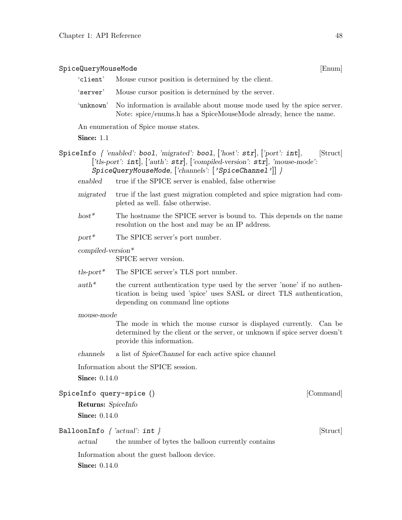# $\texttt{SpiceQueryMouseMode} \tag{Enum}$

- 'client' Mouse cursor position is determined by the client.
- 'server' Mouse cursor position is determined by the server.
- 'unknown' No information is available about mouse mode used by the spice server. Note: spice/enums.h has a SpiceMouseMode already, hence the name.

An enumeration of Spice mouse states.

Since: 1.1

- SpiceInfo  $\{$  'enabled': boo1, 'migrated': boo1,  $[\text{'host': str}]$ ,  $[\text{port': int}]$ , [Struct] ['tls-port': int], ['auth': str], ['compiled-version': str], 'mouse-mode': SpiceQueryMouseMode, ['channels': ['SpiceChannel']] }
	- enabled true if the SPICE server is enabled, false otherwise
	- migrated true if the last guest migration completed and spice migration had completed as well. false otherwise.
	- host<sup>\*</sup> The hostname the SPICE server is bound to. This depends on the name resolution on the host and may be an IP address.
	- $port^*$  The SPICE server's port number.

compiled-version\*

SPICE server version.

- tls-port\* The SPICE server's TLS port number.
- $auth*$  the current authentication type used by the server 'none' if no authentication is being used 'spice' uses SASL or direct TLS authentication, depending on command line options

#### mouse-mode

The mode in which the mouse cursor is displayed currently. Can be determined by the client or the server, or unknown if spice server doesn't provide this information.

channels a list of SpiceChannel for each active spice channel

Information about the SPICE session.

**Since:** 0.14.0

```
SpiceInfo query-spice () [Command]
```
Returns: SpiceInfo Since:  $0.14.0$ 

# BalloonInfo  $\{ 'actual': int \}$  [Struct]

actual the number of bytes the balloon currently contains

Information about the guest balloon device.

**Since: 0.14.0**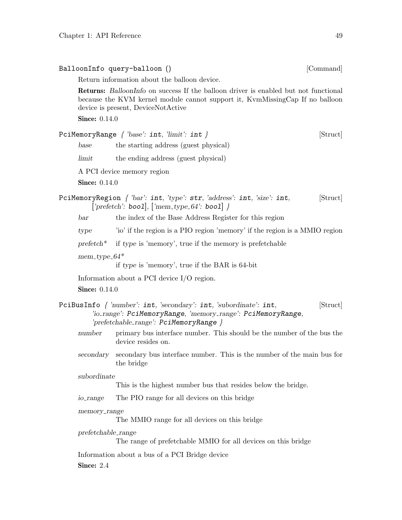|                      | Return information about the balloon device.                                                                                                                                                                     |          |
|----------------------|------------------------------------------------------------------------------------------------------------------------------------------------------------------------------------------------------------------|----------|
|                      | <b>Returns:</b> BalloonInfo on success If the balloon driver is enabled but not functional<br>because the KVM kernel module cannot support it, KymMissingCap If no balloon<br>device is present, DeviceNotActive |          |
| <b>Since:</b> 0.14.0 |                                                                                                                                                                                                                  |          |
|                      | $\texttt{PeilMemoryRange}$ { 'base': $\texttt{int},$ 'limit': $\texttt{int}$ }                                                                                                                                   | [Struct] |
| base                 | the starting address (guest physical)                                                                                                                                                                            |          |
| limit                | the ending address (guest physical)                                                                                                                                                                              |          |
|                      | A PCI device memory region                                                                                                                                                                                       |          |
| <b>Since:</b> 0.14.0 |                                                                                                                                                                                                                  |          |
|                      | PciMemoryRegion $\{ 'bar': int, 'type': str, 'address': int, 'size': int, \}$<br>['prefetch': boo1], ['mem_type_64': boo1] }                                                                                     | [Struct] |
| bar                  | the index of the Base Address Register for this region                                                                                                                                                           |          |
| type                 | 'io' if the region is a PIO region 'memory' if the region is a MMIO region                                                                                                                                       |          |
| $preftch*$           | if type is 'memory', true if the memory is prefetchable                                                                                                                                                          |          |
| mem_type_ $64*$      |                                                                                                                                                                                                                  |          |
|                      | if type is 'memory', true if the BAR is 64-bit                                                                                                                                                                   |          |
|                      | Information about a PCI device $I/O$ region.                                                                                                                                                                     |          |
| <b>Since:</b> 0.14.0 |                                                                                                                                                                                                                  |          |
|                      | PciBusInfo $\{ 'number' : int, 'secondary': int, 'subordinate': int,$<br>'io_range': PciMemoryRange, 'memory_range': PciMemoryRange,<br>'prefetchable_range': PciMemoryRange }                                   | [Struct] |
| number               | primary bus interface number. This should be the number of the bus the<br>device resides on.                                                                                                                     |          |
| secondary            | secondary bus interface number. This is the number of the main bus for<br>the bridge                                                                                                                             |          |
| subordinate          | This is the highest number bus that resides below the bridge.                                                                                                                                                    |          |
| io_range             | The PIO range for all devices on this bridge                                                                                                                                                                     |          |
| memory_range         | The MMIO range for all devices on this bridge                                                                                                                                                                    |          |
| $prefetchable_range$ | The range of prefetchable MMIO for all devices on this bridge                                                                                                                                                    |          |
| Since: 2.4           | Information about a bus of a PCI Bridge device                                                                                                                                                                   |          |

BalloonInfo query-balloon () [Command]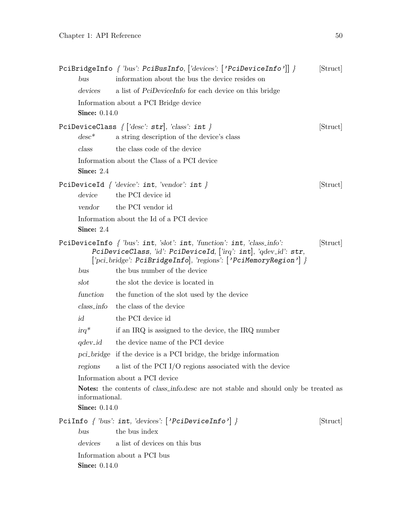| bus                                    | PciBridgeInfo { 'bus': PciBusInfo, ['devices': $['Pei\text{Device}$ Info']] }<br>information about the bus the device resides on                                                                                  | [Struct] |
|----------------------------------------|-------------------------------------------------------------------------------------------------------------------------------------------------------------------------------------------------------------------|----------|
| devices                                | a list of PciDeviceInfo for each device on this bridge                                                                                                                                                            |          |
| <b>Since:</b> 0.14.0                   | Information about a PCI Bridge device                                                                                                                                                                             |          |
|                                        | PciDeviceClass $\{['desc': str], 'class': int \}$                                                                                                                                                                 | [Struct] |
| $desc^*$                               | a string description of the device's class                                                                                                                                                                        |          |
| class                                  | the class code of the device                                                                                                                                                                                      |          |
| Since: $2.4$                           | Information about the Class of a PCI device                                                                                                                                                                       |          |
| device                                 | PciDeviceId $\{ 'device': int, 'vendor': int \}$<br>the PCI device id                                                                                                                                             | [Struct] |
| vendor                                 | the PCI vendor id                                                                                                                                                                                                 |          |
| Since: 2.4                             | Information about the Id of a PCI device                                                                                                                                                                          |          |
|                                        | PciDeviceInfo $\{$ 'bus': int, 'slot': int, 'function': int, 'class_info':<br>PciDeviceClass, 'id': PciDeviceId, ['irq': int], 'qdev_id': str,<br>['pci_bridge': PciBridgeInfo], 'regions': ['PciMemoryRegion'] } | [Struct] |
| bus                                    | the bus number of the device                                                                                                                                                                                      |          |
| slot                                   | the slot the device is located in                                                                                                                                                                                 |          |
| function                               | the function of the slot used by the device                                                                                                                                                                       |          |
| $class\_info$                          | the class of the device                                                                                                                                                                                           |          |
| id                                     | the PCI device id                                                                                                                                                                                                 |          |
| $irq^*$                                | if an IRQ is assigned to the device, the IRQ number                                                                                                                                                               |          |
| qdev <sub>-</sub> id                   | the device name of the PCI device                                                                                                                                                                                 |          |
|                                        | pci-bridge if the device is a PCI bridge, the bridge information                                                                                                                                                  |          |
| regions                                | a list of the PCI I/O regions associated with the device                                                                                                                                                          |          |
| informational.<br><b>Since: 0.14.0</b> | Information about a PCI device<br>Notes: the contents of <i>class_info.desc</i> are not stable and should only be treated as                                                                                      |          |
|                                        | PciInfo { 'bus': int, 'devices': ['PciDeviceInfo'] }                                                                                                                                                              | [Struct] |
| bus                                    | the bus index                                                                                                                                                                                                     |          |
| devices                                | a list of devices on this bus                                                                                                                                                                                     |          |
| <b>Since: 0.14.0</b>                   | Information about a PCI bus                                                                                                                                                                                       |          |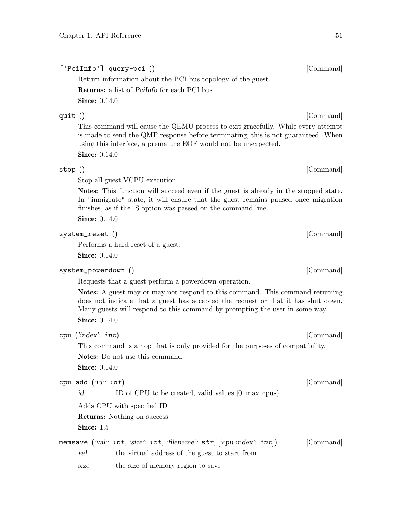# ['PciInfo'] query-pci () [Command]

Return information about the PCI bus topology of the guest.

Returns: a list of PciInfo for each PCI bus

**Since:** 0.14.0

This command will cause the QEMU process to exit gracefully. While every attempt is made to send the QMP response before terminating, this is not guaranteed. When using this interface, a premature EOF would not be unexpected.

**Since:** 0.14.0

# stop () [Command]

Stop all guest VCPU execution.

Notes: This function will succeed even if the guest is already in the stopped state. In "inmigrate" state, it will ensure that the guest remains paused once migration finishes, as if the -S option was passed on the command line.

**Since:** 0.14.0

# system\_reset () [Command]

Performs a hard reset of a guest.

**Since: 0.14.0** 

# system\_powerdown () [Command]

Requests that a guest perform a powerdown operation.

Notes: A guest may or may not respond to this command. This command returning does not indicate that a guest has accepted the request or that it has shut down. Many guests will respond to this command by prompting the user in some way.

**Since: 0.14.0** 

| cpu | ('index': int) |  |
|-----|----------------|--|
|-----|----------------|--|

This command is a nop that is only provided for the purposes of compatibility. Notes: Do not use this command.

**Since:** 0.14.0

id ID of CPU to be created, valid values [0..max\_cpus]

Adds CPU with specified ID

Returns: Nothing on success

Since: 1.5

memsave ('val': int, 'size': int, 'filename': str, ['cpu-index': int]) [Command] val the virtual address of the guest to start from

size the size of memory region to save

quit () [Command]

[Command]

[Command]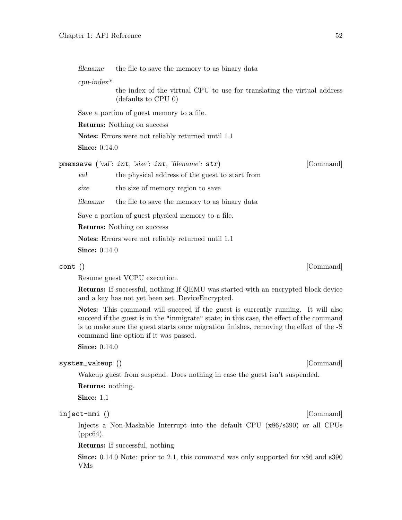filename the file to save the memory to as binary data

 $cpu$ -index<sup>\*</sup>

the index of the virtual CPU to use for translating the virtual address (defaults to CPU 0)

Save a portion of guest memory to a file.

Returns: Nothing on success

Notes: Errors were not reliably returned until 1.1

**Since:** 0.14.0

pmemsave ('val': int, 'size': int, 'filename': str) [Command]

val the physical address of the guest to start from

size the size of memory region to save

filename the file to save the memory to as binary data

Save a portion of guest physical memory to a file.

Returns: Nothing on success

Notes: Errors were not reliably returned until 1.1

**Since:** 0.14.0

# cont () [Command]

Resume guest VCPU execution.

Returns: If successful, nothing If QEMU was started with an encrypted block device and a key has not yet been set, DeviceEncrypted.

Notes: This command will succeed if the guest is currently running. It will also succeed if the guest is in the "inmigrate" state; in this case, the effect of the command is to make sure the guest starts once migration finishes, removing the effect of the -S command line option if it was passed.

**Since:** 0.14.0

# system\_wakeup () [Command]

Wakeup guest from suspend. Does nothing in case the guest isn't suspended.

Returns: nothing.

Since: 1.1

# inject-nmi () [Command]

Injects a Non-Maskable Interrupt into the default CPU (x86/s390) or all CPUs (ppc64).

# Returns: If successful, nothing

Since: 0.14.0 Note: prior to 2.1, this command was only supported for x86 and s390 VMs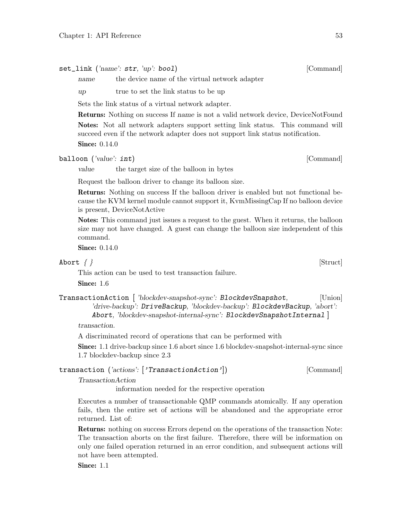set\_link ('name': str, 'up': bool) [Command]

name the device name of the virtual network adapter

up true to set the link status to be up

Sets the link status of a virtual network adapter.

Returns: Nothing on success If name is not a valid network device, DeviceNotFound Notes: Not all network adapters support setting link status. This command will succeed even if the network adapter does not support link status notification.

**Since:** 0.14.0

balloon ('value': int) [Command]

value the target size of the balloon in bytes

Request the balloon driver to change its balloon size.

Returns: Nothing on success If the balloon driver is enabled but not functional because the KVM kernel module cannot support it, KvmMissingCap If no balloon device is present, DeviceNotActive

Notes: This command just issues a request to the guest. When it returns, the balloon size may not have changed. A guest can change the balloon size independent of this command.

**Since:** 0.14.0

Abort  $\{\}$  [Struct]

This action can be used to test transaction failure.

Since: 1.6

TransactionAction [ 'blockdev-snapshot-sync': BlockdevSnapshot, [Union] 'drive-backup': DriveBackup, 'blockdev-backup': BlockdevBackup, 'abort': Abort, 'blockdev-snapshot-internal-sync': BlockdevSnapshotInternal ]

transaction.

A discriminated record of operations that can be performed with

Since: 1.1 drive-backup since 1.6 abort since 1.6 blockdev-snapshot-internal-sync since 1.7 blockdev-backup since 2.3

transaction ('actions': ['TransactionAction']) [Command]

TransactionAction

information needed for the respective operation

Executes a number of transactionable QMP commands atomically. If any operation fails, then the entire set of actions will be abandoned and the appropriate error returned. List of:

Returns: nothing on success Errors depend on the operations of the transaction Note: The transaction aborts on the first failure. Therefore, there will be information on only one failed operation returned in an error condition, and subsequent actions will not have been attempted.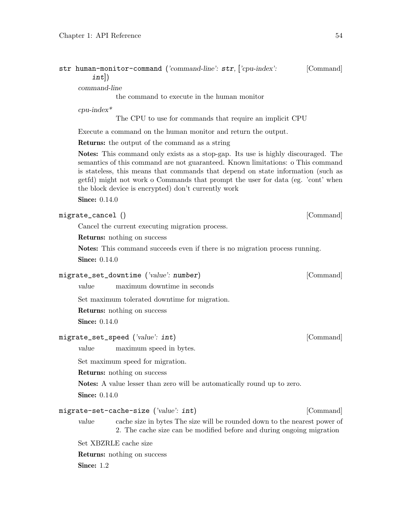| str human-monitor-command ('command-line': str, ['cpu-index': |  | [Command] |
|---------------------------------------------------------------|--|-----------|
| $int$ )                                                       |  |           |

command-line

the command to execute in the human monitor

cpu-index\*

The CPU to use for commands that require an implicit CPU

Execute a command on the human monitor and return the output.

Returns: the output of the command as a string

Notes: This command only exists as a stop-gap. Its use is highly discouraged. The semantics of this command are not guaranteed. Known limitations: o This command is stateless, this means that commands that depend on state information (such as getfd) might not work o Commands that prompt the user for data (eg. 'cont' when the block device is encrypted) don't currently work

**Since:** 0.14.0

# migrate\_cancel () [Command]

Cancel the current executing migration process.

Returns: nothing on success

Notes: This command succeeds even if there is no migration process running. **Since: 0.14.0** 

# migrate\_set\_downtime ('value': number) [Command]

value maximum downtime in seconds

Set maximum tolerated downtime for migration.

Returns: nothing on success

Since:  $0.14.0$ 

## migrate\_set\_speed ('value': int) [Command]

value maximum speed in bytes.

Set maximum speed for migration.

Returns: nothing on success

Notes: A value lesser than zero will be automatically round up to zero.

**Since:** 0.14.0

# migrate-set-cache-size ('value': int) [Command]

value cache size in bytes The size will be rounded down to the nearest power of 2. The cache size can be modified before and during ongoing migration

Set XBZRLE cache size

Returns: nothing on success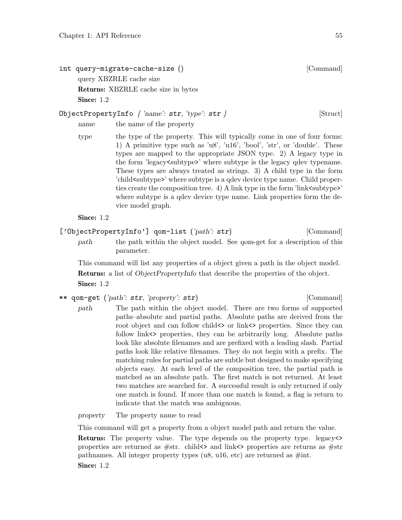int query-migrate-cache-size () [Command] query XBZRLE cache size Returns: XBZRLE cache size in bytes Since: 1.2

# ObjectPropertyInfo  $\{ 'name': str, 'type': str \}$  [Struct]

name the name of the property

type the type of the property. This will typically come in one of four forms: 1) A primitive type such as 'u8', 'u16', 'bool', 'str', or 'double'. These types are mapped to the appropriate JSON type. 2) A legacy type in the form 'legacy<subtype>' where subtype is the legacy qdev typename. These types are always treated as strings. 3) A child type in the form 'child<subtype>' where subtype is a qdev device type name. Child properties create the composition tree. 4) A link type in the form 'link  $\langle$ subtype>' where subtype is a qdev device type name. Link properties form the device model graph.

Since: 1.2

['ObjectPropertyInfo'] qom-list ('path': str) [Command]

path the path within the object model. See *qom*-get for a description of this parameter.

This command will list any properties of a object given a path in the object model. Returns: a list of ObjectPropertyInfo that describe the properties of the object. Since: 1.2

\*\* qom-get ('path': str, 'property': str) [Command]

path The path within the object model. There are two forms of supported paths–absolute and partial paths. Absolute paths are derived from the root object and can follow child <> or link<> properties. Since they can follow link<> properties, they can be arbitrarily long. Absolute paths look like absolute filenames and are prefixed with a leading slash. Partial paths look like relative filenames. They do not begin with a prefix. The matching rules for partial paths are subtle but designed to make specifying objects easy. At each level of the composition tree, the partial path is matched as an absolute path. The first match is not returned. At least two matches are searched for. A successful result is only returned if only one match is found. If more than one match is found, a flag is return to indicate that the match was ambiguous.

property The property name to read

This command will get a property from a object model path and return the value.

Returns: The property value. The type depends on the property type. legacy<> properties are returned as #str. child<> and link<> properties are returns as #str pathnames. All integer property types (u8, u16, etc) are returned as  $\#int$ . Since: 1.2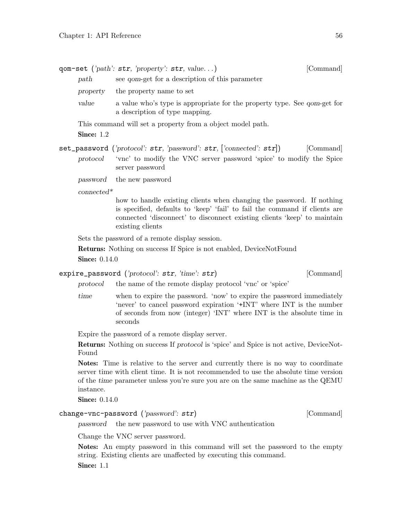|          | qom-set (' $path$ ': str, ' $property$ ': str, value)                                                              | [Command] |
|----------|--------------------------------------------------------------------------------------------------------------------|-----------|
| path     | see <i>qom</i> -get for a description of this parameter                                                            |           |
| property | the property name to set                                                                                           |           |
| value    | a value who's type is appropriate for the property type. See <i>qom</i> -get for<br>a description of type mapping. |           |

This command will set a property from a object model path.

Since: 1.2

set\_password ('protocol': str, 'password': str, ['connected': str]) [Command] protocol 'vnc' to modify the VNC server password 'spice' to modify the Spice server password

password the new password

connected\*

how to handle existing clients when changing the password. If nothing is specified, defaults to 'keep' 'fail' to fail the command if clients are connected 'disconnect' to disconnect existing clients 'keep' to maintain existing clients

Sets the password of a remote display session.

Returns: Nothing on success If Spice is not enabled, DeviceNotFound

**Since: 0.14.0** 

expire\_password ('protocol': str, 'time': str) [Command]

protocol the name of the remote display protocol 'vnc' or 'spice'

time when to expire the password. 'now' to expire the password immediately 'never' to cancel password expiration '+INT' where INT is the number of seconds from now (integer) 'INT' where INT is the absolute time in seconds

Expire the password of a remote display server.

Returns: Nothing on success If protocol is 'spice' and Spice is not active, DeviceNot-Found

Notes: Time is relative to the server and currently there is no way to coordinate server time with client time. It is not recommended to use the absolute time version of the time parameter unless you're sure you are on the same machine as the QEMU instance.

**Since:** 0.14.0

change-vnc-password ('password': str) [Command]

password the new password to use with VNC authentication

Change the VNC server password.

Notes: An empty password in this command will set the password to the empty string. Existing clients are unaffected by executing this command.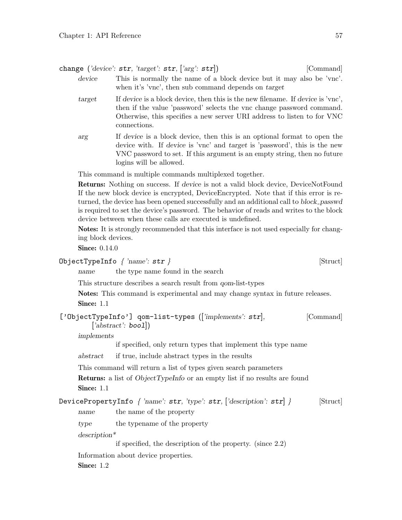change ('device': str, 'target': str, ['arg': str]) [Command]

- device This is normally the name of a block device but it may also be 'vnc'. when it's 'vnc', then sub command depends on target
- target If device is a block device, then this is the new filename. If device is 'vnc', then if the value 'password' selects the vnc change password command. Otherwise, this specifies a new server URI address to listen to for VNC connections.
- arg If device is a block device, then this is an optional format to open the device with. If device is 'vnc' and target is 'password', this is the new VNC password to set. If this argument is an empty string, then no future logins will be allowed.

This command is multiple commands multiplexed together.

Returns: Nothing on success. If device is not a valid block device, DeviceNotFound If the new block device is encrypted, DeviceEncrypted. Note that if this error is returned, the device has been opened successfully and an additional call to block passwd is required to set the device's password. The behavior of reads and writes to the block device between when these calls are executed is undefined.

Notes: It is strongly recommended that this interface is not used especially for changing block devices.

**Since:** 0.14.0

```
\DeltaDbjectTypeInfo { 'name': str } [Struct]
```
name the type name found in the search

This structure describes a search result from qom-list-types

Notes: This command is experimental and may change syntax in future releases. Since: 1.1

| ['ObjectTypeInfo'] qom-list-types (['implements': str], |  | [Command] |
|---------------------------------------------------------|--|-----------|
| $['abstract': \text{bool}]$                             |  |           |

implements

if specified, only return types that implement this type name

abstract if true, include abstract types in the results

This command will return a list of types given search parameters

**Returns:** a list of *ObjectTypeInfo* or an empty list if no results are found Since: 1.1

DevicePropertyInfo  $\int$  'name': str, 'type': str, ['description': str]  $\rangle$  [Struct]

name the name of the property

type the typename of the property

description\*

if specified, the description of the property. (since 2.2)

Information about device properties.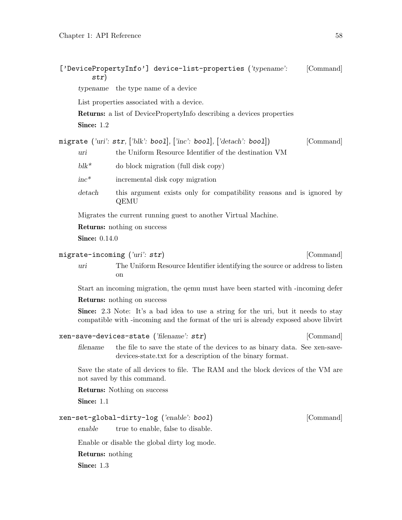str)

typename the type name of a device

| Since: 1.2              | List properties associated with a device.<br>Returns: a list of DevicePropertyInfo describing a devices properties                                                                |           |
|-------------------------|-----------------------------------------------------------------------------------------------------------------------------------------------------------------------------------|-----------|
| uri                     | migrate ('uri': $str,$ ['blk': bool], ['inc': bool], ['detach': bool])<br>the Uniform Resource Identifier of the destination VM                                                   | [Command] |
| $blk^*$                 | do block migration (full disk copy)                                                                                                                                               |           |
| $inc*$                  | incremental disk copy migration                                                                                                                                                   |           |
| detach                  | this argument exists only for compatibility reasons and is ignored by<br>QEMU                                                                                                     |           |
|                         | Migrates the current running guest to another Virtual Machine.                                                                                                                    |           |
|                         | <b>Returns:</b> nothing on success                                                                                                                                                |           |
| <b>Since: 0.14.0</b>    |                                                                                                                                                                                   |           |
|                         | migrate-incoming (' $uri$ : str)                                                                                                                                                  | [Command] |
| uri                     | The Uniform Resource Identifier identifying the source or address to listen<br>on                                                                                                 |           |
|                         | Start an incoming migration, the qemu must have been started with -incoming defer                                                                                                 |           |
|                         | <b>Returns:</b> nothing on success                                                                                                                                                |           |
|                         | <b>Since:</b> 2.3 Note: It's a bad idea to use a string for the uri, but it needs to stay<br>compatible with -incoming and the format of the uri is already exposed above libvirt |           |
|                         | xen-save-devices-state ('filename': $str)$                                                                                                                                        | [Command] |
| filename                | the file to save the state of the devices to as binary data. See xen-save-<br>devices-state.txt for a description of the binary format.                                           |           |
|                         | Save the state of all devices to file. The RAM and the block devices of the VM are<br>not saved by this command.                                                                  |           |
|                         | <b>Returns:</b> Nothing on success                                                                                                                                                |           |
| Since: 1.1              |                                                                                                                                                                                   |           |
|                         | xen-set-global-dirty-log ('enable': bool)                                                                                                                                         | [Command] |
| enable                  | true to enable, false to disable.                                                                                                                                                 |           |
|                         | Enable or disable the global dirty log mode.                                                                                                                                      |           |
| <b>Returns:</b> nothing |                                                                                                                                                                                   |           |
| Since: 1.3              |                                                                                                                                                                                   |           |
|                         |                                                                                                                                                                                   |           |
|                         |                                                                                                                                                                                   |           |

['DevicePropertyInfo'] device-list-properties ('typename': [Command]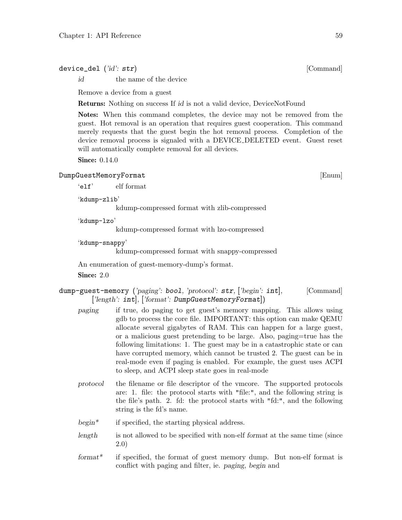device\_del ('id': str) [Command]

id the name of the device

Remove a device from a guest

Returns: Nothing on success If id is not a valid device, DeviceNotFound

Notes: When this command completes, the device may not be removed from the guest. Hot removal is an operation that requires guest cooperation. This command merely requests that the guest begin the hot removal process. Completion of the device removal process is signaled with a DEVICE DELETED event. Guest reset will automatically complete removal for all devices.

**Since: 0.14.0** 

# DumpGuestMemoryFormat [Enum]

'elf' elf format

'kdump-zlib'

kdump-compressed format with zlib-compressed

'kdump-lzo'

kdump-compressed format with lzo-compressed

'kdump-snappy'

kdump-compressed format with snappy-compressed

An enumeration of guest-memory-dump's format.

**Since: 2.0** 

# dump-guest-memory ('paging': bool, 'protocol': str, ['begin': int], [Command] ['length': int], ['format': DumpGuestMemoryFormat])

- paging if true, do paging to get guest's memory mapping. This allows using gdb to process the core file. IMPORTANT: this option can make QEMU allocate several gigabytes of RAM. This can happen for a large guest, or a malicious guest pretending to be large. Also, paging=true has the following limitations: 1. The guest may be in a catastrophic state or can have corrupted memory, which cannot be trusted 2. The guest can be in real-mode even if paging is enabled. For example, the guest uses ACPI to sleep, and ACPI sleep state goes in real-mode
- protocol the filename or file descriptor of the vmcore. The supported protocols are: 1. file: the protocol starts with "file:", and the following string is the file's path. 2. fd: the protocol starts with "fd:", and the following string is the fd's name.
- begin\* if specified, the starting physical address.
- length is not allowed to be specified with non-elf format at the same time (since 2.0)
- format\* if specified, the format of guest memory dump. But non-elf format is conflict with paging and filter, ie. paging, begin and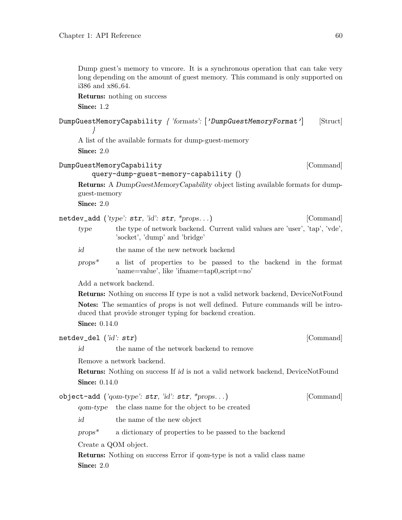Dump guest's memory to vmcore. It is a synchronous operation that can take very long depending on the amount of guest memory. This command is only supported on i386 and x86 64.

Returns: nothing on success

Since: 1.2

DumpGuestMemoryCapability { 'formats': ['DumpGuestMemoryFormat'] [Struct] }

A list of the available formats for dump-guest-memory

Since: 2.0

[Command]

query-dump-guest-memory-capability ()

Returns: A DumpGuestMemoryCapability object listing available formats for dumpguest-memory

Since: 2.0

netdev\_add ('type': str, 'id': str, \*props...) [Command] type the type of network backend. Current valid values are 'user', 'tap', 'vde', 'socket', 'dump' and 'bridge'

id the name of the new network backend

props\* a list of properties to be passed to the backend in the format 'name=value', like 'ifname=tap0,script=no'

Add a network backend.

Returns: Nothing on success If type is not a valid network backend, DeviceNotFound Notes: The semantics of props is not well defined. Future commands will be introduced that provide stronger typing for backend creation. **Since:** 0.14.0

netdev\_del ('id': str) [Command]

id the name of the network backend to remove

Remove a network backend.

Returns: Nothing on success If id is not a valid network backend, DeviceNotFound **Since: 0.14.0** 

object-add ('qom-type': str, 'id': str, \*props. . .) [Command]

qom-type the class name for the object to be created

id the name of the new object

props\* a dictionary of properties to be passed to the backend

Create a QOM object.

Returns: Nothing on success Error if qom-type is not a valid class name **Since: 2.0**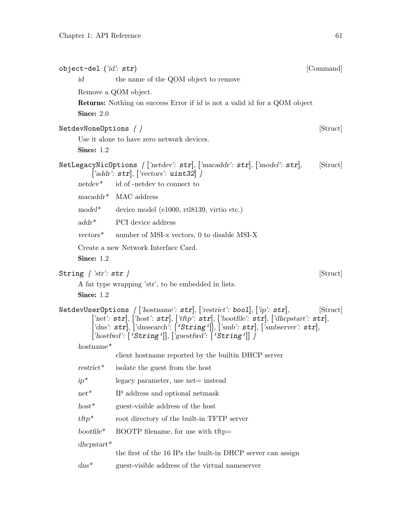| object-del $(\textit{'id': str})$ |                                                                                                                                                                                                                                                                                                                      | [Command] |
|-----------------------------------|----------------------------------------------------------------------------------------------------------------------------------------------------------------------------------------------------------------------------------------------------------------------------------------------------------------------|-----------|
| id                                | the name of the QOM object to remove                                                                                                                                                                                                                                                                                 |           |
|                                   | Remove a QOM object.                                                                                                                                                                                                                                                                                                 |           |
| Since: 2.0                        | <b>Returns:</b> Nothing on success Error if id is not a valid id for a QOM object                                                                                                                                                                                                                                    |           |
| NetdevNoneOptions $\{\}$          |                                                                                                                                                                                                                                                                                                                      | [Struct]  |
|                                   | Use it alone to have zero network devices.                                                                                                                                                                                                                                                                           |           |
| Since: $1.2$                      |                                                                                                                                                                                                                                                                                                                      |           |
|                                   | NetLegacyNicOptions { ['netdev': str], ['macaddr': str], ['model': str],<br>['addr': $\texttt{str}$ ], ['vectors': uint32] }                                                                                                                                                                                         | [Struct]  |
| $netdev^*$                        | id of -netdev to connect to                                                                                                                                                                                                                                                                                          |           |
|                                   | $macaddr^*$ MAC address                                                                                                                                                                                                                                                                                              |           |
| $model*$                          | device model (e1000, rtl8139, virtio etc.)                                                                                                                                                                                                                                                                           |           |
| $addr^*$                          | PCI device address                                                                                                                                                                                                                                                                                                   |           |
| $vectors^*$                       | number of MSI-x vectors, 0 to disable MSI-X                                                                                                                                                                                                                                                                          |           |
| Since: 1.2                        | Create a new Network Interface Card.                                                                                                                                                                                                                                                                                 |           |
| String $\{ 'str': str \}$         |                                                                                                                                                                                                                                                                                                                      | [Struct]  |
|                                   | A fat type wrapping 'str', to be embedded in lists.                                                                                                                                                                                                                                                                  |           |
| Since: 1.2                        |                                                                                                                                                                                                                                                                                                                      |           |
|                                   | NetdevUserOptions $\{$ ['hostname': str], ['restrict': bool], ['ip': str],<br>['net': $str$ ], ['host': $str$ ], ['tftp': $str$ ], ['bootfile': $str$ ], ['dhcpstart': $str$ ],<br>['dns': str], ['dnssearch': ['String']], ['smb': str], ['smbserver': str],<br>$['hostwd': ['String']], ['guestfwd': ['String']']$ | [Struct]  |
| $hostname*$                       | client hostname reported by the builtin DHCP server                                                                                                                                                                                                                                                                  |           |
| $\text{restrict*}$                | isolate the guest from the host                                                                                                                                                                                                                                                                                      |           |
| $ip^*$                            | legacy parameter, use net= instead                                                                                                                                                                                                                                                                                   |           |
| $net*$                            | IP address and optional netmask                                                                                                                                                                                                                                                                                      |           |
| $host^*$                          | guest-visible address of the host                                                                                                                                                                                                                                                                                    |           |
| $tftp*$                           | root directory of the built-in TFTP server                                                                                                                                                                                                                                                                           |           |
| $bootfile*$                       | BOOTP filename, for use with tftp=                                                                                                                                                                                                                                                                                   |           |
| $d$ hcpstart*                     |                                                                                                                                                                                                                                                                                                                      |           |
|                                   | the first of the 16 IPs the built-in DHCP server can assign                                                                                                                                                                                                                                                          |           |
| $dns*$                            | guest-visible address of the virtual nameserver                                                                                                                                                                                                                                                                      |           |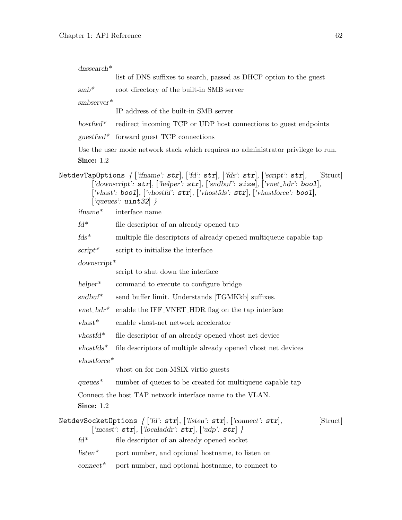$\emph{densearch*}$ 

|                                 | list of DNS suffixes to search, passed as DHCP option to the guest                                                                                                                                                                                                                                                                                                                                    |
|---------------------------------|-------------------------------------------------------------------------------------------------------------------------------------------------------------------------------------------------------------------------------------------------------------------------------------------------------------------------------------------------------------------------------------------------------|
| $smb*$                          | root directory of the built-in SMB server                                                                                                                                                                                                                                                                                                                                                             |
| $smbserver*$                    |                                                                                                                                                                                                                                                                                                                                                                                                       |
|                                 | IP address of the built-in SMB server                                                                                                                                                                                                                                                                                                                                                                 |
| $hostwd*$                       | redirect incoming TCP or UDP host connections to guest endpoints                                                                                                                                                                                                                                                                                                                                      |
|                                 | $guestfwd^*$ forward guest TCP connections                                                                                                                                                                                                                                                                                                                                                            |
|                                 | Use the user mode network stack which requires no administrator privilege to run.                                                                                                                                                                                                                                                                                                                     |
| Since: $1.2$                    |                                                                                                                                                                                                                                                                                                                                                                                                       |
|                                 | ${\tt NetdevTapOptions}$ { ['ifname': ${\tt str}],$ ['fd': ${\tt str}],$ ['fds': ${\tt str}],$ ['script': ${\tt str}],$<br>[Struct]<br>['downscript': $\texttt{str}$ ], ['helper': $\texttt{str}$ ], ['sndbuf': $\texttt{size}$ ], ['vnet_hdr': bool],<br>['vhost': bool], ['vhostfd': $\texttt{str}$ ], ['vhostfds': $\texttt{str}$ ], ['vhostforce': bool],<br>$\lceil$ 'queues': uint32 $\rceil$ } |
| $if name*$                      | interface name                                                                                                                                                                                                                                                                                                                                                                                        |
| $fd^*$                          | file descriptor of an already opened tap                                                                                                                                                                                                                                                                                                                                                              |
| $fds^*$                         | multiple file descriptors of already opened multiqueue capable tap                                                                                                                                                                                                                                                                                                                                    |
| $script*$                       | script to initialize the interface                                                                                                                                                                                                                                                                                                                                                                    |
| $downscript*$                   |                                                                                                                                                                                                                                                                                                                                                                                                       |
|                                 | script to shut down the interface                                                                                                                                                                                                                                                                                                                                                                     |
| $h$ elper <sup>*</sup>          | command to execute to configure bridge                                                                                                                                                                                                                                                                                                                                                                |
| $\text{sndbuf*}$                | send buffer limit. Understands [TGMKkb] suffixes.                                                                                                                                                                                                                                                                                                                                                     |
| $vnet\_hdr^*$                   | enable the IFF_VNET_HDR flag on the tap interface                                                                                                                                                                                                                                                                                                                                                     |
| $v$ host $*$                    | enable vhost-net network accelerator                                                                                                                                                                                                                                                                                                                                                                  |
| $v$ hostfd $*$                  | file descriptor of an already opened vhost net device                                                                                                                                                                                                                                                                                                                                                 |
| $v$ hostfds*                    | file descriptors of multiple already opened vhost net devices                                                                                                                                                                                                                                                                                                                                         |
| $vhostforce*$                   |                                                                                                                                                                                                                                                                                                                                                                                                       |
|                                 | vhost on for non-MSIX virtio guests                                                                                                                                                                                                                                                                                                                                                                   |
| $queues*$                       | number of queues to be created for multiqueue capable tap                                                                                                                                                                                                                                                                                                                                             |
|                                 | Connect the host TAP network interface name to the VLAN.                                                                                                                                                                                                                                                                                                                                              |
| <b>Since: 1.2</b>               |                                                                                                                                                                                                                                                                                                                                                                                                       |
|                                 | ${\tt NetdevSocketOptions}$ $\{ \, ['fd': \, {\tt str}], \, ['listen': \, {\tt str}], \, ['connect': \, {\tt str}],$<br>[Struct]<br>$[ 'meast': str ], [ 'localaddr': str ], [ 'udp': str ] \}$                                                                                                                                                                                                       |
| $\ensuremath{\textit{fd}}^\ast$ | file descriptor of an already opened socket                                                                                                                                                                                                                                                                                                                                                           |
| $listen*$                       | port number, and optional hostname, to listen on                                                                                                                                                                                                                                                                                                                                                      |
| $connect^*$                     | port number, and optional hostname, to connect to                                                                                                                                                                                                                                                                                                                                                     |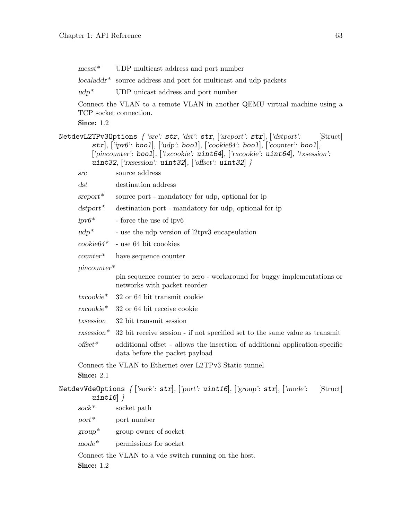| $\text{mcast}^*$     | UDP multicast address and port number                                                                                                                                                                                                                                                                                              |
|----------------------|------------------------------------------------------------------------------------------------------------------------------------------------------------------------------------------------------------------------------------------------------------------------------------------------------------------------------------|
|                      | $localaddr^*$ source address and port for multicast and udp packets                                                                                                                                                                                                                                                                |
| $udp^*$              | UDP unicast address and port number                                                                                                                                                                                                                                                                                                |
|                      | Connect the VLAN to a remote VLAN in another QEMU virtual machine using a<br>TCP socket connection.                                                                                                                                                                                                                                |
| <b>Since: 1.2</b>    |                                                                                                                                                                                                                                                                                                                                    |
|                      | NetdevL2TPv30ptions { 'src': $str,$ 'dst': $str,$ ['srcport': $str,$ ['dstport':<br>[Struct]<br>$\texttt{str}]$ , ['ipv6': boo1], ['udp': boo1], ['cookie64': boo1], ['counter': boo1],<br>['pincounter': bool], ['txcookie': uint64], ['rxcookie': uint64], 'txsession':<br>uint32, ['rxsession': uint32], ['offset': uint32] $}$ |
| src                  | source address                                                                                                                                                                                                                                                                                                                     |
| $\, \mathrm{dst}$    | destination address                                                                                                                                                                                                                                                                                                                |
| $s$ rc $port^*$      | source port - mandatory for udp, optional for ip                                                                                                                                                                                                                                                                                   |
| $dstport*$           | destination port - mandatory for udp, optional for ip                                                                                                                                                                                                                                                                              |
| $ipv6*$              | - force the use of ipv6                                                                                                                                                                                                                                                                                                            |
| $udp^*$              | - use the udp version of l2tpv3 encapsulation                                                                                                                                                                                                                                                                                      |
| $\mathrm{cookie}64*$ | - use 64 bit coookies                                                                                                                                                                                                                                                                                                              |
| $counter^*$          | have sequence counter                                                                                                                                                                                                                                                                                                              |
| $pincounter*$        |                                                                                                                                                                                                                                                                                                                                    |
|                      | pin sequence counter to zero - workaround for buggy implementations or<br>networks with packet reorder                                                                                                                                                                                                                             |
| $txcookie*$          | 32 or 64 bit transmit cookie                                                                                                                                                                                                                                                                                                       |
| rxcookie*            | 32 or 64 bit receive cookie                                                                                                                                                                                                                                                                                                        |
| txsession            | 32 bit transmit session                                                                                                                                                                                                                                                                                                            |
|                      | $rxsession*$ 32 bit receive session - if not specified set to the same value as transmit                                                                                                                                                                                                                                           |
| $offset*$            | additional offset - allows the insertion of additional application-specific<br>data before the packet payload                                                                                                                                                                                                                      |
| Since: 2.1           | Connect the VLAN to Ethernet over L2TPv3 Static tunnel                                                                                                                                                                                                                                                                             |
| uint16 $\}$          | NetdevVdeOptions $\{$ ['sock': str], ['port': uint16], ['group': str], ['mode':<br>[Struct]                                                                                                                                                                                                                                        |
| $\mathrm{sock}^*$    | socket path                                                                                                                                                                                                                                                                                                                        |
| $port^*$             | port number                                                                                                                                                                                                                                                                                                                        |
| $group^*$            | group owner of socket                                                                                                                                                                                                                                                                                                              |
| $mode*$              | permissions for socket                                                                                                                                                                                                                                                                                                             |
|                      | Connect the VLAN to a vde switch running on the host.                                                                                                                                                                                                                                                                              |
| Since: 1.2           |                                                                                                                                                                                                                                                                                                                                    |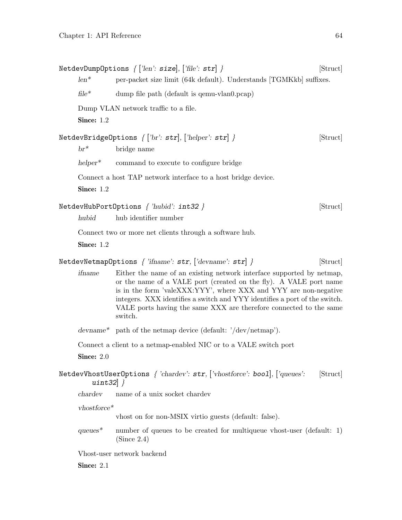|                        | NetdevDumpOptions $\{$ ['len': size], ['file': str] $\}$                                                                                                                                                                                                                                                                                                                      | [Struct] |
|------------------------|-------------------------------------------------------------------------------------------------------------------------------------------------------------------------------------------------------------------------------------------------------------------------------------------------------------------------------------------------------------------------------|----------|
| $len^*$                | per-packet size limit (64k default). Understands [TGMKkb] suffixes.                                                                                                                                                                                                                                                                                                           |          |
| $file*$                | dump file path (default is qemu-vlan0.pcap)                                                                                                                                                                                                                                                                                                                                   |          |
|                        | Dump VLAN network traffic to a file.                                                                                                                                                                                                                                                                                                                                          |          |
| Since: 1.2             |                                                                                                                                                                                                                                                                                                                                                                               |          |
|                        | NetdevBridgeOptions $\{['br': str], ['helper': str] \}$                                                                                                                                                                                                                                                                                                                       | [Struct] |
| $br^*$                 | bridge name                                                                                                                                                                                                                                                                                                                                                                   |          |
| $h$ elper <sup>*</sup> | command to execute to configure bridge                                                                                                                                                                                                                                                                                                                                        |          |
|                        | Connect a host TAP network interface to a host bridge device.                                                                                                                                                                                                                                                                                                                 |          |
| Since: $1.2$           |                                                                                                                                                                                                                                                                                                                                                                               |          |
|                        | NetdevHubPortOptions { 'hubid': int32 }                                                                                                                                                                                                                                                                                                                                       | [Struct] |
| hubid                  | hub identifier number                                                                                                                                                                                                                                                                                                                                                         |          |
|                        | Connect two or more net clients through a software hub.                                                                                                                                                                                                                                                                                                                       |          |
| Since: $1.2$           |                                                                                                                                                                                                                                                                                                                                                                               |          |
|                        | NetdevNetmapOptions { 'ifname': $str,$ ['devname': $str$ ] }                                                                                                                                                                                                                                                                                                                  | [Struct] |
| ifname                 | Either the name of an existing network interface supported by netmap,<br>or the name of a VALE port (created on the fly). A VALE port name<br>is in the form 'valeXXX:YYY', where XXX and YYY are non-negative<br>integers. XXX identifies a switch and YYY identifies a port of the switch.<br>VALE ports having the same XXX are therefore connected to the same<br>switch. |          |
|                        | devname* path of the netmap device (default: $\frac{7}{\text{dev}}$ ).                                                                                                                                                                                                                                                                                                        |          |
|                        | Connect a client to a netmap-enabled NIC or to a VALE switch port                                                                                                                                                                                                                                                                                                             |          |
| Since: $2.0$           |                                                                                                                                                                                                                                                                                                                                                                               |          |
| uint32 $\}$            | NetdevVhostUserOptions { 'chardev': str, ['vhostforce': bool], ['queues':                                                                                                                                                                                                                                                                                                     | [Struct] |
| chardev                | name of a unix socket chardev                                                                                                                                                                                                                                                                                                                                                 |          |
| $vhostforce*$          |                                                                                                                                                                                                                                                                                                                                                                               |          |
|                        | vhost on for non-MSIX virtio guests (default: false).                                                                                                                                                                                                                                                                                                                         |          |
| $queues*$              | number of queues to be created for multiqueue vhost-user (default: $1$ )<br>(Since 2.4)                                                                                                                                                                                                                                                                                       |          |
|                        | Vhost-user network backend                                                                                                                                                                                                                                                                                                                                                    |          |
| Since: 2.1             |                                                                                                                                                                                                                                                                                                                                                                               |          |
|                        |                                                                                                                                                                                                                                                                                                                                                                               |          |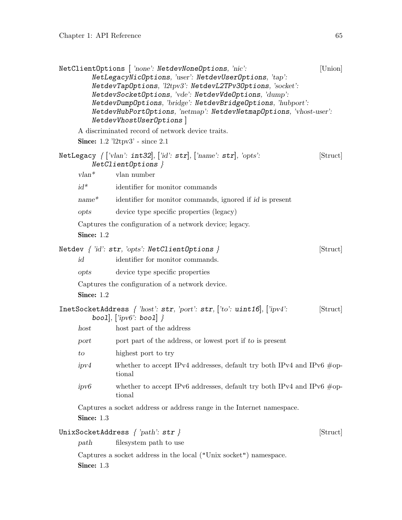|              | NetClientOptions [ 'none': NetdevNoneOptions, 'nic':<br>NetLegacyNicOptions, 'user': NetdevUserOptions, 'tap':<br>NetdevTapOptions, 'l2tpv3': NetdevL2TPv3Options, 'socket':<br>NetdevSocketOptions, 'vde': NetdevVdeOptions, 'dump':<br>NetdevDumpOptions, 'bridge': NetdevBridgeOptions, 'hubport':<br>NetdevHubPortOptions, 'netmap': NetdevNetmapOptions, 'vhost-user':<br>NetdevVhostUserOptions | [Union]  |
|--------------|-------------------------------------------------------------------------------------------------------------------------------------------------------------------------------------------------------------------------------------------------------------------------------------------------------------------------------------------------------------------------------------------------------|----------|
|              | A discriminated record of network device traits.                                                                                                                                                                                                                                                                                                                                                      |          |
|              | <b>Since:</b> $1.2$ ' $12$ tpv3' - since $2.1$                                                                                                                                                                                                                                                                                                                                                        |          |
|              | NetLegacy $\{$ ['vlan': int32], ['id': str], ['name': str], 'opts':<br>$NetClientOptions$ }                                                                                                                                                                                                                                                                                                           | [Struct] |
| $vlan^*$     | vlan number                                                                                                                                                                                                                                                                                                                                                                                           |          |
| $id^*$       | identifier for monitor commands                                                                                                                                                                                                                                                                                                                                                                       |          |
| $name^*$     | identifier for monitor commands, ignored if id is present                                                                                                                                                                                                                                                                                                                                             |          |
| opts         | device type specific properties (legacy)                                                                                                                                                                                                                                                                                                                                                              |          |
|              | Captures the configuration of a network device; legacy.                                                                                                                                                                                                                                                                                                                                               |          |
| Since: $1.2$ |                                                                                                                                                                                                                                                                                                                                                                                                       |          |
|              | Netdev $\{ 'id': str, 'opts': NetClientOptions \}$                                                                                                                                                                                                                                                                                                                                                    | [Struct] |
| id           | identifier for monitor commands.                                                                                                                                                                                                                                                                                                                                                                      |          |
| opts         | device type specific properties                                                                                                                                                                                                                                                                                                                                                                       |          |
|              | Captures the configuration of a network device.                                                                                                                                                                                                                                                                                                                                                       |          |
| Since: 1.2   |                                                                                                                                                                                                                                                                                                                                                                                                       |          |
|              | InetSocketAddress { 'host': str, 'port': str, ['to': uint16], ['ipv4':<br>bool], $[$ <i>ipv6</i> ': bool] $\}$                                                                                                                                                                                                                                                                                        | [Struct] |
| host         | host part of the address                                                                                                                                                                                                                                                                                                                                                                              |          |
| port         | port part of the address, or lowest port if to is present                                                                                                                                                                                                                                                                                                                                             |          |
| to           | highest port to try                                                                                                                                                                                                                                                                                                                                                                                   |          |
| ipv4         | whether to accept IPv4 addresses, default try both IPv4 and IPv6 $\#$ op-<br>tional                                                                                                                                                                                                                                                                                                                   |          |
| ipv6         | whether to accept IPv6 addresses, default try both IPv4 and IPv6 $\#$ op-<br>tional                                                                                                                                                                                                                                                                                                                   |          |
| Since: $1.3$ | Captures a socket address or address range in the Internet namespace.                                                                                                                                                                                                                                                                                                                                 |          |
|              | UnixSocketAddress $\{ 'path': str \}$                                                                                                                                                                                                                                                                                                                                                                 | [Struct] |
| path         | filesystem path to use                                                                                                                                                                                                                                                                                                                                                                                |          |
| Since: 1.3   | Captures a socket address in the local ("Unix socket") namespace.                                                                                                                                                                                                                                                                                                                                     |          |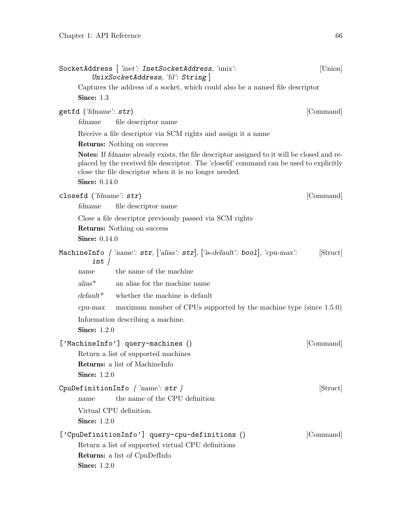| SocketAddress [ 'inet': InetSocketAddress, 'unix':<br>UnixSocketAddress, 'fd': String                                                                                                                                                                                          | [Union]   |
|--------------------------------------------------------------------------------------------------------------------------------------------------------------------------------------------------------------------------------------------------------------------------------|-----------|
| Captures the address of a socket, which could also be a named file descriptor                                                                                                                                                                                                  |           |
| Since: 1.3                                                                                                                                                                                                                                                                     |           |
| getfd ('fdname': str)                                                                                                                                                                                                                                                          | [Command] |
| file descriptor name<br>fdname                                                                                                                                                                                                                                                 |           |
| Receive a file descriptor via SCM rights and assign it a name                                                                                                                                                                                                                  |           |
| <b>Returns:</b> Nothing on success                                                                                                                                                                                                                                             |           |
| <b>Notes:</b> If fdname already exists, the file descriptor assigned to it will be closed and re-<br>placed by the received file descriptor. The 'closefd' command can be used to explicitly<br>close the file descriptor when it is no longer needed.<br><b>Since:</b> 0.14.0 |           |
|                                                                                                                                                                                                                                                                                |           |
| closefd ('fdname': str)                                                                                                                                                                                                                                                        | [Command] |
| fdname<br>file descriptor name                                                                                                                                                                                                                                                 |           |
| Close a file descriptor previously passed via SCM rights                                                                                                                                                                                                                       |           |
| <b>Returns:</b> Nothing on success<br><b>Since:</b> 0.14.0                                                                                                                                                                                                                     |           |
|                                                                                                                                                                                                                                                                                |           |
| MachineInfo { 'name': $str$ , ['alias': $str$ ], ['is-default': bool], 'cpu-max':<br>$int \}$                                                                                                                                                                                  | [Struct]  |
| the name of the machine<br>name                                                                                                                                                                                                                                                |           |
| $alias^*$<br>an alias for the machine name                                                                                                                                                                                                                                     |           |
| $default*$<br>whether the machine is default                                                                                                                                                                                                                                   |           |
| maximum number of CPUs supported by the machine type (since $1.5.0$ )<br>$cpu-max$                                                                                                                                                                                             |           |
| Information describing a machine.                                                                                                                                                                                                                                              |           |
| <b>Since: 1.2.0</b>                                                                                                                                                                                                                                                            |           |
| ['MachineInfo'] query-machines ()                                                                                                                                                                                                                                              | [Command] |
| Return a list of supported machines                                                                                                                                                                                                                                            |           |
| <b>Returns:</b> a list of MachineInfo                                                                                                                                                                                                                                          |           |
| <b>Since: 1.2.0</b>                                                                                                                                                                                                                                                            |           |
| CpuDefinitionInfo $\{ 'name': str \}$                                                                                                                                                                                                                                          | [Struct]  |
| the name of the CPU definition<br>name                                                                                                                                                                                                                                         |           |
| Virtual CPU definition.                                                                                                                                                                                                                                                        |           |
| <b>Since: 1.2.0</b>                                                                                                                                                                                                                                                            |           |
| ['CpuDefinitionInfo'] query-cpu-definitions ()                                                                                                                                                                                                                                 | [Command] |
| Return a list of supported virtual CPU definitions                                                                                                                                                                                                                             |           |
| <b>Returns:</b> a list of CpuDefInfo                                                                                                                                                                                                                                           |           |
| <b>Since:</b> 1.2.0                                                                                                                                                                                                                                                            |           |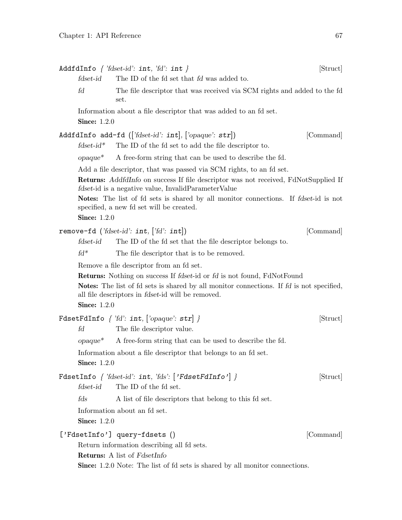|                     | AddfdInfo $\{$ 'fdset-id': int, 'fd': int $\}$                                                                                                                                                                                                | [Struct]  |
|---------------------|-----------------------------------------------------------------------------------------------------------------------------------------------------------------------------------------------------------------------------------------------|-----------|
| fdset-id            | The ID of the fd set that fd was added to.                                                                                                                                                                                                    |           |
| fd                  | The file descriptor that was received via SCM rights and added to the fd<br>set.                                                                                                                                                              |           |
| <b>Since:</b> 1.2.0 | Information about a file descriptor that was added to an fd set.                                                                                                                                                                              |           |
|                     | AddfdInfo add-fd ( $[ 'fdset-id': int]$ , $[ 'opaque': str]$ )                                                                                                                                                                                | [Command] |
| $f$ dset-id*        | The ID of the fd set to add the file descriptor to.                                                                                                                                                                                           |           |
| $opaque^*$          | A free-form string that can be used to describe the fd.                                                                                                                                                                                       |           |
|                     | Add a file descriptor, that was passed via SCM rights, to an fd set.                                                                                                                                                                          |           |
|                     | Returns: AddfdInfo on success If file descriptor was not received, FdNotSupplied If<br><i>fdset</i> -id is a negative value, InvalidParameterValue                                                                                            |           |
| <b>Since: 1.2.0</b> | <b>Notes:</b> The list of fd sets is shared by all monitor connections. If fdset-id is not<br>specified, a new fd set will be created.                                                                                                        |           |
|                     | remove-fd ('fdset-id': int, $[ 'fd': int ]$ )                                                                                                                                                                                                 | [Command] |
| $f$ dset- $id$      | The ID of the fd set that the file descriptor belongs to.                                                                                                                                                                                     |           |
| $fd^*$              | The file descriptor that is to be removed.                                                                                                                                                                                                    |           |
|                     | Remove a file descriptor from an fd set.                                                                                                                                                                                                      |           |
| <b>Since:</b> 1.2.0 | <b>Returns:</b> Nothing on success If fdset-id or fd is not found, FdNotFound<br><b>Notes:</b> The list of fd sets is shared by all monitor connections. If fd is not specified,<br>all file descriptors in <i>fdset</i> -id will be removed. |           |
| fd                  | FdsetFdInfo $\{ 'fd': int, ['opaque': str] \}$<br>The file descriptor value.                                                                                                                                                                  | [Struct]  |
| $opaque^*$          | A free-form string that can be used to describe the fd.                                                                                                                                                                                       |           |
| <b>Since: 1.2.0</b> | Information about a file descriptor that belongs to an fd set.                                                                                                                                                                                |           |
|                     | FdsetInfo { 'fdset-id': int, 'fds': ['FdsetFdInfo'] }                                                                                                                                                                                         | [Struct]  |
| $f$ dset- $id$      | The ID of the fd set.                                                                                                                                                                                                                         |           |
| fds                 | A list of file descriptors that belong to this fd set.                                                                                                                                                                                        |           |
| <b>Since:</b> 1.2.0 | Information about an fd set.                                                                                                                                                                                                                  |           |
|                     | ['FdsetInfo'] query-fdsets ()<br>Return information describing all fd sets.                                                                                                                                                                   | [Command] |
|                     | <b>Returns:</b> A list of FdsetInfo<br><b>Since:</b> 1.2.0 Note: The list of fd sets is shared by all monitor connections.                                                                                                                    |           |
|                     |                                                                                                                                                                                                                                               |           |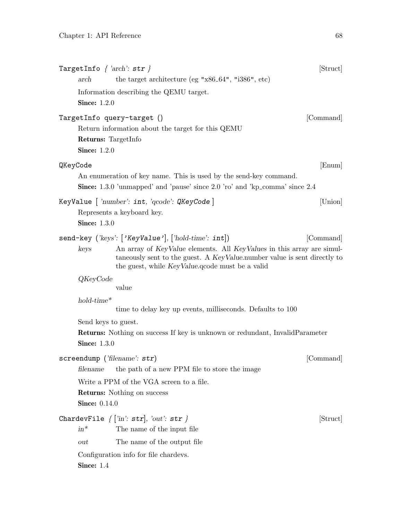|          | arch                                              | TargetInfo $\{ \; 'arch\}: \texttt{str}\; \}$<br>the target architecture (eg " $x86.64$ ", " $i386$ ", etc)                                                                                           | [Struct]  |
|----------|---------------------------------------------------|-------------------------------------------------------------------------------------------------------------------------------------------------------------------------------------------------------|-----------|
|          | <b>Since:</b> 1.2.0                               | Information describing the QEMU target.                                                                                                                                                               |           |
|          | <b>Returns:</b> TargetInfo<br><b>Since:</b> 1.2.0 | TargetInfo query-target ()<br>Return information about the target for this QEMU                                                                                                                       | [Command] |
| QKeyCode |                                                   |                                                                                                                                                                                                       | [Enum]    |
|          |                                                   | An enumeration of key name. This is used by the send-key command.<br><b>Since:</b> 1.3.0 'unmapped' and 'pause' since 2.0 'ro' and 'kp_comma' since 2.4                                               |           |
|          | <b>Since:</b> 1.3.0                               | KeyValue   'number': int, 'qcode': QKeyCode  <br>Represents a keyboard key.                                                                                                                           | [Union]   |
|          |                                                   | send-key ('keys': ['KeyValue'], ['hold-time': $int$ ])                                                                                                                                                | [Command] |
|          | keys                                              | An array of KeyValue elements. All KeyValues in this array are simul-<br>taneously sent to the guest. A KeyValue number value is sent directly to<br>the guest, while KeyValue. goode must be a valid |           |
|          | QKeyCode                                          | value                                                                                                                                                                                                 |           |
|          | $hold-time*$                                      | time to delay key up events, milliseconds. Defaults to 100                                                                                                                                            |           |
|          | Send keys to guest.                               |                                                                                                                                                                                                       |           |
|          | <b>Since: 1.3.0</b>                               | <b>Returns:</b> Nothing on success If key is unknown or redundant, InvalidParameter                                                                                                                   |           |
|          |                                                   | screendump ('filename': $str$ )                                                                                                                                                                       | [Command] |
|          | filename                                          | the path of a new PPM file to store the image                                                                                                                                                         |           |
|          |                                                   | Write a PPM of the VGA screen to a file.                                                                                                                                                              |           |
|          | <b>Since: 0.14.0</b>                              | <b>Returns:</b> Nothing on success                                                                                                                                                                    |           |
|          | $in$ <sup>*</sup>                                 | ChardevFile $\{$ $\rceil$ ' $in$ ': $\texttt{str} \}$ , ' $out$ ': $\texttt{str} \}$<br>The name of the input file                                                                                    | [Struct]  |
|          | out                                               | The name of the output file                                                                                                                                                                           |           |
|          | Since: $1.4$                                      | Configuration info for file chardevs.                                                                                                                                                                 |           |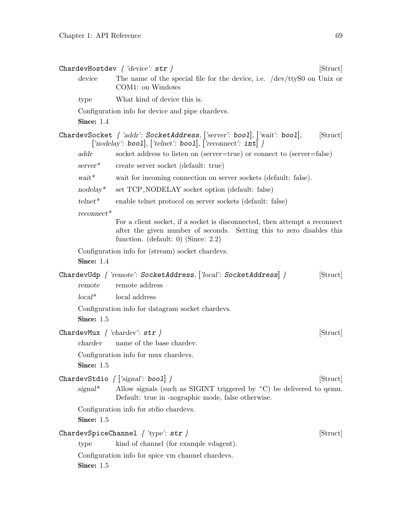| device<br>The name of the special file for the device, i.e. $/$ dev $/$ ttyS0 on Unix or<br>COM1: on Windows<br>What kind of device this is.<br>type<br>Configuration info for device and pipe chardevs.<br>Since: 1.4<br>ChardevSocket { 'addr': SocketAddress, ['server': bool], ['wait': bool],<br>[Struct]<br>$[\text{'nodelay': bool}, [\text{'telnet': bool}], [\text{'reconnect': int}]$ }<br>socket address to listen on (server=true) or connect to (server=false)<br>addr |
|-------------------------------------------------------------------------------------------------------------------------------------------------------------------------------------------------------------------------------------------------------------------------------------------------------------------------------------------------------------------------------------------------------------------------------------------------------------------------------------|
|                                                                                                                                                                                                                                                                                                                                                                                                                                                                                     |
|                                                                                                                                                                                                                                                                                                                                                                                                                                                                                     |
|                                                                                                                                                                                                                                                                                                                                                                                                                                                                                     |
|                                                                                                                                                                                                                                                                                                                                                                                                                                                                                     |
|                                                                                                                                                                                                                                                                                                                                                                                                                                                                                     |
|                                                                                                                                                                                                                                                                                                                                                                                                                                                                                     |
| $server^*$<br>create server socket (default: true)                                                                                                                                                                                                                                                                                                                                                                                                                                  |
| wait*<br>wait for incoming connection on server sockets (default: false).                                                                                                                                                                                                                                                                                                                                                                                                           |
| $nodelay^*$<br>set TCP_NODELAY socket option (default: false)                                                                                                                                                                                                                                                                                                                                                                                                                       |
| $t$ elne $t^*$<br>enable telnet protocol on server sockets (default: false)                                                                                                                                                                                                                                                                                                                                                                                                         |
| $reconnect*$                                                                                                                                                                                                                                                                                                                                                                                                                                                                        |
| For a client socket, if a socket is disconnected, then attempt a reconnect<br>after the given number of seconds. Setting this to zero disables this<br>function. (default: 0) (Since: $2.2$ )                                                                                                                                                                                                                                                                                       |
| Configuration info for (stream) socket chardevs.                                                                                                                                                                                                                                                                                                                                                                                                                                    |
| Since: 1.4                                                                                                                                                                                                                                                                                                                                                                                                                                                                          |
| ChardevUdp { 'remote': SocketAddress, ['local': SocketAddress] }<br>[Struct]<br>remote address<br>remote                                                                                                                                                                                                                                                                                                                                                                            |
| $local*$<br>local address                                                                                                                                                                                                                                                                                                                                                                                                                                                           |
| Configuration info for datagram socket chardevs.<br>Since: 1.5                                                                                                                                                                                                                                                                                                                                                                                                                      |
| ChardevMux $\{ 'character' : str \}$<br>[Struct]                                                                                                                                                                                                                                                                                                                                                                                                                                    |
| name of the base chardev.<br>chardev                                                                                                                                                                                                                                                                                                                                                                                                                                                |
| Configuration info for mux chardevs.<br>Since: 1.5                                                                                                                                                                                                                                                                                                                                                                                                                                  |
| ChardevStdio $\{$ ['signal': bool] $\}$<br>[Struct]                                                                                                                                                                                                                                                                                                                                                                                                                                 |
| $signal^*$<br>Allow signals (such as SIGINT triggered by $\hat{C}$ ) be delivered to qemu.<br>Default: true in -nographic mode, false otherwise.                                                                                                                                                                                                                                                                                                                                    |
| Configuration info for stdio chardevs.<br>Since: $1.5$                                                                                                                                                                                                                                                                                                                                                                                                                              |
| ChardevSpiceChannel $\{ 'type': str \}$<br>[Struct]                                                                                                                                                                                                                                                                                                                                                                                                                                 |
| kind of channel (for example vdagent).<br>type                                                                                                                                                                                                                                                                                                                                                                                                                                      |
| Configuration info for spice vm channel chardevs.<br>Since: 1.5                                                                                                                                                                                                                                                                                                                                                                                                                     |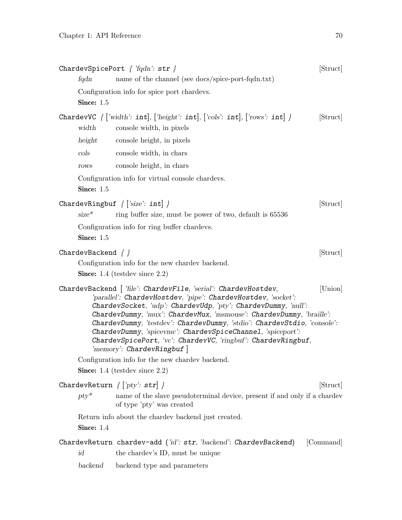|                                | ChardevSpicePort $\{$ 'fqdn': str $\}$                                                                                                                                                                                                                                                                                                                                                                                                                                                                                                                                                                                                    | [Struct]  |
|--------------------------------|-------------------------------------------------------------------------------------------------------------------------------------------------------------------------------------------------------------------------------------------------------------------------------------------------------------------------------------------------------------------------------------------------------------------------------------------------------------------------------------------------------------------------------------------------------------------------------------------------------------------------------------------|-----------|
| fqdn                           | name of the channel (see docs/spice-port-fqdn.txt)                                                                                                                                                                                                                                                                                                                                                                                                                                                                                                                                                                                        |           |
|                                | Configuration info for spice port chardevs.                                                                                                                                                                                                                                                                                                                                                                                                                                                                                                                                                                                               |           |
| Since: $1.5$                   |                                                                                                                                                                                                                                                                                                                                                                                                                                                                                                                                                                                                                                           |           |
| width                          | ChardevVC $\{$ ['width': int], ['height': int], ['cols': int], ['rows': int] }<br>console width, in pixels                                                                                                                                                                                                                                                                                                                                                                                                                                                                                                                                | [Struct]  |
| height                         | console height, in pixels                                                                                                                                                                                                                                                                                                                                                                                                                                                                                                                                                                                                                 |           |
| $\cosh$                        | console width, in chars                                                                                                                                                                                                                                                                                                                                                                                                                                                                                                                                                                                                                   |           |
| rows                           | console height, in chars                                                                                                                                                                                                                                                                                                                                                                                                                                                                                                                                                                                                                  |           |
| Since: 1.5                     | Configuration info for virtual console chardevs.                                                                                                                                                                                                                                                                                                                                                                                                                                                                                                                                                                                          |           |
| $size^*$                       | ChardevRingbuf $\{$ ['size': int] $\}$<br>ring buffer size, must be power of two, default is 65536                                                                                                                                                                                                                                                                                                                                                                                                                                                                                                                                        | [Struct]  |
| Since: 1.5                     | Configuration info for ring buffer chardevs.                                                                                                                                                                                                                                                                                                                                                                                                                                                                                                                                                                                              |           |
| ${\tt ChardevBackend}\ \{\ \}$ | Configuration info for the new chardev backend.<br><b>Since:</b> 1.4 (testdev since $2.2$ )                                                                                                                                                                                                                                                                                                                                                                                                                                                                                                                                               | [Struct]  |
|                                | ${\tt ChardevBackend}$ $[$ 'file': ${\tt ChardevFile},$ 's ${\tt erial}'$ : ${\tt ChardevHostdev},$<br>'parallel': ChardevHostdev, 'pipe': ChardevHostdev, 'socket':<br>ChardevSocket, 'udp': ChardevUdp, 'pty': ChardevDummy, 'null':<br>ChardevDummy, 'mux': ChardevMux, 'msmouse': ChardevDummy, 'braille':<br>ChardevDummy, 'testdev': ChardevDummy, 'stdio': ChardevStdio, 'console':<br>ChardevDummy, 'spicevmc': ChardevSpiceChannel, 'spiceport':<br>ChardevSpicePort, 'vc': ChardevVC, 'ringbuf': ChardevRingbuf,<br>$\langle \text{memory}: \text{CharacterRingbuf} \rangle$<br>Configuration info for the new chardev backend. | [Union]   |
|                                | <b>Since:</b> 1.4 (testdev since $2.2$ )                                                                                                                                                                                                                                                                                                                                                                                                                                                                                                                                                                                                  |           |
|                                | ChardevReturn $\{ \lceil \textit{'pty'} : \textit{str} \rceil \}$                                                                                                                                                                                                                                                                                                                                                                                                                                                                                                                                                                         | [Struct]  |
| $pty^*$                        | name of the slave pseudoterminal device, present if and only if a chardev<br>of type 'pty' was created                                                                                                                                                                                                                                                                                                                                                                                                                                                                                                                                    |           |
| Since: $1.4$                   | Return info about the charder backend just created.                                                                                                                                                                                                                                                                                                                                                                                                                                                                                                                                                                                       |           |
| id                             | ChardevReturn chardev-add ('id': $str,$ 'backend': ChardevBackend)<br>the charder's ID, must be unique                                                                                                                                                                                                                                                                                                                                                                                                                                                                                                                                    | [Command] |
| backend                        | backend type and parameters                                                                                                                                                                                                                                                                                                                                                                                                                                                                                                                                                                                                               |           |
|                                |                                                                                                                                                                                                                                                                                                                                                                                                                                                                                                                                                                                                                                           |           |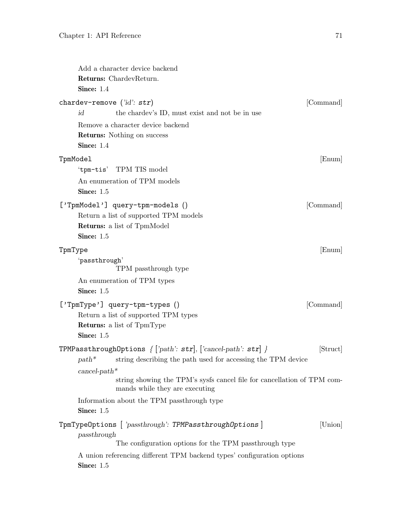<span id="page-72-0"></span>

|          | Add a character device backend<br>Returns: ChardevReturn.<br>Since: $1.4$                                                                                                                                                                                                                                                                      |           |
|----------|------------------------------------------------------------------------------------------------------------------------------------------------------------------------------------------------------------------------------------------------------------------------------------------------------------------------------------------------|-----------|
|          | chardev-remove $('id': str)$<br>id<br>the chardev's ID, must exist and not be in use                                                                                                                                                                                                                                                           | [Command] |
|          | Remove a character device backend<br><b>Returns:</b> Nothing on success<br>Since: $1.4$                                                                                                                                                                                                                                                        |           |
| TpmModel | 'tpm-tis' TPM TIS model<br>An enumeration of TPM models<br>Since: 1.5                                                                                                                                                                                                                                                                          | [Enum]    |
|          | ['TpmModel'] query-tpm-models ()<br>Return a list of supported TPM models<br><b>Returns:</b> a list of TpmModel<br>Since: 1.5                                                                                                                                                                                                                  | [Command] |
| TpmType  | 'passthrough'<br>TPM passthrough type<br>An enumeration of TPM types                                                                                                                                                                                                                                                                           | [Enum]    |
|          | Since: 1.5<br>['TpmType'] query-tpm-types ()<br>Return a list of supported TPM types<br><b>Returns:</b> a list of TpmType<br>Since: 1.5                                                                                                                                                                                                        | [Command] |
|          | TPMPassthroughOptions $\{ \lceil \text{path} \rceil : \text{str} \rceil, \lceil \text{`cancel-path'} \rceil : \text{str} \rceil \}$<br>string describing the path used for accessing the TPM device<br>$path^*$<br>$cancel-path*$<br>string showing the TPM's sysfs cancel file for cancellation of TPM com-<br>mands while they are executing | [Struct]  |
|          | Information about the TPM passthrough type<br>Since: 1.5                                                                                                                                                                                                                                                                                       |           |
|          | TpmTypeOptions [ 'passthrough': TPMPassthroughOptions ]<br>passthrough<br>The configuration options for the TPM passthrough type<br>A union referencing different TPM backend types' configuration options<br>Since: 1.5                                                                                                                       | [Union]   |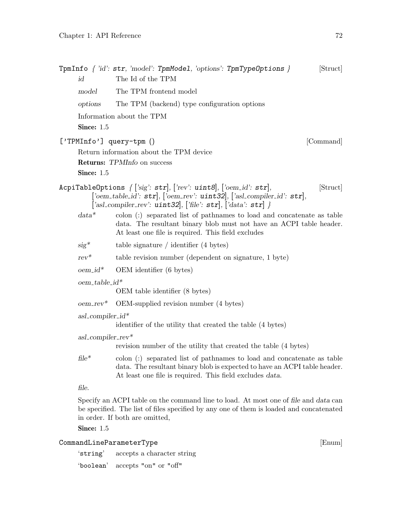<span id="page-73-0"></span>

|                                              | TpmInfo $\{$ 'id': str, 'model': TpmModel, 'options': TpmTypeOptions $\}$                                                                                                                                                      | [Struct] |
|----------------------------------------------|--------------------------------------------------------------------------------------------------------------------------------------------------------------------------------------------------------------------------------|----------|
| id                                           | The Id of the TPM                                                                                                                                                                                                              |          |
| model                                        | The TPM frontend model                                                                                                                                                                                                         |          |
| options                                      | The TPM (backend) type configuration options                                                                                                                                                                                   |          |
|                                              | Information about the TPM                                                                                                                                                                                                      |          |
| Since: 1.5                                   |                                                                                                                                                                                                                                |          |
|                                              | $['TPMInfo']$ query-tpm $()$<br>[Command]                                                                                                                                                                                      |          |
|                                              | Return information about the TPM device                                                                                                                                                                                        |          |
|                                              | Returns: TPMInfo on success                                                                                                                                                                                                    |          |
| Since: 1.5                                   |                                                                                                                                                                                                                                |          |
|                                              | AcpiTableOptions $\{['sig': str], ['rev': unit8], ['oem_id': str],$<br>['oem_table_id': $str$ ], ['oem_rev': $uint32$ ], ['asl_compiler_id': $str$ ],<br>['asl_compiler_rev': $uint32$ ], ['file': $str$ ], ['data': $str$ ] } | [Struct] |
| $data*$                                      | colon $(.)$ separated list of pathnames to load and concatenate as table<br>data. The resultant binary blob must not have an ACPI table header.<br>At least one file is required. This field excludes                          |          |
| $sig^*$                                      | table signature / identifier $(4 \text{ bytes})$                                                                                                                                                                               |          |
| $rev^*$                                      | table revision number (dependent on signature, 1 byte)                                                                                                                                                                         |          |
| $oem_id^*$                                   | OEM identifier (6 bytes)                                                                                                                                                                                                       |          |
| $oem\_table_id*$                             |                                                                                                                                                                                                                                |          |
|                                              | OEM table identifier (8 bytes)                                                                                                                                                                                                 |          |
| $oem\_rev^*$                                 | OEM-supplied revision number (4 bytes)                                                                                                                                                                                         |          |
| asl_compiler_id*                             | identifier of the utility that created the table (4 bytes)                                                                                                                                                                     |          |
| $asl$ <sub>c</sub> ompiler <sub>-rev</sub> * |                                                                                                                                                                                                                                |          |
|                                              | revision number of the utility that created the table (4 bytes)                                                                                                                                                                |          |
| $file*$                                      | colon (:) separated list of pathnames to load and concatenate as table<br>data. The resultant binary blob is expected to have an ACPI table header.<br>At least one file is required. This field excludes data.                |          |
| file.                                        |                                                                                                                                                                                                                                |          |
|                                              | Specify an ACPI table on the command line to load. At most one of file and data can<br>be specified. The list of files specified by any one of them is loaded and concatenated<br>in order. If both are omitted,               |          |

**Since: 1.5** 

#### ${\small \textbf{CommandLineParameterType}} \qquad \qquad [ \textbf{Enum} ]$

'string' accepts a character string

'boolean' accepts "on" or "off"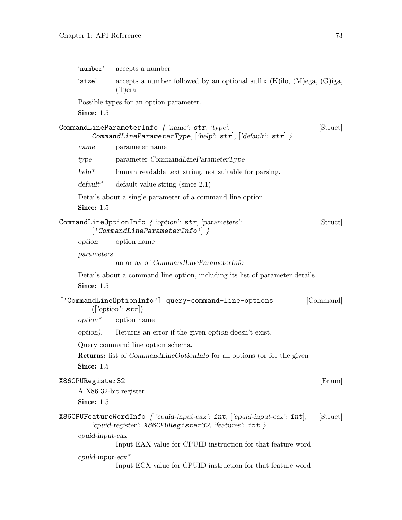<span id="page-74-0"></span>

| 'number'                                                | accepts a number                                                                                                                        |           |
|---------------------------------------------------------|-----------------------------------------------------------------------------------------------------------------------------------------|-----------|
| 'size'                                                  | accepts a number followed by an optional suffix $(K)$ ilo, $(M)$ ega, $(G)$ iga,<br>$(T)$ era                                           |           |
| Since: 1.5                                              | Possible types for an option parameter.                                                                                                 |           |
|                                                         | CommandLineParameterInfo $\int$ 'name': str, 'type':<br>CommandLineParameterType, ['help': $str$ ], ['default': $str$ ] }               | [Struct]  |
| name                                                    | parameter name                                                                                                                          |           |
| type                                                    | parameter CommandLineParameterType                                                                                                      |           |
| $help^*$                                                | human readable text string, not suitable for parsing.                                                                                   |           |
| $default*$                                              | default value string (since $2.1$ )                                                                                                     |           |
| Since: 1.5                                              | Details about a single parameter of a command line option.                                                                              |           |
|                                                         | CommandLineOptionInfo $\{$ 'option': str, 'parameters':<br>${'CommandLineParameterInfo'}$                                               | [Struct]  |
| option                                                  | option name                                                                                                                             |           |
| parameters                                              | an array of CommandLineParameterInfo                                                                                                    |           |
| Since: 1.5                                              | Details about a command line option, including its list of parameter details                                                            |           |
|                                                         | ['CommandLineOptionInfo'] query-command-line-options<br>(['option': str])<br>$option^*$ option name                                     | [Command] |
|                                                         | option). Returns an error if the given option doesn't exist.                                                                            |           |
|                                                         | Query command line option schema.                                                                                                       |           |
| Since: 1.5                                              | <b>Returns:</b> list of <i>CommandLineOptionInfo</i> for all options (or for the given                                                  |           |
| X86CPURegister32<br>A X86 32-bit register<br>Since: 1.5 |                                                                                                                                         | [Enum]    |
|                                                         | X86CPUFeatureWordInfo $\{$ 'cpuid-input-eax': int, $ $ 'cpuid-input-ecx': int,<br>'cpuid-register': X86CPURegister32, 'features': int } | [Struct]  |
| $c$ <i>puid-input-eax</i>                               | Input EAX value for CPUID instruction for that feature word                                                                             |           |
| $c$ puid-input-e $cx$ *                                 | Input ECX value for CPUID instruction for that feature word                                                                             |           |
|                                                         |                                                                                                                                         |           |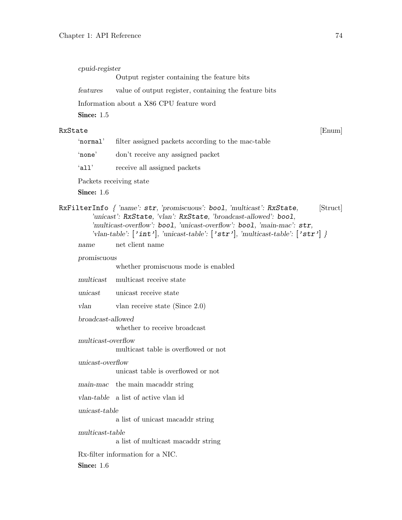<span id="page-75-0"></span>

|         | cpuid-register     |                                                                                                                                                                                                                                                                                                                                                                       |          |
|---------|--------------------|-----------------------------------------------------------------------------------------------------------------------------------------------------------------------------------------------------------------------------------------------------------------------------------------------------------------------------------------------------------------------|----------|
|         |                    | Output register containing the feature bits                                                                                                                                                                                                                                                                                                                           |          |
|         | features           | value of output register, containing the feature bits                                                                                                                                                                                                                                                                                                                 |          |
|         |                    | Information about a X86 CPU feature word                                                                                                                                                                                                                                                                                                                              |          |
|         | Since: 1.5         |                                                                                                                                                                                                                                                                                                                                                                       |          |
| RxState |                    |                                                                                                                                                                                                                                                                                                                                                                       | [Enum]   |
|         | 'normal'           | filter assigned packets according to the mac-table                                                                                                                                                                                                                                                                                                                    |          |
|         | 'none'             | don't receive any assigned packet                                                                                                                                                                                                                                                                                                                                     |          |
|         | 'all'              | receive all assigned packets                                                                                                                                                                                                                                                                                                                                          |          |
|         |                    | Packets receiving state                                                                                                                                                                                                                                                                                                                                               |          |
|         | Since: 1.6         |                                                                                                                                                                                                                                                                                                                                                                       |          |
|         |                    | RxFilterInfo { 'name': str, 'promiscuous': bool, 'multicast': RxState,<br>'unicast': RxState, 'vlan': RxState, 'broadcast-allowed': bool,<br>'multicast-overflow': bool, 'unicast-overflow': bool, 'main-mac': str,<br>'vlan-table': $\lceil \text{'int'} \rceil$ , 'unicast-table': $\lceil \text{'str'} \rceil$ , 'multicast-table': $\lceil \text{'str'} \rceil$ } | [Struct] |
|         | name               | net client name                                                                                                                                                                                                                                                                                                                                                       |          |
|         | promiscuous        |                                                                                                                                                                                                                                                                                                                                                                       |          |
|         |                    | whether promiscuous mode is enabled                                                                                                                                                                                                                                                                                                                                   |          |
|         | multicast          | multicast receive state                                                                                                                                                                                                                                                                                                                                               |          |
|         | unicast            | unicast receive state                                                                                                                                                                                                                                                                                                                                                 |          |
|         | vlan               | vlan receive state (Since $2.0$ )                                                                                                                                                                                                                                                                                                                                     |          |
|         | broadcast-allowed  | whether to receive broadcast                                                                                                                                                                                                                                                                                                                                          |          |
|         | multicast-overflow | multicast table is overflowed or not                                                                                                                                                                                                                                                                                                                                  |          |
|         | unicast-overflow   | unicast table is overflowed or not                                                                                                                                                                                                                                                                                                                                    |          |
|         | main-mac           | the main macaddr string                                                                                                                                                                                                                                                                                                                                               |          |
|         |                    | vlan-table a list of active vlan id                                                                                                                                                                                                                                                                                                                                   |          |
|         | $unicast-table$    |                                                                                                                                                                                                                                                                                                                                                                       |          |
|         |                    | a list of unicast macaddr string                                                                                                                                                                                                                                                                                                                                      |          |
|         | multicast-table    | a list of multicast macaddr string                                                                                                                                                                                                                                                                                                                                    |          |
|         |                    | Rx-filter information for a NIC.                                                                                                                                                                                                                                                                                                                                      |          |
|         | Since: $1.6$       |                                                                                                                                                                                                                                                                                                                                                                       |          |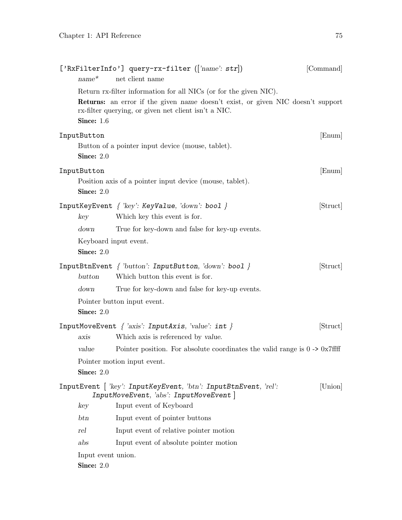<span id="page-76-0"></span>

| $name^*$                                    | ['RxFilterInfo'] query-rx-filter ( $\lceil$ 'name': str])<br>net client name                                                                                                                                 | [Command] |
|---------------------------------------------|--------------------------------------------------------------------------------------------------------------------------------------------------------------------------------------------------------------|-----------|
| Since: 1.6                                  | Return rx-filter information for all NICs (or for the given NIC).<br>Returns: an error if the given name doesn't exist, or given NIC doesn't support<br>rx-filter querying, or given net client isn't a NIC. |           |
| InputButton<br>Since: $2.0$                 | Button of a pointer input device (mouse, tablet).                                                                                                                                                            | [Enum]    |
| InputButton<br>Since: 2.0                   | Position axis of a pointer input device (mouse, tablet).                                                                                                                                                     | [Enum]    |
| key                                         | InputKeyEvent $\{$ 'key': KeyValue, 'down': bool $\}$<br>Which key this event is for.                                                                                                                        | [Struct]  |
| down<br>Keyboard input event.<br>Since: 2.0 | True for key-down and false for key-up events.                                                                                                                                                               |           |
| button                                      | InputBtnEvent { 'button': InputButton, 'down': bool }<br>Which button this event is for.                                                                                                                     | [Struct]  |
| down                                        | True for key-down and false for key-up events.                                                                                                                                                               |           |
| Since: 2.0                                  | Pointer button input event.                                                                                                                                                                                  |           |
| axis                                        | InputMoveEvent $\{ 'axis': InputAxis, 'value': int \}$<br>Which axis is referenced by value.                                                                                                                 | [Struct]  |
| value                                       | Pointer position. For absolute coordinates the valid range is $0 \rightarrow 0x7$ fff                                                                                                                        |           |
| Since: 2.0                                  | Pointer motion input event.                                                                                                                                                                                  |           |
|                                             | InputEvent   'key': InputKeyEvent, 'btn': InputBtnEvent, 'rel':<br>InputMoveEvent, 'abs': InputMoveEvent                                                                                                     | [Union]   |
| key                                         | Input event of Keyboard                                                                                                                                                                                      |           |
| $_{\rm{btn}}$                               | Input event of pointer buttons                                                                                                                                                                               |           |
| rel                                         | Input event of relative pointer motion                                                                                                                                                                       |           |
| abs                                         | Input event of absolute pointer motion                                                                                                                                                                       |           |
| Input event union.<br>Since: 2.0            |                                                                                                                                                                                                              |           |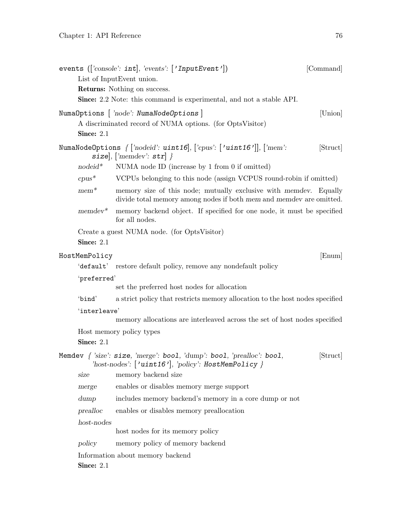<span id="page-77-0"></span>

|               | events (['console': int], 'events': ['InputEvent'])                                                                                       | [Command] |
|---------------|-------------------------------------------------------------------------------------------------------------------------------------------|-----------|
|               | List of InputEvent union.                                                                                                                 |           |
|               | <b>Returns:</b> Nothing on success.                                                                                                       |           |
|               | <b>Since:</b> 2.2 Note: this command is experimental, and not a stable API.                                                               |           |
|               | NumaOptions   'node': NumaNodeOptions  <br>A discriminated record of NUMA options. (for OptsVisitor)                                      | [Union]   |
| Since: 2.1    |                                                                                                                                           |           |
|               | NumaNodeOptions $\{ [inocid': \text{uint16}], [cpus': [\text{'uint16'}]], [i'mem':$<br>size, $\lceil \text{`member': str} \rceil$ }       | [Struct]  |
| $nodeid^*$    | NUMA node ID (increase by $1$ from $0$ if omitted)                                                                                        |           |
| $cpus^*$      | VCPUs belonging to this node (assign VCPUS round-robin if omitted)                                                                        |           |
| $mem*$        | memory size of this node; mutually exclusive with memode . Equally<br>divide total memory among nodes if both mem and memode are omitted. |           |
| $m$ emdev $*$ | memory backend object. If specified for one node, it must be specified<br>for all nodes.                                                  |           |
|               | Create a guest NUMA node. (for OptsVisitor)                                                                                               |           |
| Since: $2.1$  |                                                                                                                                           |           |
| HostMemPolicy |                                                                                                                                           | [Enum]    |
|               | 'default' restore default policy, remove any nondefault policy                                                                            |           |
| 'preferred'   |                                                                                                                                           |           |
|               | set the preferred host nodes for allocation                                                                                               |           |
| 'bind'        | a strict policy that restricts memory allocation to the host nodes specified                                                              |           |
| 'interleave'  |                                                                                                                                           |           |
|               | memory allocations are interleaved across the set of host nodes specified                                                                 |           |
|               | Host memory policy types                                                                                                                  |           |
| Since: 2.1    |                                                                                                                                           |           |
|               | Memdev $\int$ 'size': size, 'merge': bool, 'dump': bool, 'prealloc': bool,<br>'host-nodes': $\lceil$ 'uint16'], 'policy': HostMemPolicy } | [Struct]  |
| size          | memory backend size                                                                                                                       |           |
| merge         | enables or disables memory merge support                                                                                                  |           |
| dump          | includes memory backend's memory in a core dump or not                                                                                    |           |
| prealloc      | enables or disables memory preallocation                                                                                                  |           |
| $host-nodes$  |                                                                                                                                           |           |
|               | host nodes for its memory policy                                                                                                          |           |
| policy        | memory policy of memory backend                                                                                                           |           |
|               | Information about memory backend                                                                                                          |           |
| Since: 2.1    |                                                                                                                                           |           |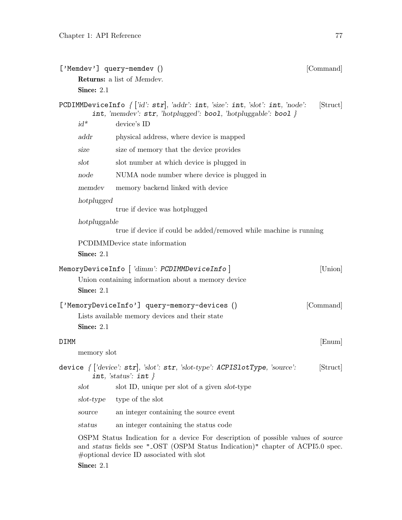<span id="page-78-0"></span>

|      |              | ['Memdev'] query-memdev ()                                                                                                                                                                                     | [Command] |
|------|--------------|----------------------------------------------------------------------------------------------------------------------------------------------------------------------------------------------------------------|-----------|
|      |              | <b>Returns:</b> a list of <i>Memdev</i> .                                                                                                                                                                      |           |
|      | Since: 2.1   |                                                                                                                                                                                                                |           |
|      |              | PCDIMMDeviceInfo $\{ [id': str], 'addr': int, 'size': int, 'slot': int, 'node': \}$<br>int, 'memdev': str, 'hotplugged': bool, 'hotpluggable': bool }                                                          | [Struct]  |
|      | $id^*$       | device's ID                                                                                                                                                                                                    |           |
|      | addr         | physical address, where device is mapped                                                                                                                                                                       |           |
|      | size         | size of memory that the device provides                                                                                                                                                                        |           |
|      | slot         | slot number at which device is plugged in                                                                                                                                                                      |           |
|      | node         | NUMA node number where device is plugged in                                                                                                                                                                    |           |
|      | memdev       | memory backend linked with device                                                                                                                                                                              |           |
|      | hotplugged   | true if device was hotplugged                                                                                                                                                                                  |           |
|      | hotpluggable | true if device if could be added/removed while machine is running                                                                                                                                              |           |
|      |              | PCDIMMDevice state information                                                                                                                                                                                 |           |
|      | Since: 2.1   |                                                                                                                                                                                                                |           |
|      |              | MemoryDeviceInfo $\lceil$ 'dimm': PCDIMMDeviceInfo $\rceil$                                                                                                                                                    | [Union]   |
|      | Since: 2.1   | Union containing information about a memory device                                                                                                                                                             |           |
|      | Since: 2.1   | ['MemoryDeviceInfo'] query-memory-devices ()<br>Lists available memory devices and their state                                                                                                                 | [Command] |
| DIMM |              |                                                                                                                                                                                                                | [Enum]    |
|      | memory slot  |                                                                                                                                                                                                                |           |
|      |              | device $\int \left[ \text{'device': str} \right], \text{'slot': str, 'slot-type': } \text{ACPISlotType, 'source': }$<br>int, 'status': int $\}$                                                                | [Struct]  |
|      | slot         | slot ID, unique per slot of a given slot-type                                                                                                                                                                  |           |
|      | slot-type    | type of the slot                                                                                                                                                                                               |           |
|      | source       | an integer containing the source event                                                                                                                                                                         |           |
|      | status       | an integer containing the status code                                                                                                                                                                          |           |
|      |              | OSPM Status Indication for a device For description of possible values of source<br>and status fields see "_OST (OSPM Status Indication)" chapter of ACPI5.0 spec.<br>#optional device ID associated with slot |           |

**Since: 2.1**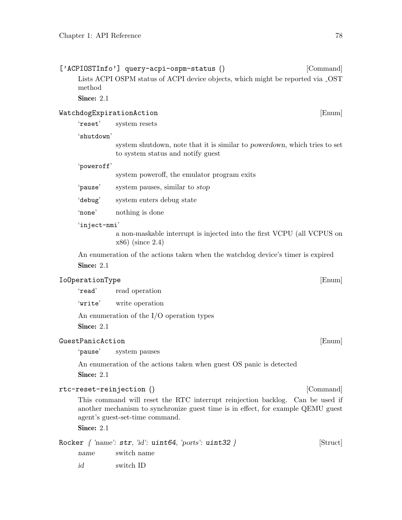<span id="page-79-0"></span>

| ['ACPIOSTInfo'] query-acpi-ospm-status ()                                                 | [Command] |
|-------------------------------------------------------------------------------------------|-----------|
| Lists ACPI OSPM status of ACPI device objects, which might be reported via _OST<br>method |           |
| Since: $2.1$                                                                              |           |
| WatchdogExpirationAction                                                                  | [Enum]    |
| 'reset'<br>system resets                                                                  |           |

'shutdown'

system shutdown, note that it is similar to powerdown, which tries to set to system status and notify guest

#### 'poweroff'

system poweroff, the emulator program exits

- 'pause' system pauses, similar to stop
- 'debug' system enters debug state
- 'none' nothing is done

#### 'inject-nmi'

a non-maskable interrupt is injected into the first VCPU (all VCPUS on x86) (since 2.4)

An enumeration of the actions taken when the watchdog device's timer is expired Since: 2.1

#### IoOperationType [Enum]

'read' read operation

'write' write operation

An enumeration of the I/O operation types

Since: 2.1

#### GuestPanicAction [Enum]

'pause' system pauses

An enumeration of the actions taken when guest OS panic is detected

Since: 2.1

#### rtc-reset-reinjection () [Command]

This command will reset the RTC interrupt reinjection backlog. Can be used if another mechanism to synchronize guest time is in effect, for example QEMU guest agent's guest-set-time command.

Since: 2.1

Rocker  $\{ 'name': str, 'id': unit64, 'ports': unit32 } \}$  [Struct]

- name switch name
- id switch ID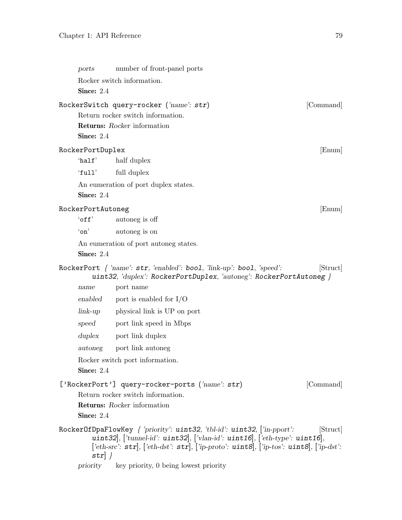<span id="page-80-0"></span>

| ports              | number of front-panel ports                                                                                                                                                                                                                                                              |           |
|--------------------|------------------------------------------------------------------------------------------------------------------------------------------------------------------------------------------------------------------------------------------------------------------------------------------|-----------|
|                    | Rocker switch information.                                                                                                                                                                                                                                                               |           |
| Since: 2.4         |                                                                                                                                                                                                                                                                                          |           |
|                    | RockerSwitch query-rocker ('name': str)                                                                                                                                                                                                                                                  | [Command] |
|                    | Return rocker switch information.                                                                                                                                                                                                                                                        |           |
|                    | <b>Returns:</b> Rocker information                                                                                                                                                                                                                                                       |           |
| Since: 2.4         |                                                                                                                                                                                                                                                                                          |           |
| RockerPortDuplex   |                                                                                                                                                                                                                                                                                          | [Enum]    |
| $'$ half'          | half duplex                                                                                                                                                                                                                                                                              |           |
| 'full'             | full duplex                                                                                                                                                                                                                                                                              |           |
|                    | An eumeration of port duplex states.                                                                                                                                                                                                                                                     |           |
| Since: $2.4$       |                                                                                                                                                                                                                                                                                          |           |
| RockerPortAutoneg  |                                                                                                                                                                                                                                                                                          | [Enum]    |
| $'$ off $'$        | autoneg is off                                                                                                                                                                                                                                                                           |           |
| $\lq \mathsf{on}'$ | autoneg is on                                                                                                                                                                                                                                                                            |           |
|                    | An eumeration of port autoneg states.                                                                                                                                                                                                                                                    |           |
| Since: 2.4         |                                                                                                                                                                                                                                                                                          |           |
|                    | RockerPort { 'name': str, 'enabled': bool, 'link-up': bool, 'speed':<br>uint32, 'duplex': RockerPortDuplex, 'autoneg': RockerPortAutoneg }                                                                                                                                               | [Struct]  |
| name               | port name                                                                                                                                                                                                                                                                                |           |
| enabled            | port is enabled for $I/O$                                                                                                                                                                                                                                                                |           |
| $link-up$          | physical link is UP on port                                                                                                                                                                                                                                                              |           |
|                    | speed port link speed in Mbps                                                                                                                                                                                                                                                            |           |
| $d$ uplex          | port link duplex                                                                                                                                                                                                                                                                         |           |
| autoneg            | port link autoneg                                                                                                                                                                                                                                                                        |           |
| Since: 2.4         | Rocker switch port information.                                                                                                                                                                                                                                                          |           |
|                    | ['RockerPort'] query-rocker-ports ('name': str)                                                                                                                                                                                                                                          | [Command] |
|                    | Return rocker switch information.                                                                                                                                                                                                                                                        |           |
|                    | <b>Returns:</b> Rocker information                                                                                                                                                                                                                                                       |           |
| Since: $2.4$       |                                                                                                                                                                                                                                                                                          |           |
| $str$ }            | RockerOfDpaFlowKey $\int$ 'priority': uint32, 'tbl-id': uint32, ['in-pport':<br>uint32, ['tunnel-id': uint32, ['vlan-id': uint16, ['eth-type': uint16,<br>['eth-src': $\text{str}$ ], ['eth-dst': $\text{str}$ ], ['ip-proto': $\text{uint8}$ ], ['ip-tos': $\text{uint8}$ ], ['ip-dst': | [Struct]  |
| priority           | key priority, 0 being lowest priority                                                                                                                                                                                                                                                    |           |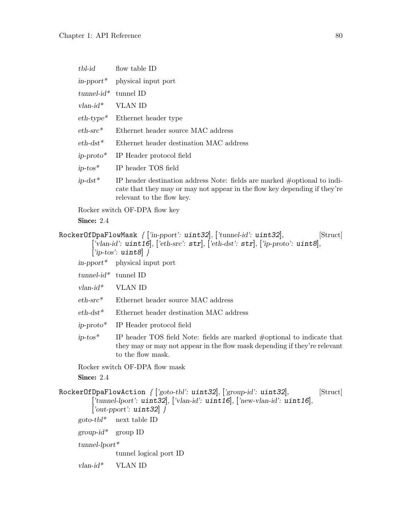<span id="page-81-0"></span>

| tbl-id                   | flow table ID                                                                                                                                                                          |
|--------------------------|----------------------------------------------------------------------------------------------------------------------------------------------------------------------------------------|
|                          | $\text{in-pport*}$ physical input port                                                                                                                                                 |
| $tunnel-id*$             | tunnel ID                                                                                                                                                                              |
| $vlan-id*$               | VLAN ID                                                                                                                                                                                |
| $eth$ -type <sup>*</sup> | Ethernet header type                                                                                                                                                                   |
| $eth\text{-}src*$        | Ethernet header source MAC address                                                                                                                                                     |
| $eth$ -dst <sup>*</sup>  | Ethernet header destination MAC address                                                                                                                                                |
| $ip\text{-}proto*$       | IP Header protocol field                                                                                                                                                               |
| $ip\text{-}tos*$         | IP header TOS field                                                                                                                                                                    |
| $ip-dst*$                | IP header destination address Note: fields are marked $\#$ optional to indi-<br>cate that they may or may not appear in the flow key depending if they're<br>relevant to the flow key. |
|                          | Rocker switch OF-DPA flow key                                                                                                                                                          |
| Since: $2.4$             |                                                                                                                                                                                        |

```
RockerOfDpaFlowMask \int ['in-pport': uint32], ['tunnel-id': uint32], [Struct]
          ['vlan-id': uint16], ['eth-src': str], ['eth-dst': str], ['ip-proto': uint8],
          ['ip-tos': uint8]}
      in-pport* physical input port
      tunnel-id^* tunnel ID
      vlan-id* VLAN ID
      eth-src* Ethernet header source MAC address
      eth-dst* Ethernet header destination MAC address
      ip-proto* IP Header protocol field
      ip-tos* IP header TOS field Note: fields are marked #optional to indicate that
                 they may or may not appear in the flow mask depending if they're relevant
                 to the flow mask.
      Rocker switch OF-DPA flow mask
      Since: 2.4
RockerOfDpaFlowAction \{ [yoto-tbl': \text{uint32}], [yroup-id': \text{uint32}], [Struct]
          ['tunnel-lport': uint32], ['vlan-id': uint16], ['new-vlan-id': uint16],
          ['out\text{-}pport': \text{uint32}]}
      goto-tbl^* next table ID
      group-id^* group ID
      tunnel-lport*
                 tunnel logical port ID
      vlan-id* VLAN ID
```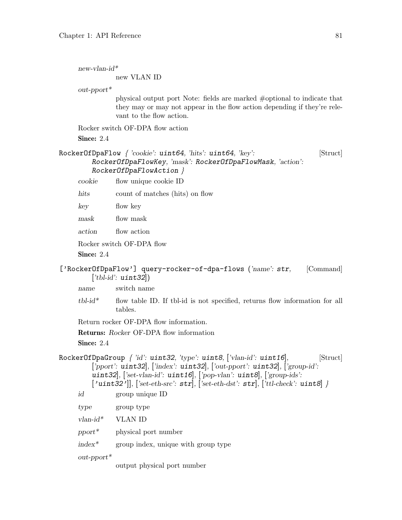<span id="page-82-0"></span>new-vlan-id\*

new VLAN ID

out-pport\*

physical output port Note: fields are marked #optional to indicate that they may or may not appear in the flow action depending if they're relevant to the flow action.

Rocker switch OF-DPA flow action Since: 2.4

```
RockerOfDpaFlow { 'cookie': uint64, 'hits': uint64, 'key': [Struct]
        RockerOfDpaFlowKey, 'mask': RockerOfDpaFlowMask, 'action':
        RockerOfDpaFlowAction }
```
cookie flow unique cookie ID

hits count of matches (hits) on flow

key flow key

mask flow mask

action flow action

Rocker switch OF-DPA flow

Since: 2.4

#### ['RockerOfDpaFlow'] query-rocker-of-dpa-flows ('name': str, [Command]  $[\n'tbl-id$ :  $uint32]$

name switch name

 $tbLid^*$  flow table ID. If tbl-id is not specified, returns flow information for all tables.

Return rocker OF-DPA flow information.

Returns: Rocker OF-DPA flow information

**Since: 2.4** 

RockerOfDpaGroup  $\int 'id'$ : uint32, 'type': uint8, ['vlan-id': uint16], [Struct] ['pport': uint32], ['index': uint32], ['out-pport': uint32], ['group-id': uint32], ['set-vlan-id': uint16], ['pop-vlan': uint8], ['group-ids':  $['uint32']], ['set-eth-src': str], ['set-eth-dst': str], ['tl-check': uint8] }$ id group unique ID

type group type vlan-id\* VLAN ID

pport\* physical port number

index\* group index, unique with group type

out-pport\*

output physical port number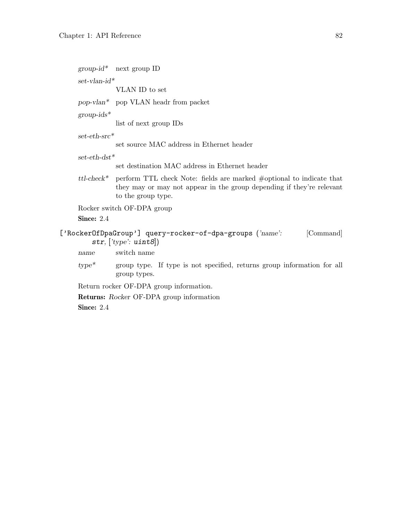<span id="page-83-0"></span> $group-id^*$  next group ID

 $set$ -vlan-id\*

VLAN ID to set

pop-vlan\* pop VLAN headr from packet

 $group-ids^*$ 

list of next group IDs

#### set-eth-src\*

set source MAC address in Ethernet header

#### $set\text{-}eth\text{-}dst*$

set destination MAC address in Ethernet header

ttl-check\* perform TTL check Note: fields are marked #optional to indicate that they may or may not appear in the group depending if they're relevant to the group type.

Rocker switch OF-DPA group

Since: 2.4

#### ['RockerOfDpaGroup'] query-rocker-of-dpa-groups ('name': [Command] str,  $[\textit{'type': unit8}$ )

name switch name

type\* group type. If type is not specified, returns group information for all group types.

Return rocker OF-DPA group information.

Returns: Rocker OF-DPA group information

Since: 2.4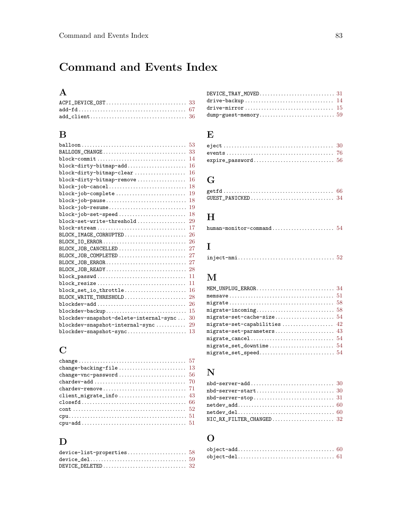# Command and Events Index

## A

| $add\_client \ldots \ldots \ldots \ldots \ldots \ldots \ldots \ldots \ldots \ldots \ldots \ldots 36$ |  |
|------------------------------------------------------------------------------------------------------|--|

#### $\, {\bf B}$

|                                                                               | 53 |
|-------------------------------------------------------------------------------|----|
| BALLOON_CHANGE                                                                | 33 |
|                                                                               | 14 |
| block-dirty-bitmap-add                                                        | 16 |
| block-dirty-bitmap-clear                                                      | 16 |
| block-dirty-bitmap-remove                                                     | 16 |
| block-job-cancel                                                              | 18 |
| block-job-complete                                                            | 19 |
| block-job-pause                                                               | 18 |
| block-job-resume                                                              | 19 |
| block-job-set-speed                                                           | 18 |
| block-set-write-threshold                                                     | 29 |
| $block-stream \ldots \ldots \ldots \ldots \ldots \ldots \ldots \ldots \ldots$ | 17 |
| BLOCK_IMAGE_CORRUPTED                                                         | 26 |
|                                                                               | 26 |
| BLOCK_JOB_CANCELLED                                                           | 27 |
| BLOCK_JOB_COMPLETED                                                           | 27 |
| BLOCK_JOB_ERROR                                                               | 27 |
| BLOCK_JOB_READY                                                               | 28 |
| block_passwd                                                                  | 11 |
| block_resize                                                                  | 11 |
| block_set_io_throttle                                                         | 16 |
| BLOCK_WRITE_THRESHOLD                                                         | 28 |
| blockdev-add                                                                  | 26 |
| blockdev-backup                                                               | 15 |
| blockdev-snapshot-delete-internal-sync                                        | 30 |
| blockdev-snapshot-internal-sync                                               | 29 |
| blockdev-snapshot-sync                                                        | 13 |
|                                                                               |    |

## C

#### $\mathbf D$

| drive-mirror $\ldots\ldots\ldots\ldots\ldots\ldots\ldots\ldots\ldots\ldots\ldots\ldots\ 15$ |  |
|---------------------------------------------------------------------------------------------|--|
|                                                                                             |  |

#### E

## G

#### $\mathbf H$

# I

|--|--|--|--|--|--|--|

# M

| migrate-set-capabilities $42$ |
|-------------------------------|
|                               |
|                               |
|                               |
|                               |
|                               |

#### N

| NIC RX FILTER CHANGED 32 |  |
|--------------------------|--|

#### O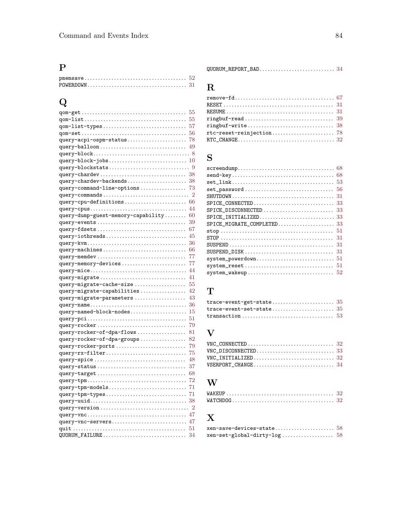## P

# Q

|                                                                                                  | 55             |
|--------------------------------------------------------------------------------------------------|----------------|
|                                                                                                  | 55             |
|                                                                                                  | 57             |
|                                                                                                  | 56             |
| $query - acpi - ospm - status \dots \dots \dots \dots \dots \dots$                               | 78             |
|                                                                                                  | 49             |
|                                                                                                  | 8              |
|                                                                                                  | 10             |
|                                                                                                  | 9              |
|                                                                                                  |                |
| ${\tt query-character-backends}\dots\dots\dots\dots\dots\dots\dots\dots\dots$                    | 38             |
| ${\tt query-command-line-options}\dots\dots\dots\dots\dots$                                      | 73             |
| query-commands                                                                                   | $\overline{2}$ |
|                                                                                                  | 66             |
|                                                                                                  | 44             |
| query-dump-guest-memory-capability                                                               | 60             |
| query-events                                                                                     | 39             |
| $query-fdests \dots \dots \dots \dots \dots \dots \dots \dots \dots \dots$                       | 67             |
|                                                                                                  | 45             |
| $query\text{-}iothreads \dots \dots \dots \dots \dots \dots \dots \dots \dots \dots$             | 36             |
|                                                                                                  | 66             |
|                                                                                                  | 77             |
| query-memdev                                                                                     | 77             |
| query-memory-devices                                                                             | 44             |
|                                                                                                  |                |
|                                                                                                  | 41             |
| ${\tt query{\text{-}migrate-cache{\text{-}}size}\ . \ . \ . \ . \ . \ . \ . \ . \ . \ . \ . \ .$ | 55             |
| ${\tt query{\text{-}migrate{\text{-}}capabilities}\dots\dots\dots\dots\dots\dots}$               | 42             |
| ${\tt query{\tt-migrate{\tt-parameters}\,\ldots\ldots\ldots\ldots\ldots}}$                       | 43             |
|                                                                                                  | 36             |
| $query$ -named-block-nodes                                                                       | 15             |
|                                                                                                  | 51             |
|                                                                                                  | 79             |
| ${\tt query-rocket-of-dpa-flows}\ .\ .\ .\ .\ .\ .\ .\ .\ .\ .$                                  | 81             |
| ${\tt query-rocket-of-dpa-groups}\ .\ .\ .\ .\ .\ .\ .\ .\ .\ .$                                 | 82             |
|                                                                                                  | 79             |
|                                                                                                  | 75             |
|                                                                                                  | 48             |
|                                                                                                  | 37             |
| query-target                                                                                     | 68             |
| $query -tpm \ldots \ldots \ldots \ldots \ldots \ldots \ldots \ldots \ldots \ldots \ldots \ldots$ | 72             |
| $query$ -tpm-models                                                                              | 71             |
|                                                                                                  | 71             |
|                                                                                                  | 38             |
| $query-version \dots \dots \dots \dots \dots \dots \dots \dots \dots \dots$                      | $\overline{2}$ |
|                                                                                                  | 47             |
| query-vnc-servers                                                                                | 47             |
|                                                                                                  | 51             |
| QUORUM_FAILURE                                                                                   | 34             |
|                                                                                                  |                |

|--|--|--|

# R

# S

| 68                                                                                        |
|-------------------------------------------------------------------------------------------|
| 53                                                                                        |
| 56<br>set_password                                                                        |
| 31                                                                                        |
| 33<br>SPICE_CONNECTED                                                                     |
| 33<br>SPICE_DISCONNECTED                                                                  |
| $SPICE$ _INITIALIZED<br>33                                                                |
| SPICE_MIGRATE_COMPLETED<br>33                                                             |
| 51                                                                                        |
| 31                                                                                        |
| 31<br>$\texttt{SUBPEND}\dots\dots\dots\dots\dots\dots\dots\dots\dots\dots\dots\dots\dots$ |
| 31<br>$SUBPEND_DISK \ldots \ldots \ldots \ldots \ldots \ldots \ldots \ldots \ldots$       |
| 51<br>system_powerdown                                                                    |
| 51<br>system_reset                                                                        |
| 52<br>system_wakeup                                                                       |
|                                                                                           |

## T

## V

## W

# X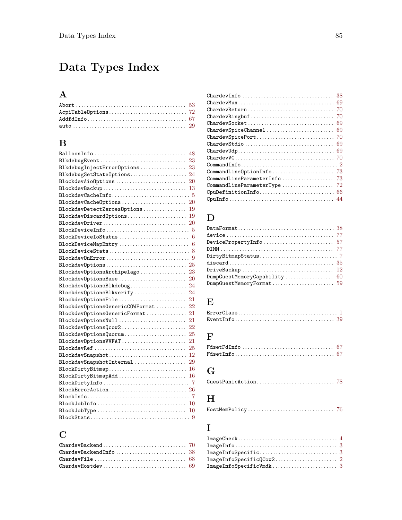# Data Types Index

## A

#### B

| BalloonInfo<br>48                                                                                    |
|------------------------------------------------------------------------------------------------------|
|                                                                                                      |
| BlkdebugInjectErrorOptions 23                                                                        |
| BlkdebugSetStateOptions 24                                                                           |
| BlockdevAioOptions<br>20                                                                             |
| BlockdevBackup<br>13                                                                                 |
| $\texttt{BlockdevCacheInfo} \dots \dots \dots \dots \dots \dots \dots \dots \dots \dots \dots \dots$ |
|                                                                                                      |
| BlockdevDetectZeroesOptions $19$                                                                     |
|                                                                                                      |
|                                                                                                      |
|                                                                                                      |
| BlockDeviceIoStatus<br>6                                                                             |
| BlockDeviceMapEntry<br>6                                                                             |
|                                                                                                      |
|                                                                                                      |
|                                                                                                      |
| BlockdevOptionsArchipelago 23                                                                        |
| BlockdevOptionsBase<br>20                                                                            |
|                                                                                                      |
| BlockdevOptionsBlkverify<br>24                                                                       |
| BlockdevOptionsFile<br>21                                                                            |
| BlockdevOptionsGenericCOWFormat<br>22                                                                |
| BlockdevOptionsGenericFormat<br>21                                                                   |
| BlockdevOptionsNull<br>-21                                                                           |
| BlockdevOptionsQcow2<br>-22                                                                          |
| BlockdevOptionsQuorum<br>25                                                                          |
|                                                                                                      |
| BlockdevRef<br>25                                                                                    |
| BlockdevSnapshot 12                                                                                  |
| $\texttt{BlockdevSnapshotInternal}\ \dots\dots\dots\dots\dots\dots \ 29$                             |
| $\texttt{BlockDirtyBitmap}\ldots\ldots\ldots\ldots\ldots\ldots\ldots\ldots\ldots\ 16$                |
|                                                                                                      |
|                                                                                                      |
|                                                                                                      |
|                                                                                                      |
|                                                                                                      |
| BlockJobType $\ldots \ldots \ldots \ldots \ldots \ldots \ldots \ldots \ldots \ldots \ldots 10$       |
|                                                                                                      |

#### C

| ChardevFile $\ldots \ldots \ldots \ldots \ldots \ldots \ldots \ldots \ldots \ldots \ldots$ 68 |  |
|-----------------------------------------------------------------------------------------------|--|
|                                                                                               |  |

| ${\tt ChardevMux. 69}$                                                                            |  |
|---------------------------------------------------------------------------------------------------|--|
| ${\tt ChardevReturn} \dots \dots \dots \dots \dots \dots \dots \dots \dots \dots \ 70$            |  |
| ${\tt ChardevRingbuf}\dots\dots\dots\dots\dots\dots\dots\dots\dots\dots\ 70$                      |  |
| ${\tt ChardevSocket}\dots\dots\dots\dots\dots\dots\dots\dots\dots\dots\ 69$                       |  |
| ${\tt ChardevSpiceChannel}\dots\dots\dots\dots\dots\dots\dots\dots\ 69$                           |  |
|                                                                                                   |  |
| ${\tt ChardevStdio}\dots\dots\dots\dots\dots\dots\dots\dots\dots\ 69$                             |  |
| ${\tt ChardevUdp{}.\dots\dots\dots\dots\dots\dots\dots\dots\dots\dots\ 69}$                       |  |
|                                                                                                   |  |
| $\texttt{CommandInfo} \ldots \ldots \ldots \ldots \ldots \ldots \ldots \ldots \ldots \ldots \; 2$ |  |
| $\verb CommandLineOptionInfo  \dots \dots \dots \dots \dots \dots \dots \ 73$                     |  |
| ${\tt CommandLineParameterInfo}\dots\dots\dots\dots\dots\dots\ 73$                                |  |
| $\texttt{CommandLineParameterType}\dots\dots\dots\dots\dots\dots\ 72$                             |  |
| $\texttt{CpuDefinitionInfo} \dots \dots \dots \dots \dots \dots \dots \dots \dots \66$            |  |
|                                                                                                   |  |
|                                                                                                   |  |

#### D

| $DumpGuestMemoryFormat \dots \dots \dots \dots \dots \dots \dots \dots \ 59$ |  |
|------------------------------------------------------------------------------|--|

## E

#### F

#### G

```
GuestPanicAction. . . . . . . . . . . . . . . . . . . . . . . . . . . . . 78
```
#### H

#### I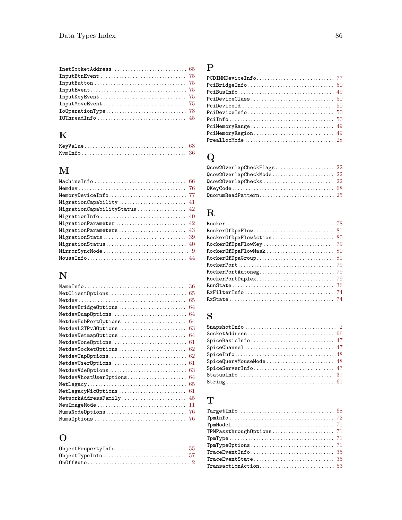# K

# M

| MigrationCapability 41       |
|------------------------------|
| MigrationCapabilityStatus 42 |
|                              |
| MigrationParameter 42        |
|                              |
|                              |
|                              |
|                              |
|                              |

# N

|                        | 36 |
|------------------------|----|
| NetClientOptions       | 65 |
|                        | 65 |
| NetdevBridgeOptions    | 64 |
| NetdevDumpOptions      | 64 |
| NetdevHubPortOptions   | 64 |
| NetdevL2TPv30ptions    | 63 |
| NetdevNetmapOptions    | 64 |
| NetdevNone0ptions      | 61 |
| NetdevSocketOptions    | 62 |
| NetdevTapOptions       | 62 |
| NetdevUserOptions      | 61 |
| NetdevVdeOptions       | 63 |
| NetdevVhostUserOptions | 64 |
|                        | 65 |
| NetLegacyNicOptions    | 61 |
| NetworkAddressFamily   | 45 |
| NewImageMode           | 11 |
| NumaNodeOptions        | 76 |
| NumaOptions            | 76 |

# O

| $OnOffAuto \ldots \ldots \ldots \ldots \ldots \ldots \ldots \ldots \ldots 2$ |  |
|------------------------------------------------------------------------------|--|

# P

| $PciMemoryRegion \ldots \ldots \ldots \ldots \ldots \ldots \ldots \ldots \ldots \ 49$ |  |
|---------------------------------------------------------------------------------------|--|
|                                                                                       |  |

# Q

| Qcow20verlapCheckMode 22 |  |
|--------------------------|--|
|                          |  |
|                          |  |
|                          |  |

# R

| $RockerOfDpaFlow \ldots \ldots \ldots \ldots \ldots \ldots \ldots \ldots \ 81$       |
|--------------------------------------------------------------------------------------|
|                                                                                      |
| $RockerOfDpaFlowKey \ldots \ldots \ldots \ldots \ldots \ldots \ldots \quad 79$       |
|                                                                                      |
| $RockerOfDpaGroup \ldots \ldots \ldots \ldots \ldots \ldots \ldots \ldots \ldots 81$ |
|                                                                                      |
|                                                                                      |
|                                                                                      |
|                                                                                      |
| $RxFilterInfo \ldots \ldots \ldots \ldots \ldots \ldots \ldots \ldots \ldots \ 74$   |
|                                                                                      |

# S

# T

| $TraceEventInfo \ldots \ldots \ldots \ldots \ldots \ldots \ldots \ldots \ldots \ 35$ |  |
|--------------------------------------------------------------------------------------|--|
|                                                                                      |  |
| $TransactionAction \ldots \ldots \ldots \ldots \ldots \ldots \ldots \ldots 53$       |  |